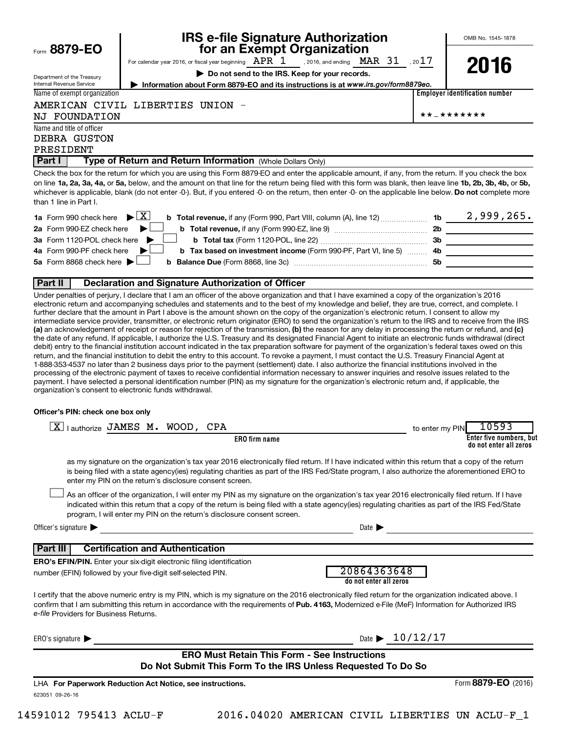| Form $8879 - EO$ |  |
|------------------|--|
|                  |  |

Department of the Treasury Internal Revenue Service

# **IRS e-file Signature Authorization**<br>**687 for an Exempt Organization**

OMB No. 1545-1878

For calendar year 2016, or fiscal year beginning  $\begin{array}{ccc} \texttt{APR} & 1 & , 2016, \text{ and ending} & \texttt{MAR} & 31 & , 2017 \end{array}$ **| Do not send to the IRS. Keep for your records.** , 2016, and ending  $\rm~MAR$   $\rm~31$ 



**Employer identification number | Information about Form 8879-EO and its instructions is at**  *www.irs.gov/form8879eo.*

## AMERICAN CIVIL LIBERTIES UNION -

Name and title of officer NJ FOUNDATION  $\star \star - \star \star \star \star \star \star \star$ 

Name of exempt organization

DEBRA GUSTON

## PRESIDENT

#### **Part I** | Type of Return and Return Information (Whole Dollars Only)

on line 1a, 2a, 3a, 4a, or 5a, below, and the amount on that line for the return being filed with this form was blank, then leave line 1b, 2b, 3b, 4b, or 5b, whichever is applicable, blank (do not enter -0-). But, if you entered -0- on the return, then enter -0- on the applicable line below. **Do not** complete more Check the box for the return for which you are using this Form 8879-EO and enter the applicable amount, if any, from the return. If you check the box than 1 line in Part I.

| <b>1a</b> Form 990 check here $\triangleright \boxed{X}$                                                                        |           | 2,999,265. |
|---------------------------------------------------------------------------------------------------------------------------------|-----------|------------|
| 2a Form 990-EZ check here $\blacktriangleright$<br><b>b</b> Total revenue, if any (Form 990-EZ, line 9) <i>managerananana</i> , | 2b        |            |
| 3a Form 1120-POL check here                                                                                                     | -3b       |            |
| 4a Form 990-PF check here $\blacktriangleright$<br><b>b</b> Tax based on investment income (Form 990-PF, Part VI, line 5) 4b    |           |            |
| 5a Form 8868 check here $\blacktriangleright$                                                                                   | <b>5b</b> |            |
|                                                                                                                                 |           |            |

#### **Part II Declaration and Signature Authorization of Officer**

(a) an acknowledgement of receipt or reason for rejection of the transmission, (b) the reason for any delay in processing the return or refund, and (c) Under penalties of perjury, I declare that I am an officer of the above organization and that I have examined a copy of the organization's 2016 electronic return and accompanying schedules and statements and to the best of my knowledge and belief, they are true, correct, and complete. I further declare that the amount in Part I above is the amount shown on the copy of the organization's electronic return. I consent to allow my intermediate service provider, transmitter, or electronic return originator (ERO) to send the organization's return to the IRS and to receive from the IRS the date of any refund. If applicable, I authorize the U.S. Treasury and its designated Financial Agent to initiate an electronic funds withdrawal (direct debit) entry to the financial institution account indicated in the tax preparation software for payment of the organization's federal taxes owed on this return, and the financial institution to debit the entry to this account. To revoke a payment, I must contact the U.S. Treasury Financial Agent at 1-888-353-4537 no later than 2 business days prior to the payment (settlement) date. I also authorize the financial institutions involved in the processing of the electronic payment of taxes to receive confidential information necessary to answer inquiries and resolve issues related to the payment. I have selected a personal identification number (PIN) as my signature for the organization's electronic return and, if applicable, the organization's consent to electronic funds withdrawal.

#### **Officer's PIN: check one box only**

| lauthorize JAMES M. WOOD, CPA<br> X                                                                                                                                                                                                                                                                                                                    | 10593<br>to enter my PIN                                                                                                                                                                                                                                                                              |
|--------------------------------------------------------------------------------------------------------------------------------------------------------------------------------------------------------------------------------------------------------------------------------------------------------------------------------------------------------|-------------------------------------------------------------------------------------------------------------------------------------------------------------------------------------------------------------------------------------------------------------------------------------------------------|
| <b>ERO</b> firm name                                                                                                                                                                                                                                                                                                                                   | Enter five numbers, but<br>do not enter all zeros                                                                                                                                                                                                                                                     |
| enter my PIN on the return's disclosure consent screen.                                                                                                                                                                                                                                                                                                | as my signature on the organization's tax year 2016 electronically filed return. If I have indicated within this return that a copy of the return<br>is being filed with a state agency(ies) regulating charities as part of the IRS Fed/State program, I also authorize the aforementioned ERO to    |
| program, I will enter my PIN on the return's disclosure consent screen.                                                                                                                                                                                                                                                                                | As an officer of the organization, I will enter my PIN as my signature on the organization's tax year 2016 electronically filed return. If I have<br>indicated within this return that a copy of the return is being filed with a state agency(ies) regulating charities as part of the IRS Fed/State |
| Officer's signature $\blacktriangleright$                                                                                                                                                                                                                                                                                                              | Date $\blacksquare$                                                                                                                                                                                                                                                                                   |
| <b>Certification and Authentication</b><br>Part III                                                                                                                                                                                                                                                                                                    |                                                                                                                                                                                                                                                                                                       |
| <b>ERO's EFIN/PIN.</b> Enter your six-digit electronic filing identification                                                                                                                                                                                                                                                                           |                                                                                                                                                                                                                                                                                                       |
| number (EFIN) followed by your five-digit self-selected PIN.                                                                                                                                                                                                                                                                                           | 20864363648<br>do not enter all zeros                                                                                                                                                                                                                                                                 |
| I certify that the above numeric entry is my PIN, which is my signature on the 2016 electronically filed return for the organization indicated above. I<br>confirm that I am submitting this return in accordance with the requirements of Pub. 4163, Modernized e-File (MeF) Information for Authorized IRS<br>e-file Providers for Business Returns. |                                                                                                                                                                                                                                                                                                       |
| ERO's signature $\blacksquare$                                                                                                                                                                                                                                                                                                                         | Date $\geq 10/12/17$                                                                                                                                                                                                                                                                                  |
|                                                                                                                                                                                                                                                                                                                                                        | <b>ERO Must Retain This Form - See Instructions</b>                                                                                                                                                                                                                                                   |
|                                                                                                                                                                                                                                                                                                                                                        | Do Not Submit This Form To the IRS Unless Requested To Do So                                                                                                                                                                                                                                          |
| LHA For Paperwork Reduction Act Notice, see instructions.                                                                                                                                                                                                                                                                                              | Form 8879-EO (2016)                                                                                                                                                                                                                                                                                   |
| 623051 09-26-16                                                                                                                                                                                                                                                                                                                                        |                                                                                                                                                                                                                                                                                                       |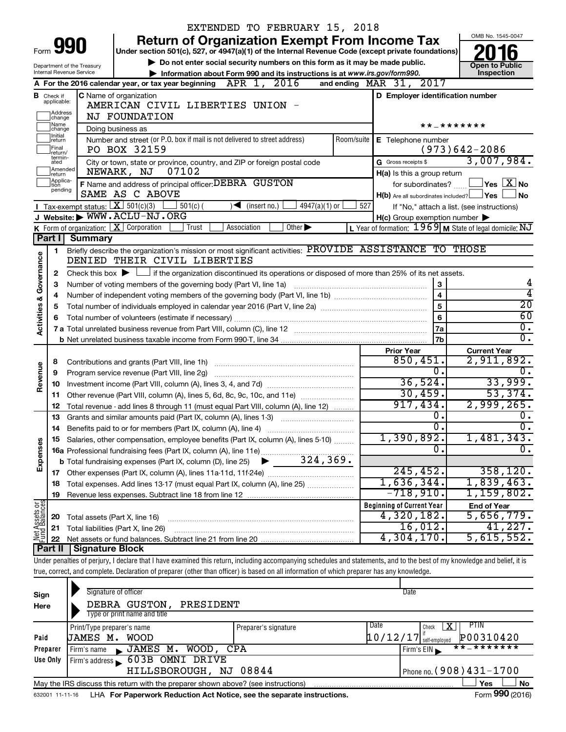|                                                                                                                                                                            | EXTENDED TO FEBRUARY 15, 2018                                                                                                                                                             |                                             |                                                                          |                                                                                                                                             |                     |                                                     |                                                                  |  |  |
|----------------------------------------------------------------------------------------------------------------------------------------------------------------------------|-------------------------------------------------------------------------------------------------------------------------------------------------------------------------------------------|---------------------------------------------|--------------------------------------------------------------------------|---------------------------------------------------------------------------------------------------------------------------------------------|---------------------|-----------------------------------------------------|------------------------------------------------------------------|--|--|
|                                                                                                                                                                            |                                                                                                                                                                                           |                                             |                                                                          | <b>Return of Organization Exempt From Income Tax</b>                                                                                        |                     |                                                     | OMB No. 1545-0047                                                |  |  |
| Form                                                                                                                                                                       |                                                                                                                                                                                           | 990                                         |                                                                          | Under section 501(c), 527, or 4947(a)(1) of the Internal Revenue Code (except private foundations)                                          |                     |                                                     |                                                                  |  |  |
|                                                                                                                                                                            |                                                                                                                                                                                           | Department of the Treasury                  |                                                                          | Do not enter social security numbers on this form as it may be made public.                                                                 |                     |                                                     | <b>Open to Public</b>                                            |  |  |
|                                                                                                                                                                            |                                                                                                                                                                                           | Internal Revenue Service                    |                                                                          | Information about Form 990 and its instructions is at www.irs.gov/form990.                                                                  |                     |                                                     | Inspection                                                       |  |  |
|                                                                                                                                                                            |                                                                                                                                                                                           |                                             | A For the 2016 calendar year, or tax year beginning $\Delta PR$ 1, 2016  |                                                                                                                                             |                     | and ending $\n  MAR\n  31, 2017\n$                  |                                                                  |  |  |
|                                                                                                                                                                            | <b>B</b> Check if<br>applicable:                                                                                                                                                          |                                             | C Name of organization                                                   |                                                                                                                                             |                     | D Employer identification number                    |                                                                  |  |  |
|                                                                                                                                                                            | AMERICAN CIVIL LIBERTIES UNION -<br>Address                                                                                                                                               |                                             |                                                                          |                                                                                                                                             |                     |                                                     |                                                                  |  |  |
|                                                                                                                                                                            | change                                                                                                                                                                                    |                                             | <b>NJ FOUNDATION</b>                                                     |                                                                                                                                             |                     |                                                     |                                                                  |  |  |
|                                                                                                                                                                            | Name<br> change<br>Doing business as<br>Initial                                                                                                                                           |                                             |                                                                          |                                                                                                                                             | * * _ * * * * * * * |                                                     |                                                                  |  |  |
|                                                                                                                                                                            | Number and street (or P.O. box if mail is not delivered to street address)<br>Room/suite<br>return<br> Final<br>PO BOX 32159                                                              |                                             |                                                                          | E Telephone number                                                                                                                          |                     |                                                     |                                                                  |  |  |
|                                                                                                                                                                            | return/<br>termin-                                                                                                                                                                        |                                             |                                                                          |                                                                                                                                             |                     | $(973)642 - 2086$                                   |                                                                  |  |  |
|                                                                                                                                                                            | City or town, state or province, country, and ZIP or foreign postal code<br>ated<br>Amended<br>NEWARK, NJ                                                                                 |                                             |                                                                          | G Gross receipts \$                                                                                                                         | 3,007,984.          |                                                     |                                                                  |  |  |
|                                                                                                                                                                            | return<br>Applica-                                                                                                                                                                        |                                             | 07102                                                                    |                                                                                                                                             |                     | H(a) Is this a group return                         |                                                                  |  |  |
|                                                                                                                                                                            | tion<br>pending                                                                                                                                                                           |                                             | F Name and address of principal officer: DEBRA GUSTON<br>SAME AS C ABOVE |                                                                                                                                             |                     |                                                     | for subordinates? $\text{mm}$ $\Box$ Yes $\boxed{\mathbf{X}}$ No |  |  |
|                                                                                                                                                                            |                                                                                                                                                                                           | <b>I</b> Tax-exempt status: $X \ 501(c)(3)$ | $501(c)$ (                                                               | $\sqrt{\bullet}$ (insert no.)<br>$4947(a)(1)$ or                                                                                            | 527                 | H(b) Are all subordinates included? Ves             | <b>No</b><br>If "No," attach a list. (see instructions)          |  |  |
|                                                                                                                                                                            |                                                                                                                                                                                           |                                             |                                                                          |                                                                                                                                             |                     | $H(c)$ Group exemption number $\blacktriangleright$ |                                                                  |  |  |
|                                                                                                                                                                            | J Website: WWW.ACLU-NJ.ORG<br>K Form of organization: $X$ Corporation<br>L Year of formation: $1969$ M State of legal domicile: NJ<br>Trust<br>Association<br>Other $\blacktriangleright$ |                                             |                                                                          |                                                                                                                                             |                     |                                                     |                                                                  |  |  |
|                                                                                                                                                                            | Part I                                                                                                                                                                                    | <b>Summary</b>                              |                                                                          |                                                                                                                                             |                     |                                                     |                                                                  |  |  |
|                                                                                                                                                                            | 1                                                                                                                                                                                         |                                             |                                                                          | Briefly describe the organization's mission or most significant activities: PROVIDE ASSISTANCE TO THOSE                                     |                     |                                                     |                                                                  |  |  |
| Governance                                                                                                                                                                 |                                                                                                                                                                                           |                                             | DENIED THEIR CIVIL LIBERTIES                                             |                                                                                                                                             |                     |                                                     |                                                                  |  |  |
|                                                                                                                                                                            | 2                                                                                                                                                                                         |                                             |                                                                          | Check this box $\blacktriangleright$ $\Box$ if the organization discontinued its operations or disposed of more than 25% of its net assets. |                     |                                                     |                                                                  |  |  |
|                                                                                                                                                                            | 3                                                                                                                                                                                         |                                             | Number of voting members of the governing body (Part VI, line 1a)        |                                                                                                                                             |                     | 3                                                   | 4                                                                |  |  |
|                                                                                                                                                                            | 4                                                                                                                                                                                         | $\overline{\mathbf{4}}$                     |                                                                          |                                                                                                                                             |                     |                                                     | 4                                                                |  |  |
|                                                                                                                                                                            | 5                                                                                                                                                                                         |                                             |                                                                          |                                                                                                                                             |                     | 5                                                   | $\overline{20}$                                                  |  |  |
|                                                                                                                                                                            | 6                                                                                                                                                                                         |                                             |                                                                          |                                                                                                                                             |                     | 6                                                   | 60                                                               |  |  |
| <b>Activities &amp;</b>                                                                                                                                                    |                                                                                                                                                                                           |                                             |                                                                          |                                                                                                                                             |                     | 7a                                                  | $\overline{0}$ .                                                 |  |  |
|                                                                                                                                                                            |                                                                                                                                                                                           |                                             |                                                                          |                                                                                                                                             |                     | 7b                                                  | $\overline{0}$ .                                                 |  |  |
|                                                                                                                                                                            |                                                                                                                                                                                           |                                             |                                                                          |                                                                                                                                             |                     | <b>Prior Year</b>                                   | <b>Current Year</b>                                              |  |  |
|                                                                                                                                                                            | 8                                                                                                                                                                                         |                                             |                                                                          |                                                                                                                                             |                     | 850,451.                                            | 2,911,892.                                                       |  |  |
| Revenue                                                                                                                                                                    | 9                                                                                                                                                                                         |                                             | Program service revenue (Part VIII, line 2g)                             |                                                                                                                                             |                     | σ.                                                  | $\overline{0}$ .<br>33,999.                                      |  |  |
|                                                                                                                                                                            | 10                                                                                                                                                                                        |                                             |                                                                          |                                                                                                                                             |                     | 36,524.<br>30,459.                                  | 53,374.                                                          |  |  |
|                                                                                                                                                                            | 11                                                                                                                                                                                        |                                             |                                                                          | Other revenue (Part VIII, column (A), lines 5, 6d, 8c, 9c, 10c, and 11e)                                                                    |                     | 917,434.                                            | 2,999,265.                                                       |  |  |
|                                                                                                                                                                            | 12                                                                                                                                                                                        |                                             | Grants and similar amounts paid (Part IX, column (A), lines 1-3)         | Total revenue - add lines 8 through 11 (must equal Part VIII, column (A), line 12)                                                          |                     | $\overline{0}$ .                                    | О.                                                               |  |  |
|                                                                                                                                                                            | 13<br>14                                                                                                                                                                                  |                                             | Benefits paid to or for members (Part IX, column (A), line 4)            |                                                                                                                                             |                     | $\overline{\mathfrak{o}}$ .                         | $\overline{0}$ .                                                 |  |  |
|                                                                                                                                                                            |                                                                                                                                                                                           |                                             |                                                                          | 15 Salaries, other compensation, employee benefits (Part IX, column (A), lines 5-10)                                                        |                     | 1,390,892.                                          | 1,481,343.                                                       |  |  |
| Expenses                                                                                                                                                                   |                                                                                                                                                                                           |                                             |                                                                          |                                                                                                                                             |                     | о.                                                  | $\overline{0}$ .                                                 |  |  |
|                                                                                                                                                                            |                                                                                                                                                                                           |                                             |                                                                          |                                                                                                                                             |                     |                                                     |                                                                  |  |  |
|                                                                                                                                                                            |                                                                                                                                                                                           |                                             |                                                                          |                                                                                                                                             |                     | 245, 452.                                           | 358,120.                                                         |  |  |
|                                                                                                                                                                            | 18                                                                                                                                                                                        |                                             |                                                                          | Total expenses. Add lines 13-17 (must equal Part IX, column (A), line 25)                                                                   |                     | 1,636,344.                                          | 1,839,463.                                                       |  |  |
|                                                                                                                                                                            | 19                                                                                                                                                                                        |                                             |                                                                          |                                                                                                                                             |                     | $-718,910$ .                                        | 1,159,802.                                                       |  |  |
| Net Assets or                                                                                                                                                              |                                                                                                                                                                                           |                                             |                                                                          |                                                                                                                                             |                     | <b>Beginning of Current Year</b>                    | <b>End of Year</b>                                               |  |  |
|                                                                                                                                                                            | 20                                                                                                                                                                                        |                                             | Total assets (Part X, line 16)                                           |                                                                                                                                             |                     | 4,320,182.                                          | 5,656,779.                                                       |  |  |
|                                                                                                                                                                            | 21                                                                                                                                                                                        |                                             | Total liabilities (Part X, line 26)                                      |                                                                                                                                             |                     | 16,012.                                             | 41,227.                                                          |  |  |
|                                                                                                                                                                            | 22                                                                                                                                                                                        |                                             |                                                                          |                                                                                                                                             |                     | 4,304,170.                                          | 5,615,552.                                                       |  |  |
|                                                                                                                                                                            | Part II                                                                                                                                                                                   | <b>Signature Block</b>                      |                                                                          |                                                                                                                                             |                     |                                                     |                                                                  |  |  |
| Under penalties of perjury, I declare that I have examined this return, including accompanying schedules and statements, and to the best of my knowledge and belief, it is |                                                                                                                                                                                           |                                             |                                                                          |                                                                                                                                             |                     |                                                     |                                                                  |  |  |
| true, correct, and complete. Declaration of preparer (other than officer) is based on all information of which preparer has any knowledge.                                 |                                                                                                                                                                                           |                                             |                                                                          |                                                                                                                                             |                     |                                                     |                                                                  |  |  |
|                                                                                                                                                                            |                                                                                                                                                                                           |                                             |                                                                          |                                                                                                                                             |                     |                                                     |                                                                  |  |  |
| Sign                                                                                                                                                                       |                                                                                                                                                                                           |                                             | Signature of officer                                                     |                                                                                                                                             |                     | Date                                                |                                                                  |  |  |
| Here                                                                                                                                                                       |                                                                                                                                                                                           |                                             | DEBRA GUSTON,<br>PRESIDENT<br>Type or print name and title               |                                                                                                                                             |                     |                                                     |                                                                  |  |  |
|                                                                                                                                                                            |                                                                                                                                                                                           |                                             |                                                                          |                                                                                                                                             |                     | Date<br>X<br>Check                                  | PTIN                                                             |  |  |
| Paid                                                                                                                                                                       |                                                                                                                                                                                           | Print/Type preparer's name<br>JAMES M. WOOD |                                                                          | Preparer's signature                                                                                                                        |                     | 10/12/17                                            | P00310420                                                        |  |  |
|                                                                                                                                                                            |                                                                                                                                                                                           |                                             |                                                                          |                                                                                                                                             |                     | self-employed                                       |                                                                  |  |  |

| Preparer | Firm's name    | CPA<br>JAMES M. WOOD.                                                             | $I$ Firm's EIN               | * * _ * * * * * * * |     |
|----------|----------------|-----------------------------------------------------------------------------------|------------------------------|---------------------|-----|
| Use Only | Firm's address | 603B OMNI DRIVE                                                                   |                              |                     |     |
|          |                | HILLSBOROUGH, NJ 08844                                                            | Phone no. $(908)$ 431 – 1700 |                     |     |
|          |                | May the IRS discuss this return with the preparer shown above? (see instructions) |                              | Yes                 | No  |
|          |                |                                                                                   |                              |                     | --- |

632001 11-11-16 **For Paperwork Reduction Act Notice, see the separate instructions.** LHA Form (2016)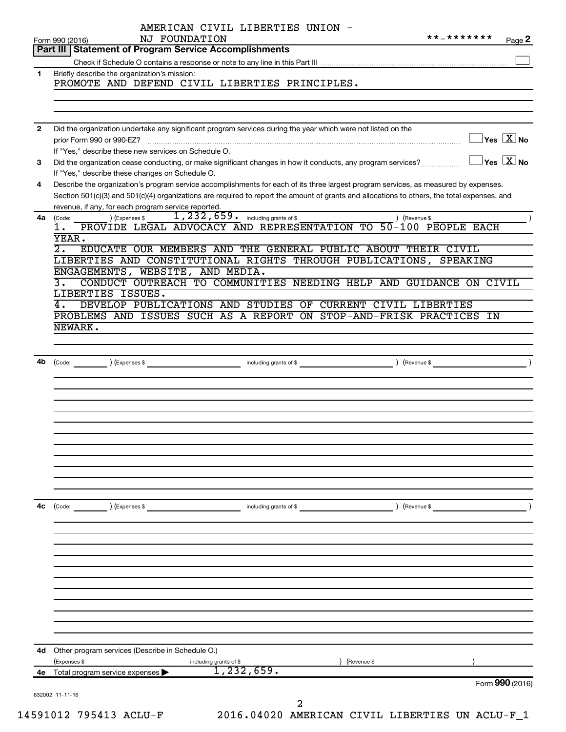| 1.<br>2<br>3<br>4<br>4a<br>Code:<br>1.<br>YEAR.<br>$\overline{2}$ .<br>3.<br>4.<br>NEWARK.<br>4b<br>4c | Part III   Statement of Program Service Accomplishments<br>Briefly describe the organization's mission:<br>PROMOTE AND DEFEND CIVIL LIBERTIES PRINCIPLES.<br>Did the organization undertake any significant program services during the year which were not listed on the<br>$\exists$ Yes $\boxed{\text{X}}$ No<br>prior Form 990 or 990-EZ?<br>If "Yes," describe these new services on Schedule O.<br>$\gamma$ es $\overline{X}$ No<br>Did the organization cease conducting, or make significant changes in how it conducts, any program services?<br>If "Yes," describe these changes on Schedule O.<br>Describe the organization's program service accomplishments for each of its three largest program services, as measured by expenses.<br>Section 501(c)(3) and 501(c)(4) organizations are required to report the amount of grants and allocations to others, the total expenses, and<br>revenue, if any, for each program service reported.<br>1, 232, 659. including grants of \$<br>) (Revenue \$<br>(Expenses \$<br>PROVIDE LEGAL ADVOCACY AND REPRESENTATION TO 50-100 PEOPLE EACH<br>EDUCATE OUR MEMBERS AND THE GENERAL PUBLIC ABOUT THEIR CIVIL<br>LIBERTIES AND CONSTITUTIONAL RIGHTS THROUGH PUBLICATIONS, SPEAKING<br>ENGAGEMENTS, WEBSITE, AND MEDIA.<br>CONDUCT OUTREACH TO COMMUNITIES NEEDING HELP AND GUIDANCE ON CIVIL<br>LIBERTIES ISSUES.<br>DEVELOP PUBLICATIONS AND STUDIES OF CURRENT CIVIL LIBERTIES |
|--------------------------------------------------------------------------------------------------------|-----------------------------------------------------------------------------------------------------------------------------------------------------------------------------------------------------------------------------------------------------------------------------------------------------------------------------------------------------------------------------------------------------------------------------------------------------------------------------------------------------------------------------------------------------------------------------------------------------------------------------------------------------------------------------------------------------------------------------------------------------------------------------------------------------------------------------------------------------------------------------------------------------------------------------------------------------------------------------------------------------------------------------------------------------------------------------------------------------------------------------------------------------------------------------------------------------------------------------------------------------------------------------------------------------------------------------------------------------------------------------------------------------------------------------------------|
|                                                                                                        |                                                                                                                                                                                                                                                                                                                                                                                                                                                                                                                                                                                                                                                                                                                                                                                                                                                                                                                                                                                                                                                                                                                                                                                                                                                                                                                                                                                                                                         |
|                                                                                                        |                                                                                                                                                                                                                                                                                                                                                                                                                                                                                                                                                                                                                                                                                                                                                                                                                                                                                                                                                                                                                                                                                                                                                                                                                                                                                                                                                                                                                                         |
|                                                                                                        |                                                                                                                                                                                                                                                                                                                                                                                                                                                                                                                                                                                                                                                                                                                                                                                                                                                                                                                                                                                                                                                                                                                                                                                                                                                                                                                                                                                                                                         |
|                                                                                                        |                                                                                                                                                                                                                                                                                                                                                                                                                                                                                                                                                                                                                                                                                                                                                                                                                                                                                                                                                                                                                                                                                                                                                                                                                                                                                                                                                                                                                                         |
|                                                                                                        |                                                                                                                                                                                                                                                                                                                                                                                                                                                                                                                                                                                                                                                                                                                                                                                                                                                                                                                                                                                                                                                                                                                                                                                                                                                                                                                                                                                                                                         |
|                                                                                                        |                                                                                                                                                                                                                                                                                                                                                                                                                                                                                                                                                                                                                                                                                                                                                                                                                                                                                                                                                                                                                                                                                                                                                                                                                                                                                                                                                                                                                                         |
|                                                                                                        |                                                                                                                                                                                                                                                                                                                                                                                                                                                                                                                                                                                                                                                                                                                                                                                                                                                                                                                                                                                                                                                                                                                                                                                                                                                                                                                                                                                                                                         |
|                                                                                                        |                                                                                                                                                                                                                                                                                                                                                                                                                                                                                                                                                                                                                                                                                                                                                                                                                                                                                                                                                                                                                                                                                                                                                                                                                                                                                                                                                                                                                                         |
|                                                                                                        |                                                                                                                                                                                                                                                                                                                                                                                                                                                                                                                                                                                                                                                                                                                                                                                                                                                                                                                                                                                                                                                                                                                                                                                                                                                                                                                                                                                                                                         |
|                                                                                                        |                                                                                                                                                                                                                                                                                                                                                                                                                                                                                                                                                                                                                                                                                                                                                                                                                                                                                                                                                                                                                                                                                                                                                                                                                                                                                                                                                                                                                                         |
|                                                                                                        |                                                                                                                                                                                                                                                                                                                                                                                                                                                                                                                                                                                                                                                                                                                                                                                                                                                                                                                                                                                                                                                                                                                                                                                                                                                                                                                                                                                                                                         |
|                                                                                                        |                                                                                                                                                                                                                                                                                                                                                                                                                                                                                                                                                                                                                                                                                                                                                                                                                                                                                                                                                                                                                                                                                                                                                                                                                                                                                                                                                                                                                                         |
|                                                                                                        |                                                                                                                                                                                                                                                                                                                                                                                                                                                                                                                                                                                                                                                                                                                                                                                                                                                                                                                                                                                                                                                                                                                                                                                                                                                                                                                                                                                                                                         |
|                                                                                                        |                                                                                                                                                                                                                                                                                                                                                                                                                                                                                                                                                                                                                                                                                                                                                                                                                                                                                                                                                                                                                                                                                                                                                                                                                                                                                                                                                                                                                                         |
|                                                                                                        |                                                                                                                                                                                                                                                                                                                                                                                                                                                                                                                                                                                                                                                                                                                                                                                                                                                                                                                                                                                                                                                                                                                                                                                                                                                                                                                                                                                                                                         |
|                                                                                                        |                                                                                                                                                                                                                                                                                                                                                                                                                                                                                                                                                                                                                                                                                                                                                                                                                                                                                                                                                                                                                                                                                                                                                                                                                                                                                                                                                                                                                                         |
|                                                                                                        |                                                                                                                                                                                                                                                                                                                                                                                                                                                                                                                                                                                                                                                                                                                                                                                                                                                                                                                                                                                                                                                                                                                                                                                                                                                                                                                                                                                                                                         |
|                                                                                                        |                                                                                                                                                                                                                                                                                                                                                                                                                                                                                                                                                                                                                                                                                                                                                                                                                                                                                                                                                                                                                                                                                                                                                                                                                                                                                                                                                                                                                                         |
|                                                                                                        |                                                                                                                                                                                                                                                                                                                                                                                                                                                                                                                                                                                                                                                                                                                                                                                                                                                                                                                                                                                                                                                                                                                                                                                                                                                                                                                                                                                                                                         |
|                                                                                                        |                                                                                                                                                                                                                                                                                                                                                                                                                                                                                                                                                                                                                                                                                                                                                                                                                                                                                                                                                                                                                                                                                                                                                                                                                                                                                                                                                                                                                                         |
|                                                                                                        |                                                                                                                                                                                                                                                                                                                                                                                                                                                                                                                                                                                                                                                                                                                                                                                                                                                                                                                                                                                                                                                                                                                                                                                                                                                                                                                                                                                                                                         |
|                                                                                                        | PROBLEMS AND ISSUES SUCH AS A REPORT ON STOP-AND-FRISK PRACTICES IN                                                                                                                                                                                                                                                                                                                                                                                                                                                                                                                                                                                                                                                                                                                                                                                                                                                                                                                                                                                                                                                                                                                                                                                                                                                                                                                                                                     |
|                                                                                                        |                                                                                                                                                                                                                                                                                                                                                                                                                                                                                                                                                                                                                                                                                                                                                                                                                                                                                                                                                                                                                                                                                                                                                                                                                                                                                                                                                                                                                                         |
|                                                                                                        |                                                                                                                                                                                                                                                                                                                                                                                                                                                                                                                                                                                                                                                                                                                                                                                                                                                                                                                                                                                                                                                                                                                                                                                                                                                                                                                                                                                                                                         |
|                                                                                                        |                                                                                                                                                                                                                                                                                                                                                                                                                                                                                                                                                                                                                                                                                                                                                                                                                                                                                                                                                                                                                                                                                                                                                                                                                                                                                                                                                                                                                                         |
|                                                                                                        | (Code: ) (Expenses \$<br><b>Example 2018</b> including grants of \$<br>) (Revenue \$                                                                                                                                                                                                                                                                                                                                                                                                                                                                                                                                                                                                                                                                                                                                                                                                                                                                                                                                                                                                                                                                                                                                                                                                                                                                                                                                                    |
|                                                                                                        |                                                                                                                                                                                                                                                                                                                                                                                                                                                                                                                                                                                                                                                                                                                                                                                                                                                                                                                                                                                                                                                                                                                                                                                                                                                                                                                                                                                                                                         |
|                                                                                                        |                                                                                                                                                                                                                                                                                                                                                                                                                                                                                                                                                                                                                                                                                                                                                                                                                                                                                                                                                                                                                                                                                                                                                                                                                                                                                                                                                                                                                                         |
|                                                                                                        |                                                                                                                                                                                                                                                                                                                                                                                                                                                                                                                                                                                                                                                                                                                                                                                                                                                                                                                                                                                                                                                                                                                                                                                                                                                                                                                                                                                                                                         |
|                                                                                                        |                                                                                                                                                                                                                                                                                                                                                                                                                                                                                                                                                                                                                                                                                                                                                                                                                                                                                                                                                                                                                                                                                                                                                                                                                                                                                                                                                                                                                                         |
|                                                                                                        |                                                                                                                                                                                                                                                                                                                                                                                                                                                                                                                                                                                                                                                                                                                                                                                                                                                                                                                                                                                                                                                                                                                                                                                                                                                                                                                                                                                                                                         |
|                                                                                                        |                                                                                                                                                                                                                                                                                                                                                                                                                                                                                                                                                                                                                                                                                                                                                                                                                                                                                                                                                                                                                                                                                                                                                                                                                                                                                                                                                                                                                                         |
|                                                                                                        |                                                                                                                                                                                                                                                                                                                                                                                                                                                                                                                                                                                                                                                                                                                                                                                                                                                                                                                                                                                                                                                                                                                                                                                                                                                                                                                                                                                                                                         |
|                                                                                                        |                                                                                                                                                                                                                                                                                                                                                                                                                                                                                                                                                                                                                                                                                                                                                                                                                                                                                                                                                                                                                                                                                                                                                                                                                                                                                                                                                                                                                                         |
|                                                                                                        |                                                                                                                                                                                                                                                                                                                                                                                                                                                                                                                                                                                                                                                                                                                                                                                                                                                                                                                                                                                                                                                                                                                                                                                                                                                                                                                                                                                                                                         |
|                                                                                                        |                                                                                                                                                                                                                                                                                                                                                                                                                                                                                                                                                                                                                                                                                                                                                                                                                                                                                                                                                                                                                                                                                                                                                                                                                                                                                                                                                                                                                                         |
|                                                                                                        |                                                                                                                                                                                                                                                                                                                                                                                                                                                                                                                                                                                                                                                                                                                                                                                                                                                                                                                                                                                                                                                                                                                                                                                                                                                                                                                                                                                                                                         |
|                                                                                                        | (Code: ) (Expenses \$                                                                                                                                                                                                                                                                                                                                                                                                                                                                                                                                                                                                                                                                                                                                                                                                                                                                                                                                                                                                                                                                                                                                                                                                                                                                                                                                                                                                                   |
|                                                                                                        |                                                                                                                                                                                                                                                                                                                                                                                                                                                                                                                                                                                                                                                                                                                                                                                                                                                                                                                                                                                                                                                                                                                                                                                                                                                                                                                                                                                                                                         |
|                                                                                                        |                                                                                                                                                                                                                                                                                                                                                                                                                                                                                                                                                                                                                                                                                                                                                                                                                                                                                                                                                                                                                                                                                                                                                                                                                                                                                                                                                                                                                                         |
|                                                                                                        |                                                                                                                                                                                                                                                                                                                                                                                                                                                                                                                                                                                                                                                                                                                                                                                                                                                                                                                                                                                                                                                                                                                                                                                                                                                                                                                                                                                                                                         |
|                                                                                                        |                                                                                                                                                                                                                                                                                                                                                                                                                                                                                                                                                                                                                                                                                                                                                                                                                                                                                                                                                                                                                                                                                                                                                                                                                                                                                                                                                                                                                                         |
|                                                                                                        |                                                                                                                                                                                                                                                                                                                                                                                                                                                                                                                                                                                                                                                                                                                                                                                                                                                                                                                                                                                                                                                                                                                                                                                                                                                                                                                                                                                                                                         |
|                                                                                                        |                                                                                                                                                                                                                                                                                                                                                                                                                                                                                                                                                                                                                                                                                                                                                                                                                                                                                                                                                                                                                                                                                                                                                                                                                                                                                                                                                                                                                                         |
|                                                                                                        |                                                                                                                                                                                                                                                                                                                                                                                                                                                                                                                                                                                                                                                                                                                                                                                                                                                                                                                                                                                                                                                                                                                                                                                                                                                                                                                                                                                                                                         |
|                                                                                                        |                                                                                                                                                                                                                                                                                                                                                                                                                                                                                                                                                                                                                                                                                                                                                                                                                                                                                                                                                                                                                                                                                                                                                                                                                                                                                                                                                                                                                                         |
|                                                                                                        |                                                                                                                                                                                                                                                                                                                                                                                                                                                                                                                                                                                                                                                                                                                                                                                                                                                                                                                                                                                                                                                                                                                                                                                                                                                                                                                                                                                                                                         |
|                                                                                                        |                                                                                                                                                                                                                                                                                                                                                                                                                                                                                                                                                                                                                                                                                                                                                                                                                                                                                                                                                                                                                                                                                                                                                                                                                                                                                                                                                                                                                                         |
|                                                                                                        |                                                                                                                                                                                                                                                                                                                                                                                                                                                                                                                                                                                                                                                                                                                                                                                                                                                                                                                                                                                                                                                                                                                                                                                                                                                                                                                                                                                                                                         |
|                                                                                                        |                                                                                                                                                                                                                                                                                                                                                                                                                                                                                                                                                                                                                                                                                                                                                                                                                                                                                                                                                                                                                                                                                                                                                                                                                                                                                                                                                                                                                                         |
| (Expenses \$                                                                                           |                                                                                                                                                                                                                                                                                                                                                                                                                                                                                                                                                                                                                                                                                                                                                                                                                                                                                                                                                                                                                                                                                                                                                                                                                                                                                                                                                                                                                                         |
| 4е                                                                                                     | 4d Other program services (Describe in Schedule O.)<br>Revenue \$                                                                                                                                                                                                                                                                                                                                                                                                                                                                                                                                                                                                                                                                                                                                                                                                                                                                                                                                                                                                                                                                                                                                                                                                                                                                                                                                                                       |
|                                                                                                        | including grants of \$<br>1,232,659.<br>Total program service expenses                                                                                                                                                                                                                                                                                                                                                                                                                                                                                                                                                                                                                                                                                                                                                                                                                                                                                                                                                                                                                                                                                                                                                                                                                                                                                                                                                                  |
| 632002 11-11-16                                                                                        | Form 990 (2016)                                                                                                                                                                                                                                                                                                                                                                                                                                                                                                                                                                                                                                                                                                                                                                                                                                                                                                                                                                                                                                                                                                                                                                                                                                                                                                                                                                                                                         |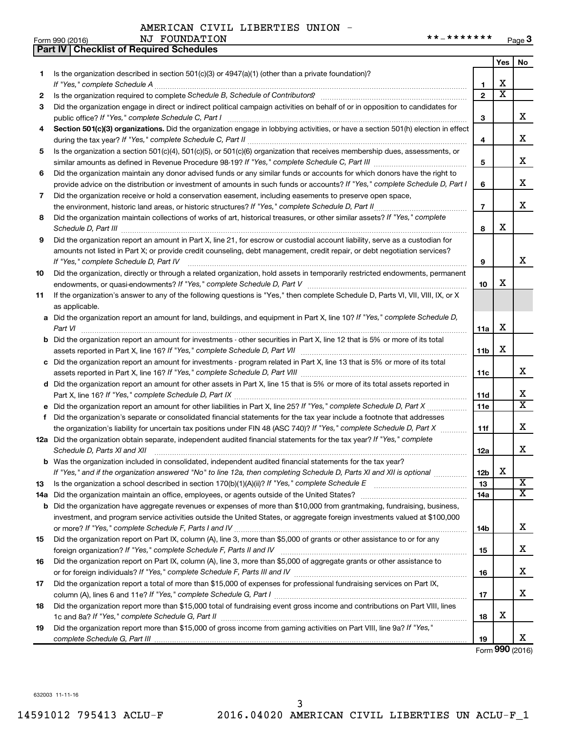|     | <b>Part IV   Checklist of Required Schedules</b>                                                                                                                                                                                    |                |                         |                       |
|-----|-------------------------------------------------------------------------------------------------------------------------------------------------------------------------------------------------------------------------------------|----------------|-------------------------|-----------------------|
|     |                                                                                                                                                                                                                                     |                | Yes                     | No.                   |
| 1   | Is the organization described in section $501(c)(3)$ or $4947(a)(1)$ (other than a private foundation)?                                                                                                                             |                |                         |                       |
|     |                                                                                                                                                                                                                                     | 1              | х                       |                       |
| 2   |                                                                                                                                                                                                                                     | $\mathbf{2}$   | $\overline{\mathtt{x}}$ |                       |
| 3   | Did the organization engage in direct or indirect political campaign activities on behalf of or in opposition to candidates for                                                                                                     |                |                         |                       |
|     |                                                                                                                                                                                                                                     | 3              |                         | x                     |
| 4   | Section 501(c)(3) organizations. Did the organization engage in lobbying activities, or have a section 501(h) election in effect                                                                                                    |                |                         |                       |
|     |                                                                                                                                                                                                                                     | 4              |                         | x                     |
| 5   | Is the organization a section 501(c)(4), 501(c)(5), or 501(c)(6) organization that receives membership dues, assessments, or                                                                                                        |                |                         |                       |
|     |                                                                                                                                                                                                                                     | 5              |                         | x                     |
| 6   | Did the organization maintain any donor advised funds or any similar funds or accounts for which donors have the right to                                                                                                           |                |                         |                       |
|     | provide advice on the distribution or investment of amounts in such funds or accounts? If "Yes," complete Schedule D, Part I                                                                                                        | 6              |                         | x                     |
| 7   | Did the organization receive or hold a conservation easement, including easements to preserve open space,                                                                                                                           |                |                         |                       |
|     |                                                                                                                                                                                                                                     | $\overline{7}$ |                         | x                     |
|     |                                                                                                                                                                                                                                     |                |                         |                       |
| 8   | Did the organization maintain collections of works of art, historical treasures, or other similar assets? If "Yes," complete                                                                                                        |                | x                       |                       |
|     | Schedule D, Part III <b>Markov Communisties</b> Contract and Communisties Contract and Communisties Communisties Communisties Communisties Communisties Communisties Communisties Communisties Communisties Communisties Communisti | 8              |                         |                       |
| 9   | Did the organization report an amount in Part X, line 21, for escrow or custodial account liability, serve as a custodian for                                                                                                       |                |                         |                       |
|     | amounts not listed in Part X; or provide credit counseling, debt management, credit repair, or debt negotiation services?                                                                                                           |                |                         | х                     |
|     |                                                                                                                                                                                                                                     | 9              |                         |                       |
| 10  | Did the organization, directly or through a related organization, hold assets in temporarily restricted endowments, permanent                                                                                                       | 10             |                         |                       |
|     |                                                                                                                                                                                                                                     |                | х                       |                       |
| 11  | If the organization's answer to any of the following questions is "Yes," then complete Schedule D, Parts VI, VII, VIII, IX, or X                                                                                                    |                |                         |                       |
|     | as applicable.                                                                                                                                                                                                                      |                |                         |                       |
|     | a Did the organization report an amount for land, buildings, and equipment in Part X, line 10? If "Yes," complete Schedule D,                                                                                                       |                |                         |                       |
|     | Part VI                                                                                                                                                                                                                             | 11a            | х                       |                       |
|     | <b>b</b> Did the organization report an amount for investments - other securities in Part X, line 12 that is 5% or more of its total                                                                                                |                |                         |                       |
|     |                                                                                                                                                                                                                                     |                | x                       |                       |
|     | c Did the organization report an amount for investments - program related in Part X, line 13 that is 5% or more of its total                                                                                                        |                |                         |                       |
|     |                                                                                                                                                                                                                                     | 11c            |                         | x                     |
|     | d Did the organization report an amount for other assets in Part X, line 15 that is 5% or more of its total assets reported in                                                                                                      |                |                         |                       |
|     |                                                                                                                                                                                                                                     | 11d            |                         | х                     |
|     |                                                                                                                                                                                                                                     | 11e            |                         | $\overline{\text{x}}$ |
| f   | Did the organization's separate or consolidated financial statements for the tax year include a footnote that addresses                                                                                                             |                |                         |                       |
|     | the organization's liability for uncertain tax positions under FIN 48 (ASC 740)? If "Yes," complete Schedule D, Part X                                                                                                              | 11f            |                         | x                     |
|     | 12a Did the organization obtain separate, independent audited financial statements for the tax year? If "Yes," complete                                                                                                             |                |                         |                       |
|     | Schedule D, Parts XI and XII                                                                                                                                                                                                        | 12a            |                         | x                     |
|     | <b>b</b> Was the organization included in consolidated, independent audited financial statements for the tax year?                                                                                                                  |                |                         |                       |
|     | If "Yes," and if the organization answered "No" to line 12a, then completing Schedule D, Parts XI and XII is optional <i></i>                                                                                                       | 12b            | х                       |                       |
| 13  |                                                                                                                                                                                                                                     | 13             |                         | $\overline{\text{X}}$ |
| 14a |                                                                                                                                                                                                                                     | 14a            |                         | X                     |
| b   | Did the organization have aggregate revenues or expenses of more than \$10,000 from grantmaking, fundraising, business,                                                                                                             |                |                         |                       |
|     | investment, and program service activities outside the United States, or aggregate foreign investments valued at \$100,000                                                                                                          |                |                         |                       |
|     |                                                                                                                                                                                                                                     | 14b            |                         | x                     |
| 15  | Did the organization report on Part IX, column (A), line 3, more than \$5,000 of grants or other assistance to or for any                                                                                                           |                |                         |                       |
|     |                                                                                                                                                                                                                                     | 15             |                         | x.                    |
| 16  | Did the organization report on Part IX, column (A), line 3, more than \$5,000 of aggregate grants or other assistance to                                                                                                            |                |                         |                       |
|     |                                                                                                                                                                                                                                     | 16             |                         | x.                    |
| 17  | Did the organization report a total of more than \$15,000 of expenses for professional fundraising services on Part IX,                                                                                                             |                |                         |                       |
|     |                                                                                                                                                                                                                                     | 17             |                         | x.                    |
| 18  | Did the organization report more than \$15,000 total of fundraising event gross income and contributions on Part VIII, lines                                                                                                        |                |                         |                       |
|     |                                                                                                                                                                                                                                     | 18             | х                       |                       |
| 19  | Did the organization report more than \$15,000 of gross income from gaming activities on Part VIII, line 9a? If "Yes,"                                                                                                              |                |                         |                       |
|     |                                                                                                                                                                                                                                     | 19             |                         | x                     |

Form (2016) **990**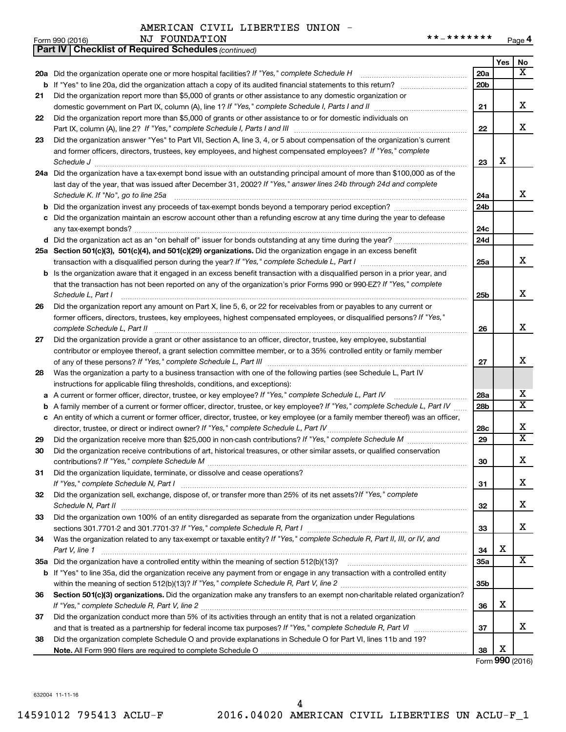|    | **_*******<br>NJ FOUNDATION<br>Form 990 (2016)                                                                                      |                 |                 | Page 4                  |
|----|-------------------------------------------------------------------------------------------------------------------------------------|-----------------|-----------------|-------------------------|
|    | <b>Part IV   Checklist of Required Schedules (continued)</b>                                                                        |                 |                 |                         |
|    |                                                                                                                                     |                 | Yes             | No                      |
|    | 20a Did the organization operate one or more hospital facilities? If "Yes," complete Schedule H                                     | 20a             |                 | $\overline{\mathbf{x}}$ |
|    |                                                                                                                                     | 20 <sub>b</sub> |                 |                         |
| 21 | Did the organization report more than \$5,000 of grants or other assistance to any domestic organization or                         |                 |                 |                         |
|    | domestic government on Part IX, column (A), line 1? If "Yes," complete Schedule I, Parts I and II                                   | 21              |                 | x                       |
| 22 | Did the organization report more than \$5,000 of grants or other assistance to or for domestic individuals on                       |                 |                 |                         |
|    |                                                                                                                                     | 22              |                 | x                       |
| 23 | Did the organization answer "Yes" to Part VII, Section A, line 3, 4, or 5 about compensation of the organization's current          |                 |                 |                         |
|    | and former officers, directors, trustees, key employees, and highest compensated employees? If "Yes," complete                      |                 |                 |                         |
|    |                                                                                                                                     | 23              | х               |                         |
|    | 24a Did the organization have a tax-exempt bond issue with an outstanding principal amount of more than \$100,000 as of the         |                 |                 |                         |
|    | last day of the year, that was issued after December 31, 2002? If "Yes," answer lines 24b through 24d and complete                  |                 |                 |                         |
|    | Schedule K. If "No", go to line 25a                                                                                                 | 24a             |                 | x                       |
|    |                                                                                                                                     | 24 <sub>b</sub> |                 |                         |
|    | c Did the organization maintain an escrow account other than a refunding escrow at any time during the year to defease              |                 |                 |                         |
|    |                                                                                                                                     | 24c             |                 |                         |
|    |                                                                                                                                     | 24d             |                 |                         |
|    | 25a Section 501(c)(3), 501(c)(4), and 501(c)(29) organizations. Did the organization engage in an excess benefit                    |                 |                 |                         |
|    |                                                                                                                                     | 25a             |                 | x                       |
|    | <b>b</b> Is the organization aware that it engaged in an excess benefit transaction with a disqualified person in a prior year, and |                 |                 |                         |
|    | that the transaction has not been reported on any of the organization's prior Forms 990 or 990-EZ? If "Yes," complete               |                 |                 |                         |
|    | Schedule L, Part I                                                                                                                  | 25 <sub>b</sub> |                 | x                       |
| 26 | Did the organization report any amount on Part X, line 5, 6, or 22 for receivables from or payables to any current or               |                 |                 |                         |
|    | former officers, directors, trustees, key employees, highest compensated employees, or disqualified persons? If "Yes,"              |                 |                 |                         |
|    | complete Schedule L, Part II                                                                                                        | 26              |                 | x                       |
| 27 | Did the organization provide a grant or other assistance to an officer, director, trustee, key employee, substantial                |                 |                 |                         |
|    | contributor or employee thereof, a grant selection committee member, or to a 35% controlled entity or family member                 |                 |                 |                         |
|    |                                                                                                                                     | 27              |                 | х                       |
| 28 | Was the organization a party to a business transaction with one of the following parties (see Schedule L, Part IV                   |                 |                 |                         |
|    | instructions for applicable filing thresholds, conditions, and exceptions):                                                         |                 |                 |                         |
|    | a A current or former officer, director, trustee, or key employee? If "Yes," complete Schedule L, Part IV                           | 28a             |                 | x                       |
|    | <b>b</b> A family member of a current or former officer, director, trustee, or key employee? If "Yes," complete Schedule L, Part IV | 28b             |                 | $\overline{\mathbf{x}}$ |
|    | c An entity of which a current or former officer, director, trustee, or key employee (or a family member thereof) was an officer,   |                 |                 |                         |
|    |                                                                                                                                     | 28c             |                 | x                       |
| 29 |                                                                                                                                     | 29              |                 | $\overline{\mathbf{x}}$ |
| 30 | Did the organization receive contributions of art, historical treasures, or other similar assets, or qualified conservation         |                 |                 |                         |
|    |                                                                                                                                     | 30              |                 | x                       |
| 31 | Did the organization liquidate, terminate, or dissolve and cease operations?                                                        |                 |                 |                         |
|    |                                                                                                                                     | 31              |                 | x                       |
| 32 | Did the organization sell, exchange, dispose of, or transfer more than 25% of its net assets? If "Yes," complete                    |                 |                 | x                       |
|    |                                                                                                                                     | 32              |                 |                         |
| 33 | Did the organization own 100% of an entity disregarded as separate from the organization under Regulations                          |                 |                 | х                       |
|    |                                                                                                                                     | 33              |                 |                         |
| 34 | Was the organization related to any tax-exempt or taxable entity? If "Yes," complete Schedule R, Part II, III, or IV, and           |                 | х               |                         |
|    | Part V, line 1                                                                                                                      | 34              |                 | $\overline{X}$          |
|    |                                                                                                                                     | <b>35a</b>      |                 |                         |
|    | b If "Yes" to line 35a, did the organization receive any payment from or engage in any transaction with a controlled entity         |                 |                 |                         |
|    |                                                                                                                                     | 35 <sub>b</sub> |                 |                         |
| 36 | Section 501(c)(3) organizations. Did the organization make any transfers to an exempt non-charitable related organization?          |                 | х               |                         |
|    |                                                                                                                                     | 36              |                 |                         |
| 37 | Did the organization conduct more than 5% of its activities through an entity that is not a related organization                    |                 |                 | x                       |
|    |                                                                                                                                     | 37              |                 |                         |
| 38 | Did the organization complete Schedule O and provide explanations in Schedule O for Part VI, lines 11b and 19?                      |                 | x               |                         |
|    |                                                                                                                                     | 38              | Form 990 (2016) |                         |
|    |                                                                                                                                     |                 |                 |                         |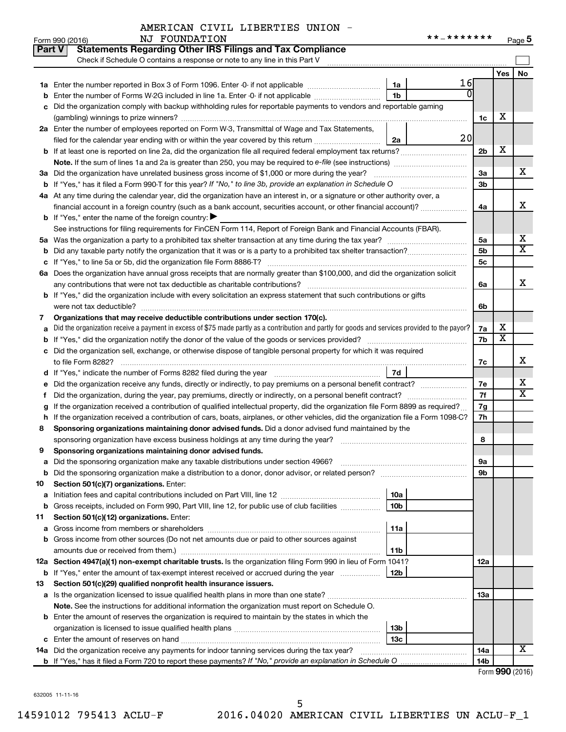|               | AMERICAN CIVIL LIBERTIES UNION - |  |
|---------------|----------------------------------|--|
| NJ FOUNDATION |                                  |  |

|    | <b>Statements Regarding Other IRS Filings and Tax Compliance</b><br><b>Part V</b>                                                                  |                |                         |                              |
|----|----------------------------------------------------------------------------------------------------------------------------------------------------|----------------|-------------------------|------------------------------|
|    | Check if Schedule O contains a response or note to any line in this Part V                                                                         |                |                         |                              |
|    |                                                                                                                                                    |                | Yes                     | No                           |
|    | 1a                                                                                                                                                 | 16             |                         |                              |
|    | <b>b</b> Enter the number of Forms W-2G included in line 1a. Enter -0- if not applicable<br>1 <sub>b</sub>                                         |                |                         |                              |
|    | c Did the organization comply with backup withholding rules for reportable payments to vendors and reportable gaming                               |                |                         |                              |
|    |                                                                                                                                                    | 1c             | х                       |                              |
|    | 2a Enter the number of employees reported on Form W-3, Transmittal of Wage and Tax Statements,                                                     |                |                         |                              |
|    | filed for the calendar year ending with or within the year covered by this return<br>2a                                                            | 20             |                         |                              |
|    | b If at least one is reported on line 2a, did the organization file all required federal employment tax returns?                                   | 2 <sub>b</sub> | х                       |                              |
|    | <b>Note.</b> If the sum of lines 1a and 2a is greater than 250, you may be required to e-file (see instructions)                                   |                |                         |                              |
|    | 3a Did the organization have unrelated business gross income of \$1,000 or more during the year?                                                   | 3a             |                         | х                            |
|    | <b>b</b> If "Yes," has it filed a Form 990-T for this year? If "No," to line 3b, provide an explanation in Schedule O                              | 3 <sub>b</sub> |                         |                              |
|    | 4a At any time during the calendar year, did the organization have an interest in, or a signature or other authority over, a                       |                |                         |                              |
|    | financial account in a foreign country (such as a bank account, securities account, or other financial account)?                                   | 4a             |                         | X                            |
|    | <b>b</b> If "Yes," enter the name of the foreign country: $\blacktriangleright$                                                                    |                |                         |                              |
|    | See instructions for filing requirements for FinCEN Form 114, Report of Foreign Bank and Financial Accounts (FBAR).                                |                |                         |                              |
|    |                                                                                                                                                    | 5a             |                         | х<br>$\overline{\textbf{X}}$ |
|    | <b>b</b> Did any taxable party notify the organization that it was or is a party to a prohibited tax shelter transaction?                          | 5 <sub>b</sub> |                         |                              |
|    |                                                                                                                                                    | 5c             |                         |                              |
|    | 6a Does the organization have annual gross receipts that are normally greater than \$100,000, and did the organization solicit                     |                |                         | X                            |
|    | any contributions that were not tax deductible as charitable contributions?                                                                        | 6a             |                         |                              |
|    | b If "Yes," did the organization include with every solicitation an express statement that such contributions or gifts<br>were not tax deductible? | 6b             |                         |                              |
| 7  | Organizations that may receive deductible contributions under section 170(c).                                                                      |                |                         |                              |
|    | a Did the organization receive a payment in excess of \$75 made partly as a contribution and partly for goods and services provided to the payor?  | 7a             | х                       |                              |
|    | <b>b</b> If "Yes," did the organization notify the donor of the value of the goods or services provided?                                           | 7b             | $\overline{\textbf{x}}$ |                              |
|    | c Did the organization sell, exchange, or otherwise dispose of tangible personal property for which it was required                                |                |                         |                              |
|    | to file Form 8282?                                                                                                                                 | 7c             |                         | х                            |
|    | 7d<br>d If "Yes," indicate the number of Forms 8282 filed during the year manufacture intervent contains the New Yes                               |                |                         |                              |
|    | e Did the organization receive any funds, directly or indirectly, to pay premiums on a personal benefit contract?                                  | 7e             |                         | х                            |
| τ. | Did the organization, during the year, pay premiums, directly or indirectly, on a personal benefit contract?                                       | 7f             |                         | $\overline{\textbf{X}}$      |
| g  | If the organization received a contribution of qualified intellectual property, did the organization file Form 8899 as required?                   | 7g             |                         |                              |
|    | h If the organization received a contribution of cars, boats, airplanes, or other vehicles, did the organization file a Form 1098-C?               | 7h             |                         |                              |
| 8  | Sponsoring organizations maintaining donor advised funds. Did a donor advised fund maintained by the                                               |                |                         |                              |
|    | sponsoring organization have excess business holdings at any time during the year?                                                                 | 8              |                         |                              |
| 9  | Sponsoring organizations maintaining donor advised funds.                                                                                          |                |                         |                              |
|    | a Did the sponsoring organization make any taxable distributions under section 4966?                                                               | 9а             |                         |                              |
|    |                                                                                                                                                    | 9b             |                         |                              |
| 10 | Section 501(c)(7) organizations. Enter:                                                                                                            |                |                         |                              |
|    | 10a                                                                                                                                                |                |                         |                              |
|    | 10 <sub>b</sub><br><b>b</b> Gross receipts, included on Form 990, Part VIII, line 12, for public use of club facilities                            |                |                         |                              |
| 11 | Section 501(c)(12) organizations. Enter:                                                                                                           |                |                         |                              |
|    | 11a                                                                                                                                                |                |                         |                              |
|    | b Gross income from other sources (Do not net amounts due or paid to other sources against                                                         |                |                         |                              |
|    | 11b                                                                                                                                                |                |                         |                              |
|    | 12a Section 4947(a)(1) non-exempt charitable trusts. Is the organization filing Form 990 in lieu of Form 1041?                                     | 12a            |                         |                              |
|    | <b>b</b> If "Yes," enter the amount of tax-exempt interest received or accrued during the year<br>12b                                              |                |                         |                              |
| 13 | Section 501(c)(29) qualified nonprofit health insurance issuers.                                                                                   | 13a            |                         |                              |
|    | Note. See the instructions for additional information the organization must report on Schedule O.                                                  |                |                         |                              |
|    | <b>b</b> Enter the amount of reserves the organization is required to maintain by the states in which the                                          |                |                         |                              |
|    | 13 <sub>b</sub>                                                                                                                                    |                |                         |                              |
|    | 13c                                                                                                                                                |                |                         |                              |
|    |                                                                                                                                                    | 14a            |                         | х                            |
|    |                                                                                                                                                    | 14b            |                         |                              |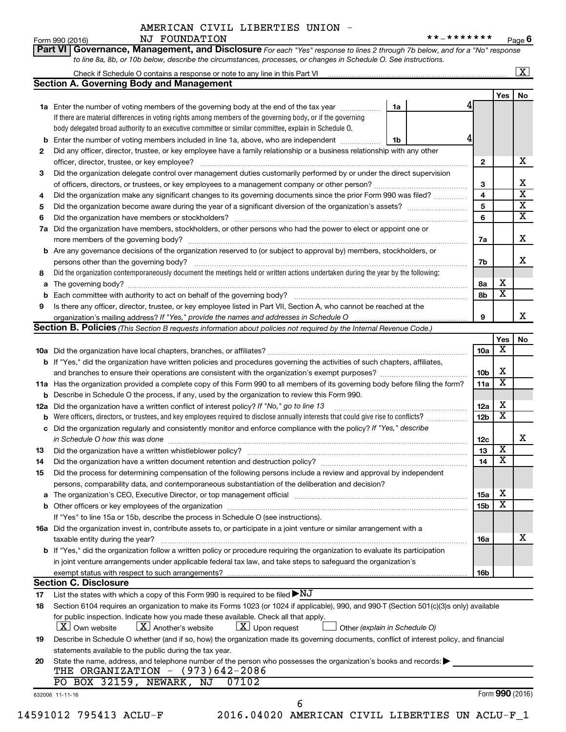Form 990 (2016) NJ FOUNDATION \*\*\_\*\*\*\*\*\*\* <sub>Page</sub> **6**

**Part VI** Governance, Management, and Disclosure For each "Yes" response to lines 2 through 7b below, and for a "No" response *to line 8a, 8b, or 10b below, describe the circumstances, processes, or changes in Schedule O. See instructions.*

|     | Check if Schedule O contains a response or note to any line in this Part VI                                                                                                                                   |                               |                 |                 | $\mathbf{x}$            |
|-----|---------------------------------------------------------------------------------------------------------------------------------------------------------------------------------------------------------------|-------------------------------|-----------------|-----------------|-------------------------|
|     | <b>Section A. Governing Body and Management</b>                                                                                                                                                               |                               |                 |                 |                         |
|     |                                                                                                                                                                                                               |                               |                 | Yes             | No                      |
|     | <b>1a</b> Enter the number of voting members of the governing body at the end of the tax year                                                                                                                 | 1a                            |                 |                 |                         |
|     | If there are material differences in voting rights among members of the governing body, or if the governing                                                                                                   |                               |                 |                 |                         |
|     | body delegated broad authority to an executive committee or similar committee, explain in Schedule O.                                                                                                         |                               |                 |                 |                         |
| b   | Enter the number of voting members included in line 1a, above, who are independent <i>manners</i>                                                                                                             | 1b                            |                 |                 |                         |
| 2   | Did any officer, director, trustee, or key employee have a family relationship or a business relationship with any other                                                                                      |                               |                 |                 |                         |
|     | officer, director, trustee, or key employee?                                                                                                                                                                  |                               | 2               |                 | х                       |
| 3   | Did the organization delegate control over management duties customarily performed by or under the direct supervision                                                                                         |                               |                 |                 |                         |
|     |                                                                                                                                                                                                               |                               | 3               |                 | х                       |
| 4   | Did the organization make any significant changes to its governing documents since the prior Form 990 was filed?                                                                                              |                               | 4               |                 | $\overline{\mathbf{x}}$ |
| 5   |                                                                                                                                                                                                               |                               | 5               |                 | $\overline{\mathbf{X}}$ |
| 6   |                                                                                                                                                                                                               |                               | 6               |                 | $\overline{\mathbf{x}}$ |
| 7a  | Did the organization have members, stockholders, or other persons who had the power to elect or appoint one or                                                                                                |                               |                 |                 |                         |
|     |                                                                                                                                                                                                               |                               | 7a              |                 | х                       |
| b   | Are any governance decisions of the organization reserved to (or subject to approval by) members, stockholders, or                                                                                            |                               |                 |                 |                         |
|     |                                                                                                                                                                                                               |                               | 7b              |                 | х                       |
| 8   | Did the organization contemporaneously document the meetings held or written actions undertaken during the year by the following:                                                                             |                               |                 |                 |                         |
| а   |                                                                                                                                                                                                               |                               | 8а              | х               |                         |
| b   |                                                                                                                                                                                                               |                               | 8b              | х               |                         |
| 9   | Is there any officer, director, trustee, or key employee listed in Part VII, Section A, who cannot be reached at the                                                                                          |                               |                 |                 |                         |
|     |                                                                                                                                                                                                               |                               | 9               |                 | x                       |
|     | <b>Section B. Policies</b> (This Section B requests information about policies not required by the Internal Revenue Code.)                                                                                    |                               |                 |                 |                         |
|     |                                                                                                                                                                                                               |                               |                 | Yes             | No                      |
|     |                                                                                                                                                                                                               |                               | 10a             | х               |                         |
|     | <b>b</b> If "Yes," did the organization have written policies and procedures governing the activities of such chapters, affiliates,                                                                           |                               |                 |                 |                         |
|     |                                                                                                                                                                                                               |                               | 10 <sub>b</sub> | х               |                         |
|     | 11a Has the organization provided a complete copy of this Form 990 to all members of its governing body before filing the form?                                                                               |                               | 11a             | X               |                         |
|     | <b>b</b> Describe in Schedule O the process, if any, used by the organization to review this Form 990.                                                                                                        |                               |                 |                 |                         |
| 12a | Did the organization have a written conflict of interest policy? If "No," go to line 13                                                                                                                       |                               | 12a             | х               |                         |
| b   | Were officers, directors, or trustees, and key employees required to disclose annually interests that could give rise to conflicts?                                                                           |                               | 12 <sub>b</sub> | х               |                         |
|     | c Did the organization regularly and consistently monitor and enforce compliance with the policy? If "Yes," describe                                                                                          |                               |                 |                 |                         |
|     | in Schedule O how this was done <i>maching and accordinational content of the schedule O how this was done</i>                                                                                                |                               | 12c             |                 | х                       |
| 13  |                                                                                                                                                                                                               |                               | 13              | X               |                         |
| 14  | Did the organization have a written document retention and destruction policy? [11] manufaction materials and the organization have a written document retention and destruction policy?                      |                               | 14              | X               |                         |
| 15  | Did the process for determining compensation of the following persons include a review and approval by independent                                                                                            |                               |                 |                 |                         |
|     | persons, comparability data, and contemporaneous substantiation of the deliberation and decision?                                                                                                             |                               |                 |                 |                         |
|     |                                                                                                                                                                                                               |                               | <b>15a</b>      | х               |                         |
|     |                                                                                                                                                                                                               |                               | 15 <sub>b</sub> | х               |                         |
|     | If "Yes" to line 15a or 15b, describe the process in Schedule O (see instructions).                                                                                                                           |                               |                 |                 |                         |
|     | 16a Did the organization invest in, contribute assets to, or participate in a joint venture or similar arrangement with a                                                                                     |                               |                 |                 |                         |
|     | taxable entity during the year?                                                                                                                                                                               |                               | 16a             |                 | х                       |
|     | b If "Yes," did the organization follow a written policy or procedure requiring the organization to evaluate its participation                                                                                |                               |                 |                 |                         |
|     | in joint venture arrangements under applicable federal tax law, and take steps to safeguard the organization's                                                                                                |                               |                 |                 |                         |
|     | exempt status with respect to such arrangements?                                                                                                                                                              |                               | 16b             |                 |                         |
|     | <b>Section C. Disclosure</b>                                                                                                                                                                                  |                               |                 |                 |                         |
| 17  | List the states with which a copy of this Form 990 is required to be filed $\blacktriangleright\text{NJ}$                                                                                                     |                               |                 |                 |                         |
| 18  | Section 6104 requires an organization to make its Forms 1023 (or 1024 if applicable), 990, and 990-T (Section 501(c)(3)s only) available                                                                      |                               |                 |                 |                         |
|     | for public inspection. Indicate how you made these available. Check all that apply.<br>$\lfloor x \rfloor$ Own website<br>$\lfloor \mathbf{X} \rfloor$ Another's website<br>$\boxed{\textbf{X}}$ Upon request |                               |                 |                 |                         |
|     |                                                                                                                                                                                                               | Other (explain in Schedule O) |                 |                 |                         |
| 19  | Describe in Schedule O whether (and if so, how) the organization made its governing documents, conflict of interest policy, and financial                                                                     |                               |                 |                 |                         |
|     | statements available to the public during the tax year.                                                                                                                                                       |                               |                 |                 |                         |
| 20  | State the name, address, and telephone number of the person who possesses the organization's books and records:<br>THE ORGANIZATION $-$ (973)642-2086                                                         |                               |                 |                 |                         |
|     | PO BOX 32159, NEWARK,<br>07102<br>ΝJ                                                                                                                                                                          |                               |                 |                 |                         |
|     | 632006 11-11-16                                                                                                                                                                                               |                               |                 | Form 990 (2016) |                         |
|     | 6<br>14591012 795413 ACLU-F<br>2016.04020 AMERICAN CIVIL LIBERTIES UN ACLU-F_1                                                                                                                                |                               |                 |                 |                         |
|     |                                                                                                                                                                                                               |                               |                 |                 |                         |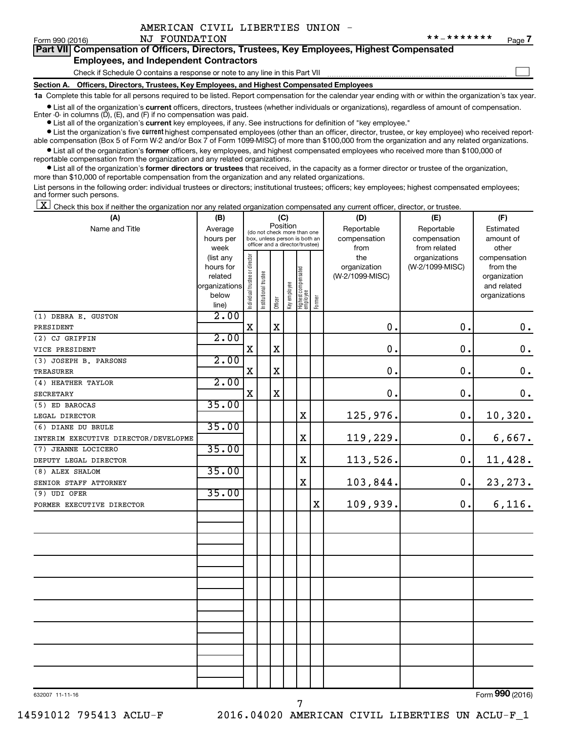$\Box$ 

| Form 990 (2016) |  |  |
|-----------------|--|--|
|-----------------|--|--|

| Part VII Compensation of Officers, Directors, Trustees, Key Employees, Highest Compensated |
|--------------------------------------------------------------------------------------------|
| <b>Employees, and Independent Contractors</b>                                              |

Check if Schedule O contains a response or note to any line in this Part VII

**Section A. Officers, Directors, Trustees, Key Employees, and Highest Compensated Employees**

**1a**  Complete this table for all persons required to be listed. Report compensation for the calendar year ending with or within the organization's tax year.

**•** List all of the organization's current officers, directors, trustees (whether individuals or organizations), regardless of amount of compensation.

**•** List all of the organization's **current** key employees, if any. See instructions for definition of "key employee." Enter -0- in columns  $(D)$ ,  $(E)$ , and  $(F)$  if no compensation was paid.

**•** List the organization's five current highest compensated employees (other than an officer, director, trustee, or key employee) who received report-

**•** List all of the organization's former officers, key employees, and highest compensated employees who received more than \$100,000 of able compensation (Box 5 of Form W-2 and/or Box 7 of Form 1099-MISC) of more than \$100,000 from the organization and any related organizations. reportable compensation from the organization and any related organizations.

**•** List all of the organization's former directors or trustees that received, in the capacity as a former director or trustee of the organization, more than \$10,000 of reportable compensation from the organization and any related organizations.

List persons in the following order: individual trustees or directors; institutional trustees; officers; key employees; highest compensated employees; and former such persons.

 $\boxed{\textbf{X}}$  Check this box if neither the organization nor any related organization compensated any current officer, director, or trustee.

| (A)                                  | (B)               |                                |                                                                          |         | (C)          |                                   |           | (D)                  | (E)                          | (F)                |
|--------------------------------------|-------------------|--------------------------------|--------------------------------------------------------------------------|---------|--------------|-----------------------------------|-----------|----------------------|------------------------------|--------------------|
| Name and Title                       | Average           |                                | Position<br>(do not check more than one<br>box, unless person is both an |         | Reportable   | Reportable                        | Estimated |                      |                              |                    |
|                                      | hours per<br>week |                                |                                                                          |         |              | officer and a director/trustee)   |           | compensation<br>from | compensation<br>from related | amount of<br>other |
|                                      | (list any         |                                |                                                                          |         |              |                                   |           | the                  | organizations                | compensation       |
|                                      | hours for         |                                |                                                                          |         |              |                                   |           | organization         | (W-2/1099-MISC)              | from the           |
|                                      | related           |                                |                                                                          |         |              |                                   |           | (W-2/1099-MISC)      |                              | organization       |
|                                      | organizations     |                                |                                                                          |         |              |                                   |           |                      |                              | and related        |
|                                      | below<br>line)    | Individual trustee or director | Institutional trustee                                                    | Officer | Key employee | Highest compensated<br>  employee | Former    |                      |                              | organizations      |
| (1) DEBRA E. GUSTON                  | 2.00              |                                |                                                                          |         |              |                                   |           |                      |                              |                    |
| PRESIDENT                            |                   | $\mathbf X$                    |                                                                          | X       |              |                                   |           | $\mathbf 0$ .        | $\mathbf 0$ .                | $\boldsymbol{0}$ . |
| (2) CJ GRIFFIN                       | 2.00              |                                |                                                                          |         |              |                                   |           |                      |                              |                    |
| VICE PRESIDENT                       |                   | $\mathbf X$                    |                                                                          | X       |              |                                   |           | $\mathbf 0$ .        | $\mathbf 0$ .                | $\mathbf 0$ .      |
| (3) JOSEPH B. PARSONS                | 2.00              |                                |                                                                          |         |              |                                   |           |                      |                              |                    |
| <b>TREASURER</b>                     |                   | $\mathbf X$                    |                                                                          | X       |              |                                   |           | $\mathbf 0$ .        | $\mathbf 0$ .                | $\mathbf 0$ .      |
| (4) HEATHER TAYLOR                   | 2.00              |                                |                                                                          |         |              |                                   |           |                      |                              |                    |
| <b>SECRETARY</b>                     |                   | X                              |                                                                          | X       |              |                                   |           | 0.                   | $\mathbf 0$ .                | $\mathbf 0$ .      |
| (5) ED BAROCAS                       | 35.00             |                                |                                                                          |         |              |                                   |           |                      |                              |                    |
| LEGAL DIRECTOR                       |                   |                                |                                                                          |         |              | $\mathbf X$                       |           | 125,976.             | 0.                           | 10,320.            |
| (6) DIANE DU BRULE                   | 35.00             |                                |                                                                          |         |              |                                   |           |                      |                              |                    |
| INTERIM EXECUTIVE DIRECTOR/DEVELOPME |                   |                                |                                                                          |         |              | X                                 |           | 119,229.             | 0.                           | 6,667.             |
| (7) JEANNE LOCICERO                  | 35.00             |                                |                                                                          |         |              |                                   |           |                      |                              |                    |
| DEPUTY LEGAL DIRECTOR                |                   |                                |                                                                          |         |              | X                                 |           | 113,526.             | 0.                           | 11,428.            |
| (8) ALEX SHALOM                      | 35.00             |                                |                                                                          |         |              |                                   |           |                      |                              |                    |
| SENIOR STAFF ATTORNEY                |                   |                                |                                                                          |         |              | X                                 |           | 103,844.             | 0.                           | 23, 273.           |
| (9) UDI OFER                         | 35.00             |                                |                                                                          |         |              |                                   |           |                      |                              |                    |
| FORMER EXECUTIVE DIRECTOR            |                   |                                |                                                                          |         |              |                                   | X         | 109,939.             | 0.                           | 6,116.             |
|                                      |                   |                                |                                                                          |         |              |                                   |           |                      |                              |                    |
|                                      |                   |                                |                                                                          |         |              |                                   |           |                      |                              |                    |
|                                      |                   |                                |                                                                          |         |              |                                   |           |                      |                              |                    |
|                                      |                   |                                |                                                                          |         |              |                                   |           |                      |                              |                    |
|                                      |                   |                                |                                                                          |         |              |                                   |           |                      |                              |                    |
|                                      |                   |                                |                                                                          |         |              |                                   |           |                      |                              |                    |
|                                      |                   |                                |                                                                          |         |              |                                   |           |                      |                              |                    |
|                                      |                   |                                |                                                                          |         |              |                                   |           |                      |                              |                    |
|                                      |                   |                                |                                                                          |         |              |                                   |           |                      |                              |                    |
|                                      |                   |                                |                                                                          |         |              |                                   |           |                      |                              |                    |
|                                      |                   |                                |                                                                          |         |              |                                   |           |                      |                              |                    |

7

632007 11-11-16

Form (2016) **990**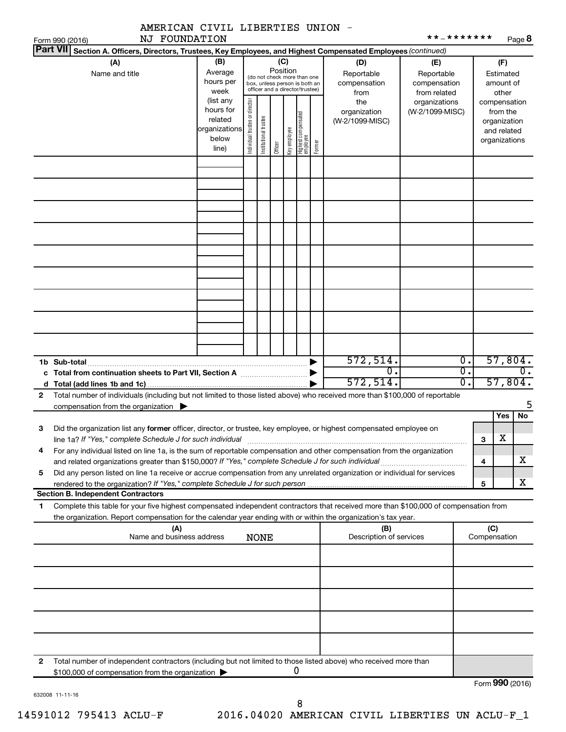|              | AMERICAN CIVIL LIBERTIES UNION -                                                                                                                                                                           |                                                                      |                       |                         |  |                                 |                                                                                                 |                                                |                                                  | * * _ * * * * * * *               |                                                                          |                                        |               |
|--------------|------------------------------------------------------------------------------------------------------------------------------------------------------------------------------------------------------------|----------------------------------------------------------------------|-----------------------|-------------------------|--|---------------------------------|-------------------------------------------------------------------------------------------------|------------------------------------------------|--------------------------------------------------|-----------------------------------|--------------------------------------------------------------------------|----------------------------------------|---------------|
|              | NJ FOUNDATION<br>Form 990 (2016)<br>Part VII Section A. Officers, Directors, Trustees, Key Employees, and Highest Compensated Employees (continued)                                                        |                                                                      |                       |                         |  |                                 |                                                                                                 |                                                |                                                  |                                   |                                                                          |                                        | Page 8        |
|              | (A)<br>Name and title                                                                                                                                                                                      | (B)<br>Average<br>hours per<br>week                                  |                       |                         |  | (C)<br>Position                 | (do not check more than one<br>box, unless person is both an<br>officer and a director/trustee) |                                                | (D)<br>Reportable<br>compensation                | (E)<br>Reportable<br>compensation |                                                                          | (F)<br>Estimated<br>amount of<br>other |               |
|              |                                                                                                                                                                                                            | (list any<br>hours for<br>related<br>organizations<br>below<br>line) | Institutional trustee | key employee<br>Officer |  | Highest compensated<br>employee | Former                                                                                          | from<br>the<br>organization<br>(W-2/1099-MISC) | from related<br>organizations<br>(W-2/1099-MISC) |                                   | compensation<br>from the<br>organization<br>and related<br>organizations |                                        |               |
|              |                                                                                                                                                                                                            |                                                                      |                       |                         |  |                                 |                                                                                                 |                                                |                                                  |                                   |                                                                          |                                        |               |
|              |                                                                                                                                                                                                            |                                                                      |                       |                         |  |                                 |                                                                                                 |                                                |                                                  |                                   |                                                                          |                                        |               |
|              |                                                                                                                                                                                                            |                                                                      |                       |                         |  |                                 |                                                                                                 |                                                |                                                  |                                   |                                                                          |                                        |               |
|              |                                                                                                                                                                                                            |                                                                      |                       |                         |  |                                 |                                                                                                 |                                                |                                                  |                                   |                                                                          |                                        |               |
|              | 1b Sub-total<br>c Total from continuation sheets to Part VII, Section A manuscription by                                                                                                                   |                                                                      |                       |                         |  |                                 |                                                                                                 |                                                | 572, 514.<br>0.                                  |                                   | $\overline{0}$ .<br>$\overline{0}$ .                                     |                                        | 57,804.<br>0. |
| $\mathbf{2}$ | Total number of individuals (including but not limited to those listed above) who received more than \$100,000 of reportable                                                                               |                                                                      |                       |                         |  |                                 |                                                                                                 |                                                | 572, 514.                                        |                                   | $\overline{0}$ .                                                         |                                        | 57,804.       |
|              | compensation from the organization                                                                                                                                                                         |                                                                      |                       |                         |  |                                 |                                                                                                 |                                                |                                                  |                                   |                                                                          | Yes                                    | 5.<br>No      |
| З            | Did the organization list any former officer, director, or trustee, key employee, or highest compensated employee on<br>line 1a? If "Yes," complete Schedule J for such individual                         |                                                                      |                       |                         |  |                                 |                                                                                                 |                                                |                                                  |                                   |                                                                          | $\overline{\textbf{X}}$<br>з           |               |
| 4            | For any individual listed on line 1a, is the sum of reportable compensation and other compensation from the organization                                                                                   |                                                                      |                       |                         |  |                                 |                                                                                                 |                                                |                                                  |                                   |                                                                          | 4                                      | х             |
| 5            | Did any person listed on line 1a receive or accrue compensation from any unrelated organization or individual for services<br>rendered to the organization? If "Yes," complete Schedule J for such person. |                                                                      |                       |                         |  |                                 |                                                                                                 |                                                |                                                  |                                   |                                                                          | 5                                      | х             |
| 1            | <b>Section B. Independent Contractors</b><br>Complete this table for your five highest compensated independent contractors that received more than \$100,000 of compensation from                          |                                                                      |                       |                         |  |                                 |                                                                                                 |                                                |                                                  |                                   |                                                                          |                                        |               |
|              | the organization. Report compensation for the calendar year ending with or within the organization's tax year.                                                                                             |                                                                      |                       |                         |  |                                 |                                                                                                 |                                                |                                                  |                                   |                                                                          |                                        |               |
|              | (A)<br>Name and business address                                                                                                                                                                           |                                                                      |                       | <b>NONE</b>             |  |                                 |                                                                                                 |                                                | (B)<br>Description of services                   |                                   |                                                                          | (C)<br>Compensation                    |               |
|              |                                                                                                                                                                                                            |                                                                      |                       |                         |  |                                 |                                                                                                 |                                                |                                                  |                                   |                                                                          |                                        |               |
|              |                                                                                                                                                                                                            |                                                                      |                       |                         |  |                                 |                                                                                                 |                                                |                                                  |                                   |                                                                          |                                        |               |
|              |                                                                                                                                                                                                            |                                                                      |                       |                         |  |                                 |                                                                                                 |                                                |                                                  |                                   |                                                                          |                                        |               |
| 2            | Total number of independent contractors (including but not limited to those listed above) who received more than                                                                                           |                                                                      |                       |                         |  |                                 |                                                                                                 |                                                |                                                  |                                   |                                                                          |                                        |               |
|              | \$100,000 of compensation from the organization                                                                                                                                                            |                                                                      |                       |                         |  |                                 | 0                                                                                               |                                                |                                                  |                                   |                                                                          | $F_{\text{arm}}$ QQ $\Omega$ (2016)    |               |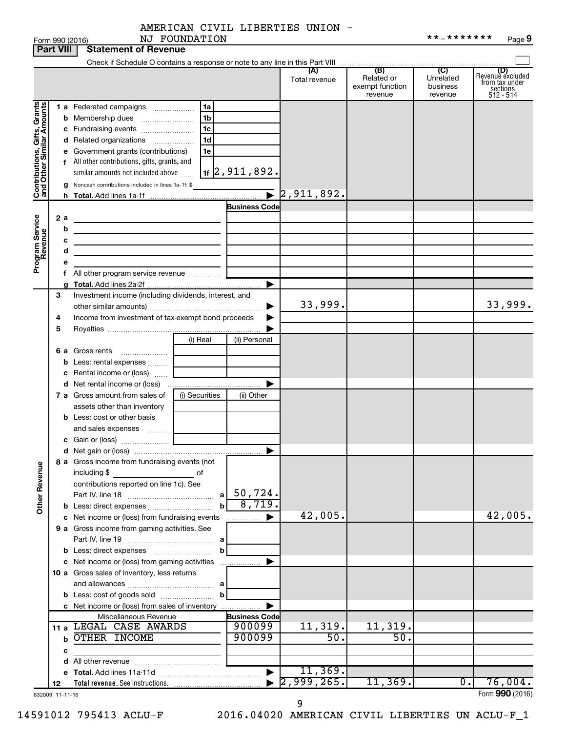|                                                           | <b>Part VIII</b> | <b>Statement of Revenue</b>                                                   |                |                               |                             |                                                 |                                         |                                                                    |
|-----------------------------------------------------------|------------------|-------------------------------------------------------------------------------|----------------|-------------------------------|-----------------------------|-------------------------------------------------|-----------------------------------------|--------------------------------------------------------------------|
|                                                           |                  |                                                                               |                |                               |                             |                                                 |                                         |                                                                    |
|                                                           |                  |                                                                               |                |                               | (A)<br>Total revenue        | (B)<br>Related or<br>exempt function<br>revenue | (C)<br>Unrelated<br>business<br>revenue | (D)<br>Revenue excluded<br>from tax under<br>sections<br>512 - 514 |
|                                                           |                  | 1 a Federated campaigns                                                       | l 1a           |                               |                             |                                                 |                                         |                                                                    |
|                                                           |                  |                                                                               | 1b             |                               |                             |                                                 |                                         |                                                                    |
|                                                           |                  | c Fundraising events                                                          | 1 <sub>c</sub> |                               |                             |                                                 |                                         |                                                                    |
|                                                           |                  | d Related organizations                                                       | 1 <sub>d</sub> |                               |                             |                                                 |                                         |                                                                    |
|                                                           |                  | e Government grants (contributions)                                           | 1e             |                               |                             |                                                 |                                         |                                                                    |
|                                                           |                  | f All other contributions, gifts, grants, and                                 |                |                               |                             |                                                 |                                         |                                                                    |
|                                                           |                  | similar amounts not included above                                            |                | $\vert$ 1f $\vert$ 2,911,892. |                             |                                                 |                                         |                                                                    |
| Contributions, Gifts, Grants<br>and Other Similar Amounts |                  | Noncash contributions included in lines 1a-1f: \$                             |                |                               |                             |                                                 |                                         |                                                                    |
|                                                           |                  |                                                                               |                |                               | $\triangleright$ 2,911,892. |                                                 |                                         |                                                                    |
|                                                           |                  |                                                                               |                | <b>Business Code</b>          |                             |                                                 |                                         |                                                                    |
|                                                           | 2a               | <u> 1980 - Johann John Stone, markin fizikar (</u>                            |                |                               |                             |                                                 |                                         |                                                                    |
|                                                           | b                | the control of the control of the control of the control of the control of    |                |                               |                             |                                                 |                                         |                                                                    |
| Program Service<br>Revenue                                | с<br>d           | the control of the control of the control of the control of the control of    |                |                               |                             |                                                 |                                         |                                                                    |
|                                                           | е                | the contract of the contract of the contract of the contract of               |                |                               |                             |                                                 |                                         |                                                                    |
|                                                           |                  |                                                                               |                |                               |                             |                                                 |                                         |                                                                    |
|                                                           |                  |                                                                               |                | ▶                             |                             |                                                 |                                         |                                                                    |
|                                                           | 3                | Investment income (including dividends, interest, and                         |                |                               |                             |                                                 |                                         |                                                                    |
|                                                           |                  |                                                                               |                |                               | 33,999.                     |                                                 |                                         | 33,999.                                                            |
|                                                           | 4                | Income from investment of tax-exempt bond proceeds                            |                |                               |                             |                                                 |                                         |                                                                    |
|                                                           | 5                |                                                                               |                |                               |                             |                                                 |                                         |                                                                    |
|                                                           |                  |                                                                               | (i) Real       | (ii) Personal                 |                             |                                                 |                                         |                                                                    |
|                                                           |                  | 6 a Gross rents                                                               |                |                               |                             |                                                 |                                         |                                                                    |
|                                                           |                  | Less: rental expenses                                                         |                |                               |                             |                                                 |                                         |                                                                    |
|                                                           |                  | c Rental income or (loss)                                                     |                |                               |                             |                                                 |                                         |                                                                    |
|                                                           |                  |                                                                               |                | ▶                             |                             |                                                 |                                         |                                                                    |
|                                                           |                  | 7 a Gross amount from sales of<br>assets other than inventory                 | (i) Securities | (ii) Other                    |                             |                                                 |                                         |                                                                    |
|                                                           |                  | <b>b</b> Less: cost or other basis                                            |                |                               |                             |                                                 |                                         |                                                                    |
|                                                           |                  | and sales expenses                                                            |                |                               |                             |                                                 |                                         |                                                                    |
|                                                           |                  |                                                                               |                |                               |                             |                                                 |                                         |                                                                    |
|                                                           |                  |                                                                               |                |                               |                             |                                                 |                                         |                                                                    |
| <b>Other Revenue</b>                                      |                  | 8 a Gross income from fundraising events (not<br>including \$<br><u>of</u> of |                |                               |                             |                                                 |                                         |                                                                    |
|                                                           |                  | contributions reported on line 1c). See                                       |                |                               |                             |                                                 |                                         |                                                                    |
|                                                           |                  |                                                                               | a              | 50,724.                       |                             |                                                 |                                         |                                                                    |
|                                                           |                  |                                                                               |                | 8,719.                        |                             |                                                 |                                         |                                                                    |
|                                                           |                  | c Net income or (loss) from fundraising events                                |                | .                             | 42,005.                     |                                                 |                                         | 42,005.                                                            |
|                                                           |                  | 9 a Gross income from gaming activities. See                                  |                |                               |                             |                                                 |                                         |                                                                    |
|                                                           |                  |                                                                               | b              |                               |                             |                                                 |                                         |                                                                    |
|                                                           |                  | c Net income or (loss) from gaming activities                                 |                |                               |                             |                                                 |                                         |                                                                    |
|                                                           |                  | 10 a Gross sales of inventory, less returns                                   |                |                               |                             |                                                 |                                         |                                                                    |
|                                                           |                  |                                                                               |                |                               |                             |                                                 |                                         |                                                                    |
|                                                           |                  |                                                                               | b              |                               |                             |                                                 |                                         |                                                                    |
|                                                           |                  | c Net income or (loss) from sales of inventory                                |                |                               |                             |                                                 |                                         |                                                                    |
|                                                           |                  | Miscellaneous Revenue                                                         |                | <b>Business Code</b>          |                             |                                                 |                                         |                                                                    |
|                                                           |                  | 11 a LEGAL CASE AWARDS                                                        |                | 900099                        | 11,319.                     | 11,319.                                         |                                         |                                                                    |
|                                                           |                  | <b>b OTHER INCOME</b>                                                         |                | 900099                        | 50.                         | 50.                                             |                                         |                                                                    |
|                                                           | c                | the control of the control of the control of                                  |                |                               |                             |                                                 |                                         |                                                                    |
|                                                           |                  |                                                                               |                |                               |                             |                                                 |                                         |                                                                    |
|                                                           |                  |                                                                               |                |                               | 11, 369.                    |                                                 |                                         |                                                                    |
|                                                           | 12               |                                                                               |                |                               | 2,999,265.                  | 11,369.                                         | $\overline{0}$ .                        | 76,004.                                                            |
|                                                           | 632009 11-11-16  |                                                                               |                |                               |                             |                                                 |                                         | Form 990 (2016)                                                    |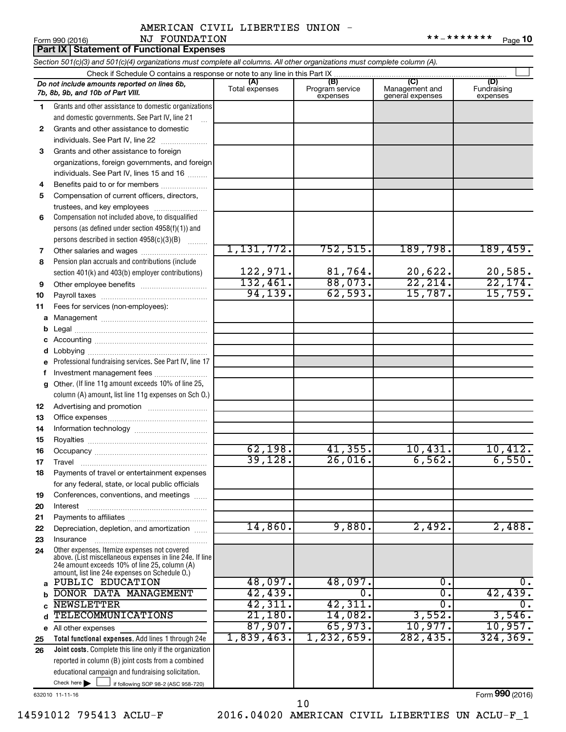|    | Part IX   Statement of Functional Expenses                                                                                                                                                                  |                       |                                    |                                           |                                |  |  |  |  |  |  |
|----|-------------------------------------------------------------------------------------------------------------------------------------------------------------------------------------------------------------|-----------------------|------------------------------------|-------------------------------------------|--------------------------------|--|--|--|--|--|--|
|    | Section 501(c)(3) and 501(c)(4) organizations must complete all columns. All other organizations must complete column (A).                                                                                  |                       |                                    |                                           |                                |  |  |  |  |  |  |
|    | Check if Schedule O contains a response or note to any line in this Part IX                                                                                                                                 |                       |                                    |                                           |                                |  |  |  |  |  |  |
|    | Do not include amounts reported on lines 6b,<br>7b, 8b, 9b, and 10b of Part VIII.                                                                                                                           | (A)<br>Total expenses | (B)<br>Program service<br>expenses | (C)<br>Management and<br>general expenses | (D)<br>Fundraising<br>expenses |  |  |  |  |  |  |
| 1  | Grants and other assistance to domestic organizations                                                                                                                                                       |                       |                                    |                                           |                                |  |  |  |  |  |  |
|    | and domestic governments. See Part IV, line 21                                                                                                                                                              |                       |                                    |                                           |                                |  |  |  |  |  |  |
| 2  | Grants and other assistance to domestic                                                                                                                                                                     |                       |                                    |                                           |                                |  |  |  |  |  |  |
|    | individuals. See Part IV, line 22                                                                                                                                                                           |                       |                                    |                                           |                                |  |  |  |  |  |  |
| 3  | Grants and other assistance to foreign                                                                                                                                                                      |                       |                                    |                                           |                                |  |  |  |  |  |  |
|    | organizations, foreign governments, and foreign                                                                                                                                                             |                       |                                    |                                           |                                |  |  |  |  |  |  |
|    | individuals. See Part IV, lines 15 and 16                                                                                                                                                                   |                       |                                    |                                           |                                |  |  |  |  |  |  |
| 4  | Benefits paid to or for members                                                                                                                                                                             |                       |                                    |                                           |                                |  |  |  |  |  |  |
| 5  | Compensation of current officers, directors,                                                                                                                                                                |                       |                                    |                                           |                                |  |  |  |  |  |  |
|    | trustees, and key employees                                                                                                                                                                                 |                       |                                    |                                           |                                |  |  |  |  |  |  |
| 6  | Compensation not included above, to disqualified                                                                                                                                                            |                       |                                    |                                           |                                |  |  |  |  |  |  |
|    | persons (as defined under section 4958(f)(1)) and                                                                                                                                                           |                       |                                    |                                           |                                |  |  |  |  |  |  |
|    | persons described in section 4958(c)(3)(B)                                                                                                                                                                  |                       |                                    |                                           |                                |  |  |  |  |  |  |
| 7  | Other salaries and wages                                                                                                                                                                                    | 1,131,772.            | 752, 515.                          | 189,798.                                  | 189,459.                       |  |  |  |  |  |  |
| 8  | Pension plan accruals and contributions (include                                                                                                                                                            |                       |                                    |                                           |                                |  |  |  |  |  |  |
|    | section 401(k) and 403(b) employer contributions)                                                                                                                                                           | 122,971.              | $\frac{81,764}{88,073}$ .          | 20,622.<br>$\overline{22,214}$ .          | $\frac{20,585}{22,174}$        |  |  |  |  |  |  |
| 9  | Other employee benefits                                                                                                                                                                                     | 132,461.<br>94, 139.  | 62,593.                            | 15,787.                                   | 15,759.                        |  |  |  |  |  |  |
| 10 |                                                                                                                                                                                                             |                       |                                    |                                           |                                |  |  |  |  |  |  |
| 11 | Fees for services (non-employees):                                                                                                                                                                          |                       |                                    |                                           |                                |  |  |  |  |  |  |
| а  |                                                                                                                                                                                                             |                       |                                    |                                           |                                |  |  |  |  |  |  |
| b  |                                                                                                                                                                                                             |                       |                                    |                                           |                                |  |  |  |  |  |  |
| с  |                                                                                                                                                                                                             |                       |                                    |                                           |                                |  |  |  |  |  |  |
| d  | Professional fundraising services. See Part IV, line 17                                                                                                                                                     |                       |                                    |                                           |                                |  |  |  |  |  |  |
| е  | Investment management fees                                                                                                                                                                                  |                       |                                    |                                           |                                |  |  |  |  |  |  |
| f  | Other. (If line 11g amount exceeds 10% of line 25,                                                                                                                                                          |                       |                                    |                                           |                                |  |  |  |  |  |  |
| g  | column (A) amount, list line 11g expenses on Sch O.)                                                                                                                                                        |                       |                                    |                                           |                                |  |  |  |  |  |  |
| 12 |                                                                                                                                                                                                             |                       |                                    |                                           |                                |  |  |  |  |  |  |
| 13 |                                                                                                                                                                                                             |                       |                                    |                                           |                                |  |  |  |  |  |  |
| 14 |                                                                                                                                                                                                             |                       |                                    |                                           |                                |  |  |  |  |  |  |
| 15 |                                                                                                                                                                                                             |                       |                                    |                                           |                                |  |  |  |  |  |  |
| 16 |                                                                                                                                                                                                             | 62,198.               | 41,355.                            | 10,431.                                   | 10,412.                        |  |  |  |  |  |  |
| 17 | Travel                                                                                                                                                                                                      | 39,128.               | 26,016.                            | 6,562.                                    | 6,550.                         |  |  |  |  |  |  |
| 18 | Payments of travel or entertainment expenses                                                                                                                                                                |                       |                                    |                                           |                                |  |  |  |  |  |  |
|    | for any federal, state, or local public officials                                                                                                                                                           |                       |                                    |                                           |                                |  |  |  |  |  |  |
| 19 | Conferences, conventions, and meetings                                                                                                                                                                      |                       |                                    |                                           |                                |  |  |  |  |  |  |
| 20 | Interest                                                                                                                                                                                                    |                       |                                    |                                           |                                |  |  |  |  |  |  |
| 21 |                                                                                                                                                                                                             |                       |                                    |                                           |                                |  |  |  |  |  |  |
| 22 | Depreciation, depletion, and amortization                                                                                                                                                                   | 14,860.               | 9,880.                             | 2,492.                                    | 2,488.                         |  |  |  |  |  |  |
| 23 | Insurance                                                                                                                                                                                                   |                       |                                    |                                           |                                |  |  |  |  |  |  |
| 24 | Other expenses. Itemize expenses not covered<br>above. (List miscellaneous expenses in line 24e. If line<br>24e amount exceeds 10% of line 25, column (A)<br>amount, list line 24e expenses on Schedule O.) |                       |                                    |                                           |                                |  |  |  |  |  |  |
| a  | PUBLIC EDUCATION                                                                                                                                                                                            | 48,097.               | 48,097.                            | о.                                        | ο.                             |  |  |  |  |  |  |
| b  | DONOR DATA MANAGEMENT                                                                                                                                                                                       | 42,439.               | $\overline{0}$ .                   | σ.                                        | 42,439.                        |  |  |  |  |  |  |
|    | <b>NEWSLETTER</b>                                                                                                                                                                                           | 42,311.               | 42,311.                            | О.                                        | 0.                             |  |  |  |  |  |  |
| d  | <b>TELECOMMUNICATIONS</b>                                                                                                                                                                                   | 21,180.               | 14,082.                            | 3,552.                                    | 3,546.                         |  |  |  |  |  |  |
|    | e All other expenses                                                                                                                                                                                        | 87,907.               | 65,973.                            | 10,977.                                   | 10,957.                        |  |  |  |  |  |  |
| 25 | Total functional expenses. Add lines 1 through 24e                                                                                                                                                          | 1,839,463.            | 1,232,659.                         | 282, 435.                                 | 324, 369.                      |  |  |  |  |  |  |
| 26 | Joint costs. Complete this line only if the organization                                                                                                                                                    |                       |                                    |                                           |                                |  |  |  |  |  |  |
|    | reported in column (B) joint costs from a combined                                                                                                                                                          |                       |                                    |                                           |                                |  |  |  |  |  |  |
|    | educational campaign and fundraising solicitation.                                                                                                                                                          |                       |                                    |                                           |                                |  |  |  |  |  |  |

632010 11-11-16

Check here

 $\Box$ 

if following SOP 98-2 (ASC 958-720)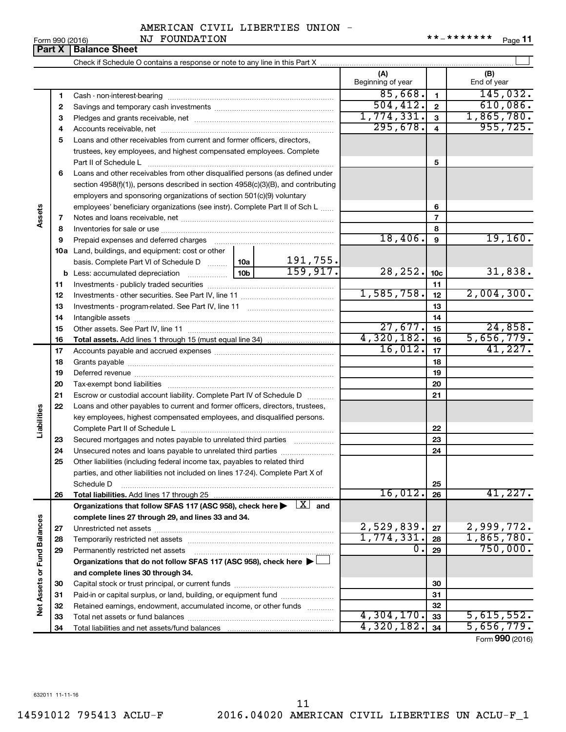**Part X Balance Sheet**

|                      |    |                                                                                                                                                                            |  |            | (A)<br>Beginning of year |                         | (B)<br>End of year |
|----------------------|----|----------------------------------------------------------------------------------------------------------------------------------------------------------------------------|--|------------|--------------------------|-------------------------|--------------------|
|                      | 1  |                                                                                                                                                                            |  |            | 85,668.                  | 1                       | 145,032.           |
|                      | 2  |                                                                                                                                                                            |  |            | 504, 412.                | $\overline{2}$          | 610,086.           |
|                      | З  |                                                                                                                                                                            |  |            | 1,774,331.               | 3                       | 1,865,780.         |
|                      | 4  |                                                                                                                                                                            |  |            | 295,678.                 | $\overline{\mathbf{4}}$ | 955, 725.          |
|                      | 5  | Loans and other receivables from current and former officers, directors,                                                                                                   |  |            |                          |                         |                    |
|                      |    | trustees, key employees, and highest compensated employees. Complete                                                                                                       |  |            |                          |                         |                    |
|                      |    | Part II of Schedule L                                                                                                                                                      |  |            |                          | 5                       |                    |
|                      | 6  | Loans and other receivables from other disqualified persons (as defined under                                                                                              |  |            |                          |                         |                    |
|                      |    | section $4958(f)(1)$ , persons described in section $4958(c)(3)(B)$ , and contributing                                                                                     |  |            |                          |                         |                    |
|                      |    | employers and sponsoring organizations of section 501(c)(9) voluntary                                                                                                      |  |            |                          |                         |                    |
|                      |    | employees' beneficiary organizations (see instr). Complete Part II of Sch L                                                                                                |  |            |                          | 6                       |                    |
| Assets               | 7  |                                                                                                                                                                            |  |            | 7                        |                         |                    |
|                      | 8  |                                                                                                                                                                            |  |            |                          | 8                       |                    |
|                      | 9  |                                                                                                                                                                            |  |            | 18,406.                  | 9                       | 19,160.            |
|                      |    | <b>10a</b> Land, buildings, and equipment: cost or other                                                                                                                   |  |            |                          |                         |                    |
|                      |    | basis. Complete Part VI of Schedule D    10a                                                                                                                               |  | 191,755.   |                          |                         |                    |
|                      |    |                                                                                                                                                                            |  | 159, 917.  | 28, 252.                 | 10c                     | 31,838.            |
|                      | 11 |                                                                                                                                                                            |  | 11         |                          |                         |                    |
|                      | 12 |                                                                                                                                                                            |  | 1,585,758. | 12                       | 2,004,300.              |                    |
|                      | 13 |                                                                                                                                                                            |  |            | 13                       |                         |                    |
|                      | 14 |                                                                                                                                                                            |  |            |                          | 14                      |                    |
|                      | 15 |                                                                                                                                                                            |  |            | 27,677.                  | 15                      | 24,858.            |
|                      | 16 |                                                                                                                                                                            |  |            | 4,320,182.               | 16                      | 5,656,779.         |
|                      | 17 |                                                                                                                                                                            |  | 16,012.    | 17                       | 41,227.                 |                    |
|                      | 18 |                                                                                                                                                                            |  | 18         |                          |                         |                    |
|                      | 19 |                                                                                                                                                                            |  |            | 19                       |                         |                    |
|                      | 20 |                                                                                                                                                                            |  |            |                          | 20                      |                    |
|                      | 21 | Escrow or custodial account liability. Complete Part IV of Schedule D                                                                                                      |  |            |                          | 21                      |                    |
|                      | 22 | Loans and other payables to current and former officers, directors, trustees,                                                                                              |  |            |                          |                         |                    |
| Liabilities          |    | key employees, highest compensated employees, and disqualified persons.                                                                                                    |  |            |                          |                         |                    |
|                      |    |                                                                                                                                                                            |  |            |                          | 22                      |                    |
|                      | 23 | Secured mortgages and notes payable to unrelated third parties                                                                                                             |  |            |                          | 23                      |                    |
|                      | 24 | Unsecured notes and loans payable to unrelated third parties                                                                                                               |  |            |                          | 24                      |                    |
|                      | 25 | Other liabilities (including federal income tax, payables to related third                                                                                                 |  |            |                          |                         |                    |
|                      |    | parties, and other liabilities not included on lines 17-24). Complete Part X of                                                                                            |  |            |                          |                         |                    |
|                      |    | Schedule D                                                                                                                                                                 |  |            | 16,012.                  | 25                      | 41,227.            |
|                      | 26 | Total liabilities. Add lines 17 through 25<br>Organizations that follow SFAS 117 (ASC 958), check here $\blacktriangleright \begin{array}{c} \boxed{X} \\ \end{array}$ and |  |            |                          | 26                      |                    |
|                      |    | complete lines 27 through 29, and lines 33 and 34.                                                                                                                         |  |            |                          |                         |                    |
|                      | 27 |                                                                                                                                                                            |  |            | 2,529,839.               | 27                      | 2,999,772.         |
|                      | 28 |                                                                                                                                                                            |  |            | 1,774,331                | 28                      | 1,865,780.         |
|                      | 29 | Permanently restricted net assets                                                                                                                                          |  |            | о.                       | 29                      | 750,000.           |
| <b>Fund Balances</b> |    | Organizations that do not follow SFAS 117 (ASC 958), check here ▶                                                                                                          |  |            |                          |                         |                    |
|                      |    | and complete lines 30 through 34.                                                                                                                                          |  |            |                          |                         |                    |
| Net Assets or        | 30 |                                                                                                                                                                            |  |            |                          | 30                      |                    |
|                      | 31 | Paid-in or capital surplus, or land, building, or equipment fund                                                                                                           |  |            |                          | 31                      |                    |
|                      | 32 | Retained earnings, endowment, accumulated income, or other funds                                                                                                           |  |            |                          | 32                      |                    |
|                      | 33 |                                                                                                                                                                            |  |            | 4,304,170.               | 33                      | 5,615,552.         |
|                      | 34 |                                                                                                                                                                            |  |            | 4,320,182.               | 34                      | 5,656,779.         |
|                      |    |                                                                                                                                                                            |  |            |                          |                         |                    |

Form (2016) **990**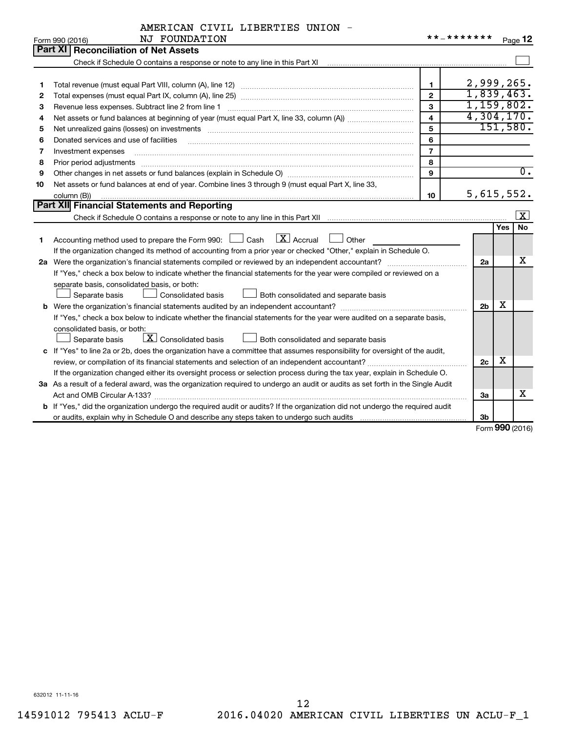|    | NJ FOUNDATION<br>Form 990 (2016)                                                                                                                                                                                                                                                                                                                                                                                                                                             | * * _ * * * * * * *     |                |     | Page 12                 |
|----|------------------------------------------------------------------------------------------------------------------------------------------------------------------------------------------------------------------------------------------------------------------------------------------------------------------------------------------------------------------------------------------------------------------------------------------------------------------------------|-------------------------|----------------|-----|-------------------------|
|    | <b>Part XI Reconciliation of Net Assets</b>                                                                                                                                                                                                                                                                                                                                                                                                                                  |                         |                |     |                         |
|    |                                                                                                                                                                                                                                                                                                                                                                                                                                                                              |                         |                |     |                         |
|    |                                                                                                                                                                                                                                                                                                                                                                                                                                                                              |                         |                |     |                         |
| 1  |                                                                                                                                                                                                                                                                                                                                                                                                                                                                              | 1.                      | 2,999,265.     |     |                         |
| 2  |                                                                                                                                                                                                                                                                                                                                                                                                                                                                              | $\overline{2}$          | 1,839,463.     |     |                         |
| З  | Revenue less expenses. Subtract line 2 from line 1                                                                                                                                                                                                                                                                                                                                                                                                                           | 3                       | 1,159,802.     |     |                         |
| 4  |                                                                                                                                                                                                                                                                                                                                                                                                                                                                              | $\overline{\mathbf{4}}$ | 4,304,170.     |     |                         |
| 5  |                                                                                                                                                                                                                                                                                                                                                                                                                                                                              | 5                       |                |     | 151,580.                |
| 6  | Donated services and use of facilities                                                                                                                                                                                                                                                                                                                                                                                                                                       | 6                       |                |     |                         |
| 7  | Investment expenses                                                                                                                                                                                                                                                                                                                                                                                                                                                          | $\overline{7}$          |                |     |                         |
| 8  | Prior period adjustments<br>$\begin{minipage}{0.5\textwidth} \begin{tabular}{ l l l } \hline \multicolumn{1}{ l l l } \hline \multicolumn{1}{ l l } \hline \multicolumn{1}{ l } \multicolumn{1}{ l } \hline \multicolumn{1}{ l } \multicolumn{1}{ l } \multicolumn{1}{ l } \hline \multicolumn{1}{ l } \multicolumn{1}{ l } \multicolumn{1}{ l } \hline \multicolumn{1}{ l } \multicolumn{1}{ l } \hline \multicolumn{1}{ l } \multicolumn{1}{ l } \hline \multicolumn{1}{ $ | 8                       |                |     |                         |
| 9  |                                                                                                                                                                                                                                                                                                                                                                                                                                                                              | $\mathbf{Q}$            |                |     | $\overline{0}$ .        |
| 10 | Net assets or fund balances at end of year. Combine lines 3 through 9 (must equal Part X, line 33,                                                                                                                                                                                                                                                                                                                                                                           |                         |                |     |                         |
|    | column (B))                                                                                                                                                                                                                                                                                                                                                                                                                                                                  | 10                      | 5,615,552.     |     |                         |
|    | Part XII Financial Statements and Reporting                                                                                                                                                                                                                                                                                                                                                                                                                                  |                         |                |     |                         |
|    |                                                                                                                                                                                                                                                                                                                                                                                                                                                                              |                         |                |     | $\overline{\mathbf{x}}$ |
|    |                                                                                                                                                                                                                                                                                                                                                                                                                                                                              |                         |                | Yes | No                      |
| 1  | $\lfloor x \rfloor$ Accrual<br>Accounting method used to prepare the Form 990: $\Box$ Cash<br>$\Box$ Other                                                                                                                                                                                                                                                                                                                                                                   |                         |                |     |                         |
|    | If the organization changed its method of accounting from a prior year or checked "Other," explain in Schedule O.                                                                                                                                                                                                                                                                                                                                                            |                         |                |     |                         |
|    |                                                                                                                                                                                                                                                                                                                                                                                                                                                                              |                         | 2a             |     | x                       |
|    | If "Yes," check a box below to indicate whether the financial statements for the year were compiled or reviewed on a                                                                                                                                                                                                                                                                                                                                                         |                         |                |     |                         |
|    | separate basis, consolidated basis, or both:                                                                                                                                                                                                                                                                                                                                                                                                                                 |                         |                |     |                         |
|    | Both consolidated and separate basis<br>Separate basis<br>Consolidated basis                                                                                                                                                                                                                                                                                                                                                                                                 |                         |                |     |                         |
|    |                                                                                                                                                                                                                                                                                                                                                                                                                                                                              |                         | 2 <sub>b</sub> | х   |                         |
|    | If "Yes," check a box below to indicate whether the financial statements for the year were audited on a separate basis,                                                                                                                                                                                                                                                                                                                                                      |                         |                |     |                         |
|    | consolidated basis, or both:                                                                                                                                                                                                                                                                                                                                                                                                                                                 |                         |                |     |                         |
|    | $\lfloor x \rfloor$ Consolidated basis<br>Separate basis<br>Both consolidated and separate basis                                                                                                                                                                                                                                                                                                                                                                             |                         |                |     |                         |
|    | c If "Yes" to line 2a or 2b, does the organization have a committee that assumes responsibility for oversight of the audit,                                                                                                                                                                                                                                                                                                                                                  |                         |                |     |                         |
|    | review, or compilation of its financial statements and selection of an independent accountant?                                                                                                                                                                                                                                                                                                                                                                               |                         | 2c             | х   |                         |
|    | If the organization changed either its oversight process or selection process during the tax year, explain in Schedule O.                                                                                                                                                                                                                                                                                                                                                    |                         |                |     |                         |
|    | 3a As a result of a federal award, was the organization required to undergo an audit or audits as set forth in the Single Audit                                                                                                                                                                                                                                                                                                                                              |                         |                |     |                         |
|    |                                                                                                                                                                                                                                                                                                                                                                                                                                                                              |                         | За             |     | х                       |
|    | b If "Yes," did the organization undergo the required audit or audits? If the organization did not undergo the required audit                                                                                                                                                                                                                                                                                                                                                |                         |                |     |                         |
|    |                                                                                                                                                                                                                                                                                                                                                                                                                                                                              |                         | 3b             |     |                         |

Form (2016) **990**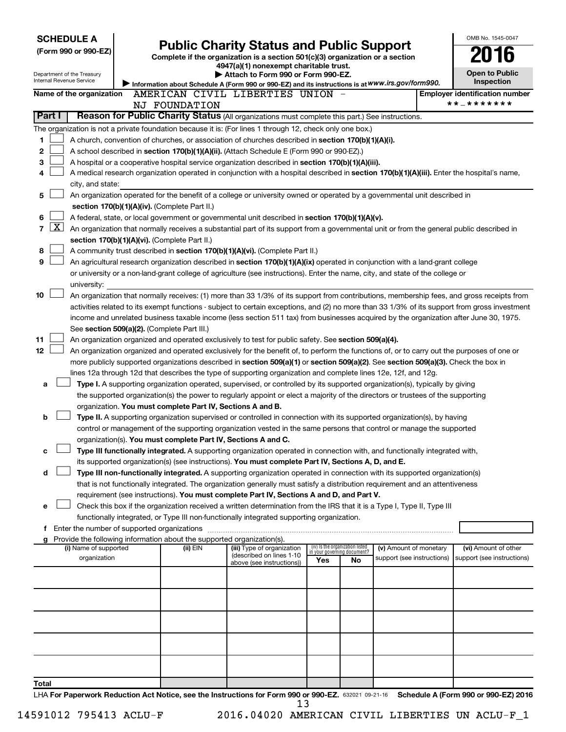| <b>SCHEDULE A</b>          |                                                                          |                                                                                                                                                                                                                                                                |     |                                                                |                                                      |  | OMB No. 1545-0047                                  |  |  |  |
|----------------------------|--------------------------------------------------------------------------|----------------------------------------------------------------------------------------------------------------------------------------------------------------------------------------------------------------------------------------------------------------|-----|----------------------------------------------------------------|------------------------------------------------------|--|----------------------------------------------------|--|--|--|
| (Form 990 or 990-EZ)       |                                                                          | <b>Public Charity Status and Public Support</b>                                                                                                                                                                                                                |     |                                                                |                                                      |  |                                                    |  |  |  |
|                            |                                                                          | Complete if the organization is a section 501(c)(3) organization or a section<br>4947(a)(1) nonexempt charitable trust.                                                                                                                                        |     |                                                                |                                                      |  |                                                    |  |  |  |
| Department of the Treasury |                                                                          | Attach to Form 990 or Form 990-EZ.                                                                                                                                                                                                                             |     |                                                                |                                                      |  | <b>Open to Public</b>                              |  |  |  |
| Internal Revenue Service   |                                                                          | Information about Schedule A (Form 990 or 990-EZ) and its instructions is at WWW.irs.gov/form990.                                                                                                                                                              |     |                                                                |                                                      |  | Inspection                                         |  |  |  |
| Name of the organization   |                                                                          | AMERICAN CIVIL LIBERTIES UNION -                                                                                                                                                                                                                               |     |                                                                |                                                      |  | <b>Employer identification number</b>              |  |  |  |
|                            | NJ FOUNDATION                                                            |                                                                                                                                                                                                                                                                |     |                                                                |                                                      |  | * * _ * * * * * * *                                |  |  |  |
| Part I                     |                                                                          | Reason for Public Charity Status (All organizations must complete this part.) See instructions.                                                                                                                                                                |     |                                                                |                                                      |  |                                                    |  |  |  |
|                            |                                                                          | The organization is not a private foundation because it is: (For lines 1 through 12, check only one box.)                                                                                                                                                      |     |                                                                |                                                      |  |                                                    |  |  |  |
| 1                          |                                                                          | A church, convention of churches, or association of churches described in <b>section 170(b)(1)(A)(i).</b>                                                                                                                                                      |     |                                                                |                                                      |  |                                                    |  |  |  |
| 2                          |                                                                          | A school described in section 170(b)(1)(A)(ii). (Attach Schedule E (Form 990 or 990-EZ).)                                                                                                                                                                      |     |                                                                |                                                      |  |                                                    |  |  |  |
| 3                          |                                                                          | A hospital or a cooperative hospital service organization described in section 170(b)(1)(A)(iii).                                                                                                                                                              |     |                                                                |                                                      |  |                                                    |  |  |  |
| 4                          |                                                                          | A medical research organization operated in conjunction with a hospital described in section 170(b)(1)(A)(iii). Enter the hospital's name,                                                                                                                     |     |                                                                |                                                      |  |                                                    |  |  |  |
| city, and state:           |                                                                          |                                                                                                                                                                                                                                                                |     |                                                                |                                                      |  |                                                    |  |  |  |
| 5                          |                                                                          | An organization operated for the benefit of a college or university owned or operated by a governmental unit described in                                                                                                                                      |     |                                                                |                                                      |  |                                                    |  |  |  |
|                            | section 170(b)(1)(A)(iv). (Complete Part II.)                            |                                                                                                                                                                                                                                                                |     |                                                                |                                                      |  |                                                    |  |  |  |
| 6                          |                                                                          | A federal, state, or local government or governmental unit described in section 170(b)(1)(A)(v).                                                                                                                                                               |     |                                                                |                                                      |  |                                                    |  |  |  |
| $\mathbf{X}$<br>7          |                                                                          | An organization that normally receives a substantial part of its support from a governmental unit or from the general public described in                                                                                                                      |     |                                                                |                                                      |  |                                                    |  |  |  |
|                            | section 170(b)(1)(A)(vi). (Complete Part II.)                            |                                                                                                                                                                                                                                                                |     |                                                                |                                                      |  |                                                    |  |  |  |
| 8                          |                                                                          | A community trust described in section 170(b)(1)(A)(vi). (Complete Part II.)                                                                                                                                                                                   |     |                                                                |                                                      |  |                                                    |  |  |  |
| 9                          |                                                                          | An agricultural research organization described in section 170(b)(1)(A)(ix) operated in conjunction with a land-grant college                                                                                                                                  |     |                                                                |                                                      |  |                                                    |  |  |  |
|                            |                                                                          | or university or a non-land-grant college of agriculture (see instructions). Enter the name, city, and state of the college or                                                                                                                                 |     |                                                                |                                                      |  |                                                    |  |  |  |
| university:                |                                                                          |                                                                                                                                                                                                                                                                |     |                                                                |                                                      |  |                                                    |  |  |  |
| 10                         |                                                                          | An organization that normally receives: (1) more than 33 1/3% of its support from contributions, membership fees, and gross receipts from                                                                                                                      |     |                                                                |                                                      |  |                                                    |  |  |  |
|                            |                                                                          | activities related to its exempt functions - subject to certain exceptions, and (2) no more than 33 1/3% of its support from gross investment                                                                                                                  |     |                                                                |                                                      |  |                                                    |  |  |  |
|                            |                                                                          | income and unrelated business taxable income (less section 511 tax) from businesses acquired by the organization after June 30, 1975.                                                                                                                          |     |                                                                |                                                      |  |                                                    |  |  |  |
|                            | See section 509(a)(2). (Complete Part III.)                              |                                                                                                                                                                                                                                                                |     |                                                                |                                                      |  |                                                    |  |  |  |
| 11                         |                                                                          | An organization organized and operated exclusively to test for public safety. See section 509(a)(4).                                                                                                                                                           |     |                                                                |                                                      |  |                                                    |  |  |  |
| 12                         |                                                                          | An organization organized and operated exclusively for the benefit of, to perform the functions of, or to carry out the purposes of one or                                                                                                                     |     |                                                                |                                                      |  |                                                    |  |  |  |
|                            |                                                                          | more publicly supported organizations described in section 509(a)(1) or section 509(a)(2). See section 509(a)(3). Check the box in                                                                                                                             |     |                                                                |                                                      |  |                                                    |  |  |  |
|                            |                                                                          | lines 12a through 12d that describes the type of supporting organization and complete lines 12e, 12f, and 12g.                                                                                                                                                 |     |                                                                |                                                      |  |                                                    |  |  |  |
| a                          |                                                                          | Type I. A supporting organization operated, supervised, or controlled by its supported organization(s), typically by giving<br>the supported organization(s) the power to regularly appoint or elect a majority of the directors or trustees of the supporting |     |                                                                |                                                      |  |                                                    |  |  |  |
|                            | organization. You must complete Part IV, Sections A and B.               |                                                                                                                                                                                                                                                                |     |                                                                |                                                      |  |                                                    |  |  |  |
| b                          |                                                                          | Type II. A supporting organization supervised or controlled in connection with its supported organization(s), by having                                                                                                                                        |     |                                                                |                                                      |  |                                                    |  |  |  |
|                            |                                                                          | control or management of the supporting organization vested in the same persons that control or manage the supported                                                                                                                                           |     |                                                                |                                                      |  |                                                    |  |  |  |
|                            |                                                                          | organization(s). You must complete Part IV, Sections A and C.                                                                                                                                                                                                  |     |                                                                |                                                      |  |                                                    |  |  |  |
| с                          |                                                                          | Type III functionally integrated. A supporting organization operated in connection with, and functionally integrated with,                                                                                                                                     |     |                                                                |                                                      |  |                                                    |  |  |  |
|                            |                                                                          | its supported organization(s) (see instructions). You must complete Part IV, Sections A, D, and E.                                                                                                                                                             |     |                                                                |                                                      |  |                                                    |  |  |  |
| d                          |                                                                          | Type III non-functionally integrated. A supporting organization operated in connection with its supported organization(s)                                                                                                                                      |     |                                                                |                                                      |  |                                                    |  |  |  |
|                            |                                                                          | that is not functionally integrated. The organization generally must satisfy a distribution requirement and an attentiveness                                                                                                                                   |     |                                                                |                                                      |  |                                                    |  |  |  |
|                            |                                                                          | requirement (see instructions). You must complete Part IV, Sections A and D, and Part V.                                                                                                                                                                       |     |                                                                |                                                      |  |                                                    |  |  |  |
| е                          |                                                                          | Check this box if the organization received a written determination from the IRS that it is a Type I, Type II, Type III                                                                                                                                        |     |                                                                |                                                      |  |                                                    |  |  |  |
|                            |                                                                          | functionally integrated, or Type III non-functionally integrated supporting organization.                                                                                                                                                                      |     |                                                                |                                                      |  |                                                    |  |  |  |
|                            | f Enter the number of supported organizations                            |                                                                                                                                                                                                                                                                |     |                                                                |                                                      |  |                                                    |  |  |  |
|                            | g Provide the following information about the supported organization(s). |                                                                                                                                                                                                                                                                |     |                                                                |                                                      |  |                                                    |  |  |  |
| (i) Name of supported      | (ii) EIN                                                                 | (iii) Type of organization<br>(described on lines 1-10                                                                                                                                                                                                         |     | (iv) Is the organization listed<br>in your governing document? | (v) Amount of monetary<br>support (see instructions) |  | (vi) Amount of other<br>support (see instructions) |  |  |  |
| organization               |                                                                          | above (see instructions))                                                                                                                                                                                                                                      | Yes | No                                                             |                                                      |  |                                                    |  |  |  |
|                            |                                                                          |                                                                                                                                                                                                                                                                |     |                                                                |                                                      |  |                                                    |  |  |  |
|                            |                                                                          |                                                                                                                                                                                                                                                                |     |                                                                |                                                      |  |                                                    |  |  |  |
|                            |                                                                          |                                                                                                                                                                                                                                                                |     |                                                                |                                                      |  |                                                    |  |  |  |
|                            |                                                                          |                                                                                                                                                                                                                                                                |     |                                                                |                                                      |  |                                                    |  |  |  |
|                            |                                                                          |                                                                                                                                                                                                                                                                |     |                                                                |                                                      |  |                                                    |  |  |  |
|                            |                                                                          |                                                                                                                                                                                                                                                                |     |                                                                |                                                      |  |                                                    |  |  |  |
|                            |                                                                          |                                                                                                                                                                                                                                                                |     |                                                                |                                                      |  |                                                    |  |  |  |
|                            |                                                                          |                                                                                                                                                                                                                                                                |     |                                                                |                                                      |  |                                                    |  |  |  |
|                            |                                                                          |                                                                                                                                                                                                                                                                |     |                                                                |                                                      |  |                                                    |  |  |  |
| Total                      |                                                                          |                                                                                                                                                                                                                                                                |     |                                                                |                                                      |  |                                                    |  |  |  |
|                            |                                                                          | LHA For Panerwork Reduction Act Notice, see the Instructions for Form 990 or 990-F7, seems 1994 18 Schedule A (Form 990 or 990-F7) 2016                                                                                                                        |     |                                                                |                                                      |  |                                                    |  |  |  |

632021 09-21-16 **For Paperwork Reduction Act Notice, see the Instructions for Form 990 or 990-EZ. Schedule A (Form 990 or 990-EZ) 2016** LHA  $\overline{13}$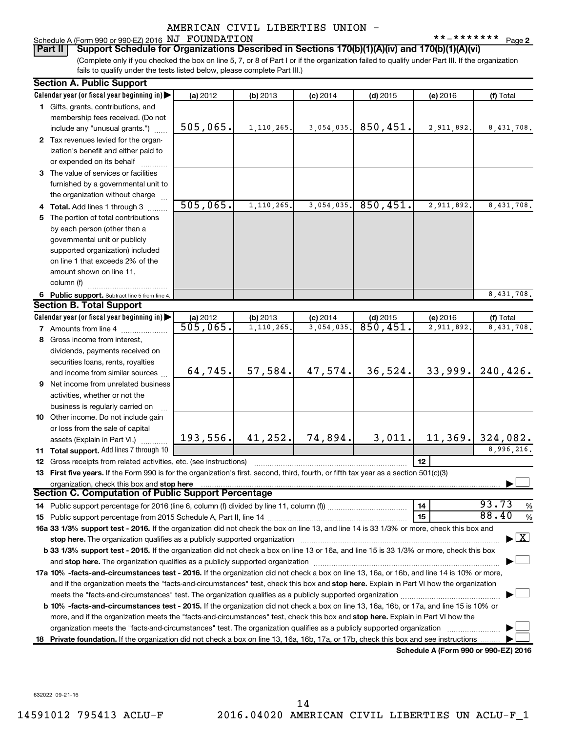**2** Schedule A (Form 990 or 990-EZ) 2016  $NJ$   $\rightarrow$  FOUNDATION  $********$   $_{\text{Page}}$ 

**Part II Support Schedule for Organizations Described in Sections 170(b)(1)(A)(iv) and 170(b)(1)(A)(vi)**

(Complete only if you checked the box on line 5, 7, or 8 of Part I or if the organization failed to qualify under Part III. If the organization fails to qualify under the tests listed below, please complete Part III.)

| Calendar year (or fiscal year beginning in)<br>(a) 2012<br>(b) 2013<br>(f) Total<br>$(c)$ 2014<br>$(d)$ 2015<br>(e) 2016<br>1 Gifts, grants, contributions, and<br>membership fees received. (Do not<br>505,065.<br>850,451.<br>1, 110, 265.<br>3,054,035.<br>2,911,892.<br>8,431,708.<br>include any "unusual grants.")<br>2 Tax revenues levied for the organ-<br>ization's benefit and either paid to<br>or expended on its behalf<br>3 The value of services or facilities<br>furnished by a governmental unit to<br>the organization without charge<br>505,065.<br>850, 451.<br>1,110,265.<br>3,054,035.<br>2,911,892.<br>8,431,708.<br>4 Total. Add lines 1 through 3<br>5 The portion of total contributions<br>by each person (other than a<br>governmental unit or publicly<br>supported organization) included<br>on line 1 that exceeds 2% of the<br>amount shown on line 11,<br>column (f)<br>8,431,708.<br>6 Public support. Subtract line 5 from line 4.<br><b>Section B. Total Support</b><br>Calendar year (or fiscal year beginning in)<br>(b) 2013<br>$(c)$ 2014<br>(e) 2016<br>(f) Total<br>(a) 2012<br>$(d)$ 2015<br>505,065.<br>850,451.<br>3,054,035<br>1,110,265.<br>2,911,892<br>8,431,708.<br>7 Amounts from line 4<br>8 Gross income from interest,<br>dividends, payments received on<br>securities loans, rents, royalties<br>33,999.<br>240,426.<br>64,745.<br>57,584.<br>47,574.<br>36,524.<br>and income from similar sources<br><b>9</b> Net income from unrelated business<br>activities, whether or not the<br>business is regularly carried on<br>10 Other income. Do not include gain<br>or loss from the sale of capital<br>193,556.<br>74,894.<br>3,011.<br>11, 369. 324, 082.<br>41, 252.<br>assets (Explain in Part VI.)<br>8,996,216.<br>11 Total support. Add lines 7 through 10<br>12<br><b>12</b> Gross receipts from related activities, etc. (see instructions)<br>13 First five years. If the Form 990 is for the organization's first, second, third, fourth, or fifth tax year as a section 501(c)(3)<br>organization, check this box and stop here<br><b>Section C. Computation of Public Support Percentage</b><br>93.73<br>%<br>14<br>88.40<br>15<br>%<br>16a 33 1/3% support test - 2016. If the organization did not check the box on line 13, and line 14 is 33 1/3% or more, check this box and<br>$\blacktriangleright$ $\mathbf{X}$<br>stop here. The organization qualifies as a publicly supported organization manufaction manufacture or the organization manufacture or the organization manufacture or the organization of the state of the state of the state<br>b 33 1/3% support test - 2015. If the organization did not check a box on line 13 or 16a, and line 15 is 33 1/3% or more, check this box<br>and stop here. The organization qualifies as a publicly supported organization [11] content to the content of the content of the content of the content of the content of the content of the content of the content of the con<br>17a 10% -facts-and-circumstances test - 2016. If the organization did not check a box on line 13, 16a, or 16b, and line 14 is 10% or more,<br>and if the organization meets the "facts-and-circumstances" test, check this box and stop here. Explain in Part VI how the organization<br><b>b 10%</b> -facts-and-circumstances test - 2015. If the organization did not check a box on line 13, 16a, 16b, or 17a, and line 15 is 10% or<br>more, and if the organization meets the "facts-and-circumstances" test, check this box and stop here. Explain in Part VI how the<br>organization meets the "facts-and-circumstances" test. The organization qualifies as a publicly supported organization<br>Private foundation. If the organization did not check a box on line 13, 16a, 16b, 17a, or 17b, check this box and see instructions.<br>18<br>Schedule A (Form 990 or 990-EZ) 2016 | <b>Section A. Public Support</b> |  |  |  |
|------------------------------------------------------------------------------------------------------------------------------------------------------------------------------------------------------------------------------------------------------------------------------------------------------------------------------------------------------------------------------------------------------------------------------------------------------------------------------------------------------------------------------------------------------------------------------------------------------------------------------------------------------------------------------------------------------------------------------------------------------------------------------------------------------------------------------------------------------------------------------------------------------------------------------------------------------------------------------------------------------------------------------------------------------------------------------------------------------------------------------------------------------------------------------------------------------------------------------------------------------------------------------------------------------------------------------------------------------------------------------------------------------------------------------------------------------------------------------------------------------------------------------------------------------------------------------------------------------------------------------------------------------------------------------------------------------------------------------------------------------------------------------------------------------------------------------------------------------------------------------------------------------------------------------------------------------------------------------------------------------------------------------------------------------------------------------------------------------------------------------------------------------------------------------------------------------------------------------------------------------------------------------------------------------------------------------------------------------------------------------------------------------------------------------------------------------------------------------------------------------------------------------------------------------------------------------------------------------------------------------------------------------------------------------------------------------------------------------------------------------------------------------------------------------------------------------------------------------------------------------------------------------------------------------------------------------------------------------------------------------------------------------------------------------------------------------------------------------------------------------------------------------------------------------------------------------------------------------------------------------------------------------------------------------------------------------------------------------------------------------------------------------------------------------------------------------------------------------------------------------------------------------------------------------------------------------------------------------------------------------------------------------------------------------------------------------------------------------------------------------------------------------------------------------------------------------------------------------------------------------------------------------------|----------------------------------|--|--|--|
|                                                                                                                                                                                                                                                                                                                                                                                                                                                                                                                                                                                                                                                                                                                                                                                                                                                                                                                                                                                                                                                                                                                                                                                                                                                                                                                                                                                                                                                                                                                                                                                                                                                                                                                                                                                                                                                                                                                                                                                                                                                                                                                                                                                                                                                                                                                                                                                                                                                                                                                                                                                                                                                                                                                                                                                                                                                                                                                                                                                                                                                                                                                                                                                                                                                                                                                                                                                                                                                                                                                                                                                                                                                                                                                                                                                                                                                                                                            |                                  |  |  |  |
|                                                                                                                                                                                                                                                                                                                                                                                                                                                                                                                                                                                                                                                                                                                                                                                                                                                                                                                                                                                                                                                                                                                                                                                                                                                                                                                                                                                                                                                                                                                                                                                                                                                                                                                                                                                                                                                                                                                                                                                                                                                                                                                                                                                                                                                                                                                                                                                                                                                                                                                                                                                                                                                                                                                                                                                                                                                                                                                                                                                                                                                                                                                                                                                                                                                                                                                                                                                                                                                                                                                                                                                                                                                                                                                                                                                                                                                                                                            |                                  |  |  |  |
|                                                                                                                                                                                                                                                                                                                                                                                                                                                                                                                                                                                                                                                                                                                                                                                                                                                                                                                                                                                                                                                                                                                                                                                                                                                                                                                                                                                                                                                                                                                                                                                                                                                                                                                                                                                                                                                                                                                                                                                                                                                                                                                                                                                                                                                                                                                                                                                                                                                                                                                                                                                                                                                                                                                                                                                                                                                                                                                                                                                                                                                                                                                                                                                                                                                                                                                                                                                                                                                                                                                                                                                                                                                                                                                                                                                                                                                                                                            |                                  |  |  |  |
|                                                                                                                                                                                                                                                                                                                                                                                                                                                                                                                                                                                                                                                                                                                                                                                                                                                                                                                                                                                                                                                                                                                                                                                                                                                                                                                                                                                                                                                                                                                                                                                                                                                                                                                                                                                                                                                                                                                                                                                                                                                                                                                                                                                                                                                                                                                                                                                                                                                                                                                                                                                                                                                                                                                                                                                                                                                                                                                                                                                                                                                                                                                                                                                                                                                                                                                                                                                                                                                                                                                                                                                                                                                                                                                                                                                                                                                                                                            |                                  |  |  |  |
|                                                                                                                                                                                                                                                                                                                                                                                                                                                                                                                                                                                                                                                                                                                                                                                                                                                                                                                                                                                                                                                                                                                                                                                                                                                                                                                                                                                                                                                                                                                                                                                                                                                                                                                                                                                                                                                                                                                                                                                                                                                                                                                                                                                                                                                                                                                                                                                                                                                                                                                                                                                                                                                                                                                                                                                                                                                                                                                                                                                                                                                                                                                                                                                                                                                                                                                                                                                                                                                                                                                                                                                                                                                                                                                                                                                                                                                                                                            |                                  |  |  |  |
|                                                                                                                                                                                                                                                                                                                                                                                                                                                                                                                                                                                                                                                                                                                                                                                                                                                                                                                                                                                                                                                                                                                                                                                                                                                                                                                                                                                                                                                                                                                                                                                                                                                                                                                                                                                                                                                                                                                                                                                                                                                                                                                                                                                                                                                                                                                                                                                                                                                                                                                                                                                                                                                                                                                                                                                                                                                                                                                                                                                                                                                                                                                                                                                                                                                                                                                                                                                                                                                                                                                                                                                                                                                                                                                                                                                                                                                                                                            |                                  |  |  |  |
|                                                                                                                                                                                                                                                                                                                                                                                                                                                                                                                                                                                                                                                                                                                                                                                                                                                                                                                                                                                                                                                                                                                                                                                                                                                                                                                                                                                                                                                                                                                                                                                                                                                                                                                                                                                                                                                                                                                                                                                                                                                                                                                                                                                                                                                                                                                                                                                                                                                                                                                                                                                                                                                                                                                                                                                                                                                                                                                                                                                                                                                                                                                                                                                                                                                                                                                                                                                                                                                                                                                                                                                                                                                                                                                                                                                                                                                                                                            |                                  |  |  |  |
|                                                                                                                                                                                                                                                                                                                                                                                                                                                                                                                                                                                                                                                                                                                                                                                                                                                                                                                                                                                                                                                                                                                                                                                                                                                                                                                                                                                                                                                                                                                                                                                                                                                                                                                                                                                                                                                                                                                                                                                                                                                                                                                                                                                                                                                                                                                                                                                                                                                                                                                                                                                                                                                                                                                                                                                                                                                                                                                                                                                                                                                                                                                                                                                                                                                                                                                                                                                                                                                                                                                                                                                                                                                                                                                                                                                                                                                                                                            |                                  |  |  |  |
|                                                                                                                                                                                                                                                                                                                                                                                                                                                                                                                                                                                                                                                                                                                                                                                                                                                                                                                                                                                                                                                                                                                                                                                                                                                                                                                                                                                                                                                                                                                                                                                                                                                                                                                                                                                                                                                                                                                                                                                                                                                                                                                                                                                                                                                                                                                                                                                                                                                                                                                                                                                                                                                                                                                                                                                                                                                                                                                                                                                                                                                                                                                                                                                                                                                                                                                                                                                                                                                                                                                                                                                                                                                                                                                                                                                                                                                                                                            |                                  |  |  |  |
|                                                                                                                                                                                                                                                                                                                                                                                                                                                                                                                                                                                                                                                                                                                                                                                                                                                                                                                                                                                                                                                                                                                                                                                                                                                                                                                                                                                                                                                                                                                                                                                                                                                                                                                                                                                                                                                                                                                                                                                                                                                                                                                                                                                                                                                                                                                                                                                                                                                                                                                                                                                                                                                                                                                                                                                                                                                                                                                                                                                                                                                                                                                                                                                                                                                                                                                                                                                                                                                                                                                                                                                                                                                                                                                                                                                                                                                                                                            |                                  |  |  |  |
|                                                                                                                                                                                                                                                                                                                                                                                                                                                                                                                                                                                                                                                                                                                                                                                                                                                                                                                                                                                                                                                                                                                                                                                                                                                                                                                                                                                                                                                                                                                                                                                                                                                                                                                                                                                                                                                                                                                                                                                                                                                                                                                                                                                                                                                                                                                                                                                                                                                                                                                                                                                                                                                                                                                                                                                                                                                                                                                                                                                                                                                                                                                                                                                                                                                                                                                                                                                                                                                                                                                                                                                                                                                                                                                                                                                                                                                                                                            |                                  |  |  |  |
|                                                                                                                                                                                                                                                                                                                                                                                                                                                                                                                                                                                                                                                                                                                                                                                                                                                                                                                                                                                                                                                                                                                                                                                                                                                                                                                                                                                                                                                                                                                                                                                                                                                                                                                                                                                                                                                                                                                                                                                                                                                                                                                                                                                                                                                                                                                                                                                                                                                                                                                                                                                                                                                                                                                                                                                                                                                                                                                                                                                                                                                                                                                                                                                                                                                                                                                                                                                                                                                                                                                                                                                                                                                                                                                                                                                                                                                                                                            |                                  |  |  |  |
|                                                                                                                                                                                                                                                                                                                                                                                                                                                                                                                                                                                                                                                                                                                                                                                                                                                                                                                                                                                                                                                                                                                                                                                                                                                                                                                                                                                                                                                                                                                                                                                                                                                                                                                                                                                                                                                                                                                                                                                                                                                                                                                                                                                                                                                                                                                                                                                                                                                                                                                                                                                                                                                                                                                                                                                                                                                                                                                                                                                                                                                                                                                                                                                                                                                                                                                                                                                                                                                                                                                                                                                                                                                                                                                                                                                                                                                                                                            |                                  |  |  |  |
|                                                                                                                                                                                                                                                                                                                                                                                                                                                                                                                                                                                                                                                                                                                                                                                                                                                                                                                                                                                                                                                                                                                                                                                                                                                                                                                                                                                                                                                                                                                                                                                                                                                                                                                                                                                                                                                                                                                                                                                                                                                                                                                                                                                                                                                                                                                                                                                                                                                                                                                                                                                                                                                                                                                                                                                                                                                                                                                                                                                                                                                                                                                                                                                                                                                                                                                                                                                                                                                                                                                                                                                                                                                                                                                                                                                                                                                                                                            |                                  |  |  |  |
|                                                                                                                                                                                                                                                                                                                                                                                                                                                                                                                                                                                                                                                                                                                                                                                                                                                                                                                                                                                                                                                                                                                                                                                                                                                                                                                                                                                                                                                                                                                                                                                                                                                                                                                                                                                                                                                                                                                                                                                                                                                                                                                                                                                                                                                                                                                                                                                                                                                                                                                                                                                                                                                                                                                                                                                                                                                                                                                                                                                                                                                                                                                                                                                                                                                                                                                                                                                                                                                                                                                                                                                                                                                                                                                                                                                                                                                                                                            |                                  |  |  |  |
|                                                                                                                                                                                                                                                                                                                                                                                                                                                                                                                                                                                                                                                                                                                                                                                                                                                                                                                                                                                                                                                                                                                                                                                                                                                                                                                                                                                                                                                                                                                                                                                                                                                                                                                                                                                                                                                                                                                                                                                                                                                                                                                                                                                                                                                                                                                                                                                                                                                                                                                                                                                                                                                                                                                                                                                                                                                                                                                                                                                                                                                                                                                                                                                                                                                                                                                                                                                                                                                                                                                                                                                                                                                                                                                                                                                                                                                                                                            |                                  |  |  |  |
|                                                                                                                                                                                                                                                                                                                                                                                                                                                                                                                                                                                                                                                                                                                                                                                                                                                                                                                                                                                                                                                                                                                                                                                                                                                                                                                                                                                                                                                                                                                                                                                                                                                                                                                                                                                                                                                                                                                                                                                                                                                                                                                                                                                                                                                                                                                                                                                                                                                                                                                                                                                                                                                                                                                                                                                                                                                                                                                                                                                                                                                                                                                                                                                                                                                                                                                                                                                                                                                                                                                                                                                                                                                                                                                                                                                                                                                                                                            |                                  |  |  |  |
|                                                                                                                                                                                                                                                                                                                                                                                                                                                                                                                                                                                                                                                                                                                                                                                                                                                                                                                                                                                                                                                                                                                                                                                                                                                                                                                                                                                                                                                                                                                                                                                                                                                                                                                                                                                                                                                                                                                                                                                                                                                                                                                                                                                                                                                                                                                                                                                                                                                                                                                                                                                                                                                                                                                                                                                                                                                                                                                                                                                                                                                                                                                                                                                                                                                                                                                                                                                                                                                                                                                                                                                                                                                                                                                                                                                                                                                                                                            |                                  |  |  |  |
|                                                                                                                                                                                                                                                                                                                                                                                                                                                                                                                                                                                                                                                                                                                                                                                                                                                                                                                                                                                                                                                                                                                                                                                                                                                                                                                                                                                                                                                                                                                                                                                                                                                                                                                                                                                                                                                                                                                                                                                                                                                                                                                                                                                                                                                                                                                                                                                                                                                                                                                                                                                                                                                                                                                                                                                                                                                                                                                                                                                                                                                                                                                                                                                                                                                                                                                                                                                                                                                                                                                                                                                                                                                                                                                                                                                                                                                                                                            |                                  |  |  |  |
|                                                                                                                                                                                                                                                                                                                                                                                                                                                                                                                                                                                                                                                                                                                                                                                                                                                                                                                                                                                                                                                                                                                                                                                                                                                                                                                                                                                                                                                                                                                                                                                                                                                                                                                                                                                                                                                                                                                                                                                                                                                                                                                                                                                                                                                                                                                                                                                                                                                                                                                                                                                                                                                                                                                                                                                                                                                                                                                                                                                                                                                                                                                                                                                                                                                                                                                                                                                                                                                                                                                                                                                                                                                                                                                                                                                                                                                                                                            |                                  |  |  |  |
|                                                                                                                                                                                                                                                                                                                                                                                                                                                                                                                                                                                                                                                                                                                                                                                                                                                                                                                                                                                                                                                                                                                                                                                                                                                                                                                                                                                                                                                                                                                                                                                                                                                                                                                                                                                                                                                                                                                                                                                                                                                                                                                                                                                                                                                                                                                                                                                                                                                                                                                                                                                                                                                                                                                                                                                                                                                                                                                                                                                                                                                                                                                                                                                                                                                                                                                                                                                                                                                                                                                                                                                                                                                                                                                                                                                                                                                                                                            |                                  |  |  |  |
|                                                                                                                                                                                                                                                                                                                                                                                                                                                                                                                                                                                                                                                                                                                                                                                                                                                                                                                                                                                                                                                                                                                                                                                                                                                                                                                                                                                                                                                                                                                                                                                                                                                                                                                                                                                                                                                                                                                                                                                                                                                                                                                                                                                                                                                                                                                                                                                                                                                                                                                                                                                                                                                                                                                                                                                                                                                                                                                                                                                                                                                                                                                                                                                                                                                                                                                                                                                                                                                                                                                                                                                                                                                                                                                                                                                                                                                                                                            |                                  |  |  |  |
|                                                                                                                                                                                                                                                                                                                                                                                                                                                                                                                                                                                                                                                                                                                                                                                                                                                                                                                                                                                                                                                                                                                                                                                                                                                                                                                                                                                                                                                                                                                                                                                                                                                                                                                                                                                                                                                                                                                                                                                                                                                                                                                                                                                                                                                                                                                                                                                                                                                                                                                                                                                                                                                                                                                                                                                                                                                                                                                                                                                                                                                                                                                                                                                                                                                                                                                                                                                                                                                                                                                                                                                                                                                                                                                                                                                                                                                                                                            |                                  |  |  |  |
|                                                                                                                                                                                                                                                                                                                                                                                                                                                                                                                                                                                                                                                                                                                                                                                                                                                                                                                                                                                                                                                                                                                                                                                                                                                                                                                                                                                                                                                                                                                                                                                                                                                                                                                                                                                                                                                                                                                                                                                                                                                                                                                                                                                                                                                                                                                                                                                                                                                                                                                                                                                                                                                                                                                                                                                                                                                                                                                                                                                                                                                                                                                                                                                                                                                                                                                                                                                                                                                                                                                                                                                                                                                                                                                                                                                                                                                                                                            |                                  |  |  |  |
|                                                                                                                                                                                                                                                                                                                                                                                                                                                                                                                                                                                                                                                                                                                                                                                                                                                                                                                                                                                                                                                                                                                                                                                                                                                                                                                                                                                                                                                                                                                                                                                                                                                                                                                                                                                                                                                                                                                                                                                                                                                                                                                                                                                                                                                                                                                                                                                                                                                                                                                                                                                                                                                                                                                                                                                                                                                                                                                                                                                                                                                                                                                                                                                                                                                                                                                                                                                                                                                                                                                                                                                                                                                                                                                                                                                                                                                                                                            |                                  |  |  |  |
|                                                                                                                                                                                                                                                                                                                                                                                                                                                                                                                                                                                                                                                                                                                                                                                                                                                                                                                                                                                                                                                                                                                                                                                                                                                                                                                                                                                                                                                                                                                                                                                                                                                                                                                                                                                                                                                                                                                                                                                                                                                                                                                                                                                                                                                                                                                                                                                                                                                                                                                                                                                                                                                                                                                                                                                                                                                                                                                                                                                                                                                                                                                                                                                                                                                                                                                                                                                                                                                                                                                                                                                                                                                                                                                                                                                                                                                                                                            |                                  |  |  |  |
|                                                                                                                                                                                                                                                                                                                                                                                                                                                                                                                                                                                                                                                                                                                                                                                                                                                                                                                                                                                                                                                                                                                                                                                                                                                                                                                                                                                                                                                                                                                                                                                                                                                                                                                                                                                                                                                                                                                                                                                                                                                                                                                                                                                                                                                                                                                                                                                                                                                                                                                                                                                                                                                                                                                                                                                                                                                                                                                                                                                                                                                                                                                                                                                                                                                                                                                                                                                                                                                                                                                                                                                                                                                                                                                                                                                                                                                                                                            |                                  |  |  |  |
|                                                                                                                                                                                                                                                                                                                                                                                                                                                                                                                                                                                                                                                                                                                                                                                                                                                                                                                                                                                                                                                                                                                                                                                                                                                                                                                                                                                                                                                                                                                                                                                                                                                                                                                                                                                                                                                                                                                                                                                                                                                                                                                                                                                                                                                                                                                                                                                                                                                                                                                                                                                                                                                                                                                                                                                                                                                                                                                                                                                                                                                                                                                                                                                                                                                                                                                                                                                                                                                                                                                                                                                                                                                                                                                                                                                                                                                                                                            |                                  |  |  |  |
|                                                                                                                                                                                                                                                                                                                                                                                                                                                                                                                                                                                                                                                                                                                                                                                                                                                                                                                                                                                                                                                                                                                                                                                                                                                                                                                                                                                                                                                                                                                                                                                                                                                                                                                                                                                                                                                                                                                                                                                                                                                                                                                                                                                                                                                                                                                                                                                                                                                                                                                                                                                                                                                                                                                                                                                                                                                                                                                                                                                                                                                                                                                                                                                                                                                                                                                                                                                                                                                                                                                                                                                                                                                                                                                                                                                                                                                                                                            |                                  |  |  |  |
|                                                                                                                                                                                                                                                                                                                                                                                                                                                                                                                                                                                                                                                                                                                                                                                                                                                                                                                                                                                                                                                                                                                                                                                                                                                                                                                                                                                                                                                                                                                                                                                                                                                                                                                                                                                                                                                                                                                                                                                                                                                                                                                                                                                                                                                                                                                                                                                                                                                                                                                                                                                                                                                                                                                                                                                                                                                                                                                                                                                                                                                                                                                                                                                                                                                                                                                                                                                                                                                                                                                                                                                                                                                                                                                                                                                                                                                                                                            |                                  |  |  |  |
|                                                                                                                                                                                                                                                                                                                                                                                                                                                                                                                                                                                                                                                                                                                                                                                                                                                                                                                                                                                                                                                                                                                                                                                                                                                                                                                                                                                                                                                                                                                                                                                                                                                                                                                                                                                                                                                                                                                                                                                                                                                                                                                                                                                                                                                                                                                                                                                                                                                                                                                                                                                                                                                                                                                                                                                                                                                                                                                                                                                                                                                                                                                                                                                                                                                                                                                                                                                                                                                                                                                                                                                                                                                                                                                                                                                                                                                                                                            |                                  |  |  |  |
|                                                                                                                                                                                                                                                                                                                                                                                                                                                                                                                                                                                                                                                                                                                                                                                                                                                                                                                                                                                                                                                                                                                                                                                                                                                                                                                                                                                                                                                                                                                                                                                                                                                                                                                                                                                                                                                                                                                                                                                                                                                                                                                                                                                                                                                                                                                                                                                                                                                                                                                                                                                                                                                                                                                                                                                                                                                                                                                                                                                                                                                                                                                                                                                                                                                                                                                                                                                                                                                                                                                                                                                                                                                                                                                                                                                                                                                                                                            |                                  |  |  |  |
|                                                                                                                                                                                                                                                                                                                                                                                                                                                                                                                                                                                                                                                                                                                                                                                                                                                                                                                                                                                                                                                                                                                                                                                                                                                                                                                                                                                                                                                                                                                                                                                                                                                                                                                                                                                                                                                                                                                                                                                                                                                                                                                                                                                                                                                                                                                                                                                                                                                                                                                                                                                                                                                                                                                                                                                                                                                                                                                                                                                                                                                                                                                                                                                                                                                                                                                                                                                                                                                                                                                                                                                                                                                                                                                                                                                                                                                                                                            |                                  |  |  |  |
|                                                                                                                                                                                                                                                                                                                                                                                                                                                                                                                                                                                                                                                                                                                                                                                                                                                                                                                                                                                                                                                                                                                                                                                                                                                                                                                                                                                                                                                                                                                                                                                                                                                                                                                                                                                                                                                                                                                                                                                                                                                                                                                                                                                                                                                                                                                                                                                                                                                                                                                                                                                                                                                                                                                                                                                                                                                                                                                                                                                                                                                                                                                                                                                                                                                                                                                                                                                                                                                                                                                                                                                                                                                                                                                                                                                                                                                                                                            |                                  |  |  |  |
|                                                                                                                                                                                                                                                                                                                                                                                                                                                                                                                                                                                                                                                                                                                                                                                                                                                                                                                                                                                                                                                                                                                                                                                                                                                                                                                                                                                                                                                                                                                                                                                                                                                                                                                                                                                                                                                                                                                                                                                                                                                                                                                                                                                                                                                                                                                                                                                                                                                                                                                                                                                                                                                                                                                                                                                                                                                                                                                                                                                                                                                                                                                                                                                                                                                                                                                                                                                                                                                                                                                                                                                                                                                                                                                                                                                                                                                                                                            |                                  |  |  |  |
|                                                                                                                                                                                                                                                                                                                                                                                                                                                                                                                                                                                                                                                                                                                                                                                                                                                                                                                                                                                                                                                                                                                                                                                                                                                                                                                                                                                                                                                                                                                                                                                                                                                                                                                                                                                                                                                                                                                                                                                                                                                                                                                                                                                                                                                                                                                                                                                                                                                                                                                                                                                                                                                                                                                                                                                                                                                                                                                                                                                                                                                                                                                                                                                                                                                                                                                                                                                                                                                                                                                                                                                                                                                                                                                                                                                                                                                                                                            |                                  |  |  |  |
|                                                                                                                                                                                                                                                                                                                                                                                                                                                                                                                                                                                                                                                                                                                                                                                                                                                                                                                                                                                                                                                                                                                                                                                                                                                                                                                                                                                                                                                                                                                                                                                                                                                                                                                                                                                                                                                                                                                                                                                                                                                                                                                                                                                                                                                                                                                                                                                                                                                                                                                                                                                                                                                                                                                                                                                                                                                                                                                                                                                                                                                                                                                                                                                                                                                                                                                                                                                                                                                                                                                                                                                                                                                                                                                                                                                                                                                                                                            |                                  |  |  |  |
|                                                                                                                                                                                                                                                                                                                                                                                                                                                                                                                                                                                                                                                                                                                                                                                                                                                                                                                                                                                                                                                                                                                                                                                                                                                                                                                                                                                                                                                                                                                                                                                                                                                                                                                                                                                                                                                                                                                                                                                                                                                                                                                                                                                                                                                                                                                                                                                                                                                                                                                                                                                                                                                                                                                                                                                                                                                                                                                                                                                                                                                                                                                                                                                                                                                                                                                                                                                                                                                                                                                                                                                                                                                                                                                                                                                                                                                                                                            |                                  |  |  |  |
|                                                                                                                                                                                                                                                                                                                                                                                                                                                                                                                                                                                                                                                                                                                                                                                                                                                                                                                                                                                                                                                                                                                                                                                                                                                                                                                                                                                                                                                                                                                                                                                                                                                                                                                                                                                                                                                                                                                                                                                                                                                                                                                                                                                                                                                                                                                                                                                                                                                                                                                                                                                                                                                                                                                                                                                                                                                                                                                                                                                                                                                                                                                                                                                                                                                                                                                                                                                                                                                                                                                                                                                                                                                                                                                                                                                                                                                                                                            |                                  |  |  |  |
|                                                                                                                                                                                                                                                                                                                                                                                                                                                                                                                                                                                                                                                                                                                                                                                                                                                                                                                                                                                                                                                                                                                                                                                                                                                                                                                                                                                                                                                                                                                                                                                                                                                                                                                                                                                                                                                                                                                                                                                                                                                                                                                                                                                                                                                                                                                                                                                                                                                                                                                                                                                                                                                                                                                                                                                                                                                                                                                                                                                                                                                                                                                                                                                                                                                                                                                                                                                                                                                                                                                                                                                                                                                                                                                                                                                                                                                                                                            |                                  |  |  |  |
|                                                                                                                                                                                                                                                                                                                                                                                                                                                                                                                                                                                                                                                                                                                                                                                                                                                                                                                                                                                                                                                                                                                                                                                                                                                                                                                                                                                                                                                                                                                                                                                                                                                                                                                                                                                                                                                                                                                                                                                                                                                                                                                                                                                                                                                                                                                                                                                                                                                                                                                                                                                                                                                                                                                                                                                                                                                                                                                                                                                                                                                                                                                                                                                                                                                                                                                                                                                                                                                                                                                                                                                                                                                                                                                                                                                                                                                                                                            |                                  |  |  |  |
|                                                                                                                                                                                                                                                                                                                                                                                                                                                                                                                                                                                                                                                                                                                                                                                                                                                                                                                                                                                                                                                                                                                                                                                                                                                                                                                                                                                                                                                                                                                                                                                                                                                                                                                                                                                                                                                                                                                                                                                                                                                                                                                                                                                                                                                                                                                                                                                                                                                                                                                                                                                                                                                                                                                                                                                                                                                                                                                                                                                                                                                                                                                                                                                                                                                                                                                                                                                                                                                                                                                                                                                                                                                                                                                                                                                                                                                                                                            |                                  |  |  |  |
|                                                                                                                                                                                                                                                                                                                                                                                                                                                                                                                                                                                                                                                                                                                                                                                                                                                                                                                                                                                                                                                                                                                                                                                                                                                                                                                                                                                                                                                                                                                                                                                                                                                                                                                                                                                                                                                                                                                                                                                                                                                                                                                                                                                                                                                                                                                                                                                                                                                                                                                                                                                                                                                                                                                                                                                                                                                                                                                                                                                                                                                                                                                                                                                                                                                                                                                                                                                                                                                                                                                                                                                                                                                                                                                                                                                                                                                                                                            |                                  |  |  |  |
|                                                                                                                                                                                                                                                                                                                                                                                                                                                                                                                                                                                                                                                                                                                                                                                                                                                                                                                                                                                                                                                                                                                                                                                                                                                                                                                                                                                                                                                                                                                                                                                                                                                                                                                                                                                                                                                                                                                                                                                                                                                                                                                                                                                                                                                                                                                                                                                                                                                                                                                                                                                                                                                                                                                                                                                                                                                                                                                                                                                                                                                                                                                                                                                                                                                                                                                                                                                                                                                                                                                                                                                                                                                                                                                                                                                                                                                                                                            |                                  |  |  |  |
|                                                                                                                                                                                                                                                                                                                                                                                                                                                                                                                                                                                                                                                                                                                                                                                                                                                                                                                                                                                                                                                                                                                                                                                                                                                                                                                                                                                                                                                                                                                                                                                                                                                                                                                                                                                                                                                                                                                                                                                                                                                                                                                                                                                                                                                                                                                                                                                                                                                                                                                                                                                                                                                                                                                                                                                                                                                                                                                                                                                                                                                                                                                                                                                                                                                                                                                                                                                                                                                                                                                                                                                                                                                                                                                                                                                                                                                                                                            |                                  |  |  |  |
|                                                                                                                                                                                                                                                                                                                                                                                                                                                                                                                                                                                                                                                                                                                                                                                                                                                                                                                                                                                                                                                                                                                                                                                                                                                                                                                                                                                                                                                                                                                                                                                                                                                                                                                                                                                                                                                                                                                                                                                                                                                                                                                                                                                                                                                                                                                                                                                                                                                                                                                                                                                                                                                                                                                                                                                                                                                                                                                                                                                                                                                                                                                                                                                                                                                                                                                                                                                                                                                                                                                                                                                                                                                                                                                                                                                                                                                                                                            |                                  |  |  |  |
|                                                                                                                                                                                                                                                                                                                                                                                                                                                                                                                                                                                                                                                                                                                                                                                                                                                                                                                                                                                                                                                                                                                                                                                                                                                                                                                                                                                                                                                                                                                                                                                                                                                                                                                                                                                                                                                                                                                                                                                                                                                                                                                                                                                                                                                                                                                                                                                                                                                                                                                                                                                                                                                                                                                                                                                                                                                                                                                                                                                                                                                                                                                                                                                                                                                                                                                                                                                                                                                                                                                                                                                                                                                                                                                                                                                                                                                                                                            |                                  |  |  |  |
|                                                                                                                                                                                                                                                                                                                                                                                                                                                                                                                                                                                                                                                                                                                                                                                                                                                                                                                                                                                                                                                                                                                                                                                                                                                                                                                                                                                                                                                                                                                                                                                                                                                                                                                                                                                                                                                                                                                                                                                                                                                                                                                                                                                                                                                                                                                                                                                                                                                                                                                                                                                                                                                                                                                                                                                                                                                                                                                                                                                                                                                                                                                                                                                                                                                                                                                                                                                                                                                                                                                                                                                                                                                                                                                                                                                                                                                                                                            |                                  |  |  |  |
|                                                                                                                                                                                                                                                                                                                                                                                                                                                                                                                                                                                                                                                                                                                                                                                                                                                                                                                                                                                                                                                                                                                                                                                                                                                                                                                                                                                                                                                                                                                                                                                                                                                                                                                                                                                                                                                                                                                                                                                                                                                                                                                                                                                                                                                                                                                                                                                                                                                                                                                                                                                                                                                                                                                                                                                                                                                                                                                                                                                                                                                                                                                                                                                                                                                                                                                                                                                                                                                                                                                                                                                                                                                                                                                                                                                                                                                                                                            |                                  |  |  |  |
|                                                                                                                                                                                                                                                                                                                                                                                                                                                                                                                                                                                                                                                                                                                                                                                                                                                                                                                                                                                                                                                                                                                                                                                                                                                                                                                                                                                                                                                                                                                                                                                                                                                                                                                                                                                                                                                                                                                                                                                                                                                                                                                                                                                                                                                                                                                                                                                                                                                                                                                                                                                                                                                                                                                                                                                                                                                                                                                                                                                                                                                                                                                                                                                                                                                                                                                                                                                                                                                                                                                                                                                                                                                                                                                                                                                                                                                                                                            |                                  |  |  |  |

**Schedule A (Form 990 or 990-EZ) 2016**

632022 09-21-16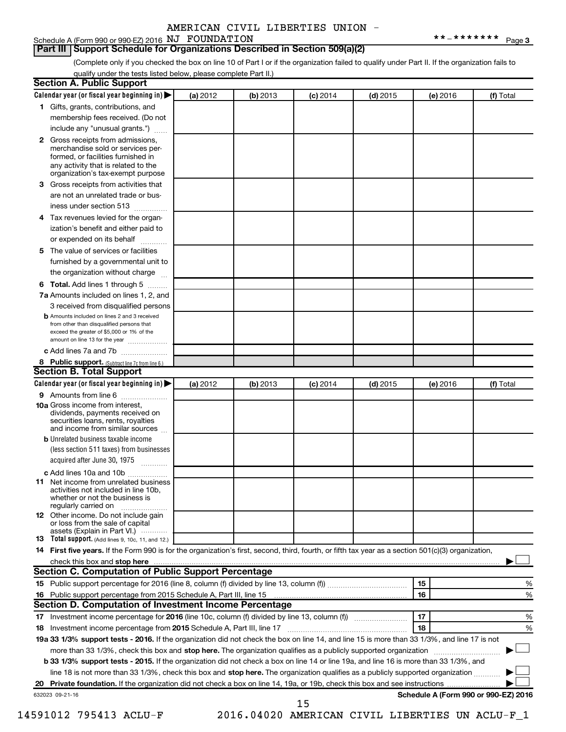#### Schedule A (Form 990 or 990-EZ) 2016  $NJ$   $\rightarrow$  FOUNDATION  $********$   $_{\text{Page}}$ **Part III Support Schedule for Organizations Described in Section 509(a)(2)**

(Complete only if you checked the box on line 10 of Part I or if the organization failed to qualify under Part II. If the organization fails to qualify under the tests listed below, please complete Part II.)

| <b>Section A. Public Support</b>                                                                                                                                                         |          |          |                 |            |          |                                      |
|------------------------------------------------------------------------------------------------------------------------------------------------------------------------------------------|----------|----------|-----------------|------------|----------|--------------------------------------|
| Calendar year (or fiscal year beginning in)                                                                                                                                              | (a) 2012 | (b) 2013 | $(c)$ 2014      | $(d)$ 2015 | (e) 2016 | (f) Total                            |
| 1 Gifts, grants, contributions, and                                                                                                                                                      |          |          |                 |            |          |                                      |
| membership fees received. (Do not                                                                                                                                                        |          |          |                 |            |          |                                      |
| include any "unusual grants.")                                                                                                                                                           |          |          |                 |            |          |                                      |
| 2 Gross receipts from admissions,<br>merchandise sold or services per-<br>formed, or facilities furnished in<br>any activity that is related to the<br>organization's tax-exempt purpose |          |          |                 |            |          |                                      |
| 3 Gross receipts from activities that                                                                                                                                                    |          |          |                 |            |          |                                      |
| are not an unrelated trade or bus-                                                                                                                                                       |          |          |                 |            |          |                                      |
| iness under section 513                                                                                                                                                                  |          |          |                 |            |          |                                      |
| 4 Tax revenues levied for the organ-                                                                                                                                                     |          |          |                 |            |          |                                      |
| ization's benefit and either paid to<br>or expended on its behalf                                                                                                                        |          |          |                 |            |          |                                      |
| 5 The value of services or facilities                                                                                                                                                    |          |          |                 |            |          |                                      |
| furnished by a governmental unit to                                                                                                                                                      |          |          |                 |            |          |                                      |
| the organization without charge                                                                                                                                                          |          |          |                 |            |          |                                      |
| <b>6 Total.</b> Add lines 1 through 5                                                                                                                                                    |          |          |                 |            |          |                                      |
| 7a Amounts included on lines 1, 2, and                                                                                                                                                   |          |          |                 |            |          |                                      |
| 3 received from disqualified persons                                                                                                                                                     |          |          |                 |            |          |                                      |
| <b>b</b> Amounts included on lines 2 and 3 received<br>from other than disqualified persons that<br>exceed the greater of \$5,000 or 1% of the<br>amount on line 13 for the year         |          |          |                 |            |          |                                      |
| c Add lines 7a and 7b                                                                                                                                                                    |          |          |                 |            |          |                                      |
| 8 Public support. (Subtract line 7c from line 6.)                                                                                                                                        |          |          |                 |            |          |                                      |
| <b>Section B. Total Support</b>                                                                                                                                                          |          |          |                 |            |          |                                      |
| Calendar year (or fiscal year beginning in)                                                                                                                                              | (a) 2012 | (b) 2013 | <b>(c)</b> 2014 | $(d)$ 2015 | (e) 2016 | (f) Total                            |
| 9 Amounts from line 6                                                                                                                                                                    |          |          |                 |            |          |                                      |
| <b>10a</b> Gross income from interest,<br>dividends, payments received on<br>securities loans, rents, royalties<br>and income from similar sources                                       |          |          |                 |            |          |                                      |
| <b>b</b> Unrelated business taxable income                                                                                                                                               |          |          |                 |            |          |                                      |
| (less section 511 taxes) from businesses                                                                                                                                                 |          |          |                 |            |          |                                      |
| acquired after June 30, 1975<br>$\frac{1}{2}$                                                                                                                                            |          |          |                 |            |          |                                      |
| c Add lines 10a and 10b                                                                                                                                                                  |          |          |                 |            |          |                                      |
| 11 Net income from unrelated business<br>activities not included in line 10b.<br>whether or not the business is<br>regularly carried on                                                  |          |          |                 |            |          |                                      |
| <b>12</b> Other income. Do not include gain<br>or loss from the sale of capital<br>assets (Explain in Part VI.)                                                                          |          |          |                 |            |          |                                      |
| <b>13</b> Total support. (Add lines 9, 10c, 11, and 12.)                                                                                                                                 |          |          |                 |            |          |                                      |
| 14 First five years. If the Form 990 is for the organization's first, second, third, fourth, or fifth tax year as a section 501(c)(3) organization,                                      |          |          |                 |            |          |                                      |
|                                                                                                                                                                                          |          |          |                 |            |          |                                      |
| Section C. Computation of Public Support Percentage                                                                                                                                      |          |          |                 |            |          |                                      |
|                                                                                                                                                                                          |          |          |                 |            | 15       | %                                    |
| 16 Public support percentage from 2015 Schedule A, Part III, line 15                                                                                                                     |          |          |                 |            | 16       | %                                    |
| Section D. Computation of Investment Income Percentage                                                                                                                                   |          |          |                 |            |          |                                      |
| 17 Investment income percentage for 2016 (line 10c, column (f) divided by line 13, column (f))                                                                                           |          |          |                 |            | 17       | %                                    |
| 18 Investment income percentage from 2015 Schedule A, Part III, line 17                                                                                                                  |          |          |                 |            | 18       | %                                    |
| 19a 33 1/3% support tests - 2016. If the organization did not check the box on line 14, and line 15 is more than 33 1/3%, and line 17 is not                                             |          |          |                 |            |          |                                      |
| more than 33 1/3%, check this box and stop here. The organization qualifies as a publicly supported organization                                                                         |          |          |                 |            |          |                                      |
| b 33 1/3% support tests - 2015. If the organization did not check a box on line 14 or line 19a, and line 16 is more than 33 1/3%, and                                                    |          |          |                 |            |          |                                      |
| line 18 is not more than 33 1/3%, check this box and stop here. The organization qualifies as a publicly supported organization                                                          |          |          |                 |            |          |                                      |
|                                                                                                                                                                                          |          |          |                 |            |          |                                      |
| 632023 09-21-16                                                                                                                                                                          |          |          |                 |            |          | Schedule A (Form 990 or 990-EZ) 2016 |
|                                                                                                                                                                                          |          |          | 15              |            |          |                                      |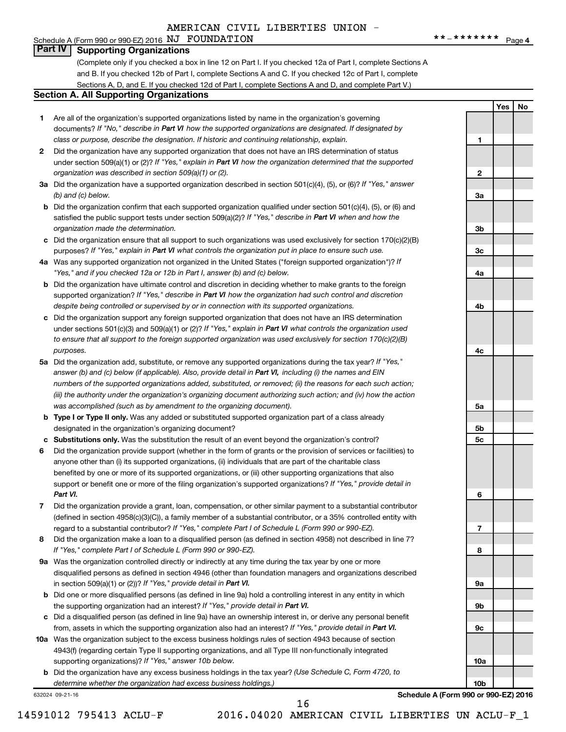#### Schedule A (Form 990 or 990-EZ) 2016  $NJ$   $\rightarrow$  FOUNDATION  $********$   $_{\text{Page}}$ **Part IV Supporting Organizations**

(Complete only if you checked a box in line 12 on Part I. If you checked 12a of Part I, complete Sections A and B. If you checked 12b of Part I, complete Sections A and C. If you checked 12c of Part I, complete Sections A, D, and E. If you checked 12d of Part I, complete Sections A and D, and complete Part V.)

#### **Section A. All Supporting Organizations**

- **1** Are all of the organization's supported organizations listed by name in the organization's governing documents? If "No," describe in Part VI how the supported organizations are designated. If designated by *class or purpose, describe the designation. If historic and continuing relationship, explain.*
- **2** Did the organization have any supported organization that does not have an IRS determination of status under section 509(a)(1) or (2)? If "Yes," explain in Part VI how the organization determined that the supported *organization was described in section 509(a)(1) or (2).*
- **3a** Did the organization have a supported organization described in section 501(c)(4), (5), or (6)? If "Yes," answer *(b) and (c) below.*
- **b** Did the organization confirm that each supported organization qualified under section 501(c)(4), (5), or (6) and satisfied the public support tests under section 509(a)(2)? If "Yes," describe in Part VI when and how the *organization made the determination.*
- **c** Did the organization ensure that all support to such organizations was used exclusively for section 170(c)(2)(B) purposes? If "Yes," explain in Part VI what controls the organization put in place to ensure such use.
- **4 a** *If* Was any supported organization not organized in the United States ("foreign supported organization")? *"Yes," and if you checked 12a or 12b in Part I, answer (b) and (c) below.*
- **b** Did the organization have ultimate control and discretion in deciding whether to make grants to the foreign supported organization? If "Yes," describe in Part VI how the organization had such control and discretion *despite being controlled or supervised by or in connection with its supported organizations.*
- **c** Did the organization support any foreign supported organization that does not have an IRS determination under sections 501(c)(3) and 509(a)(1) or (2)? If "Yes," explain in Part VI what controls the organization used *to ensure that all support to the foreign supported organization was used exclusively for section 170(c)(2)(B) purposes.*
- **5a** Did the organization add, substitute, or remove any supported organizations during the tax year? If "Yes," answer (b) and (c) below (if applicable). Also, provide detail in Part VI, including (i) the names and EIN *numbers of the supported organizations added, substituted, or removed; (ii) the reasons for each such action; (iii) the authority under the organization's organizing document authorizing such action; and (iv) how the action was accomplished (such as by amendment to the organizing document).*
- **b Type I or Type II only.** Was any added or substituted supported organization part of a class already designated in the organization's organizing document?
- **c Substitutions only.**  Was the substitution the result of an event beyond the organization's control?
- **6** Did the organization provide support (whether in the form of grants or the provision of services or facilities) to support or benefit one or more of the filing organization's supported organizations? If "Yes," provide detail in anyone other than (i) its supported organizations, (ii) individuals that are part of the charitable class benefited by one or more of its supported organizations, or (iii) other supporting organizations that also *Part VI.*
- **7** Did the organization provide a grant, loan, compensation, or other similar payment to a substantial contributor regard to a substantial contributor? If "Yes," complete Part I of Schedule L (Form 990 or 990-EZ). (defined in section 4958(c)(3)(C)), a family member of a substantial contributor, or a 35% controlled entity with
- **8** Did the organization make a loan to a disqualified person (as defined in section 4958) not described in line 7? *If "Yes," complete Part I of Schedule L (Form 990 or 990-EZ).*
- **9 a** Was the organization controlled directly or indirectly at any time during the tax year by one or more in section 509(a)(1) or (2))? If "Yes," provide detail in Part VI. disqualified persons as defined in section 4946 (other than foundation managers and organizations described
- **b** Did one or more disqualified persons (as defined in line 9a) hold a controlling interest in any entity in which the supporting organization had an interest? If "Yes," provide detail in Part VI.
- **c** Did a disqualified person (as defined in line 9a) have an ownership interest in, or derive any personal benefit from, assets in which the supporting organization also had an interest? If "Yes," provide detail in Part VI.
- **10 a** Was the organization subject to the excess business holdings rules of section 4943 because of section supporting organizations)? If "Yes," answer 10b below. 4943(f) (regarding certain Type II supporting organizations, and all Type III non-functionally integrated
	- **b** Did the organization have any excess business holdings in the tax year? (Use Schedule C, Form 4720, to *determine whether the organization had excess business holdings.)*

632024 09-21-16

**Yes No 1 2 3a 3b 3c 4a 4b 4c 5a 5b 5c 6 7 8 9a 9b 9c**

**Schedule A (Form 990 or 990-EZ) 2016**

**10a**

**10b**

16

14591012 795413 ACLU-F 2016.04020 AMERICAN CIVIL LIBERTIES UN ACLU-F\_1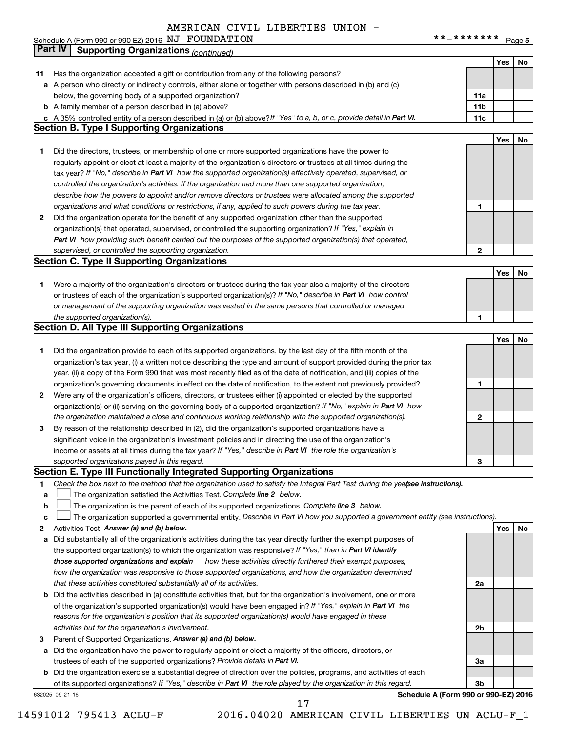## Schedule A (Form 990 or 990-EZ) 2016  $NJ$   $\rightarrow$  FOUNDATION  $********$   $_{\text{Page}}$ AMERICAN CIVIL LIBERTIES UNION -

**5**

|    | Part IV<br><b>Supporting Organizations (continued)</b>                                                                          |                 |     |    |
|----|---------------------------------------------------------------------------------------------------------------------------------|-----------------|-----|----|
|    |                                                                                                                                 |                 | Yes | No |
| 11 | Has the organization accepted a gift or contribution from any of the following persons?                                         |                 |     |    |
|    | a A person who directly or indirectly controls, either alone or together with persons described in (b) and (c)                  |                 |     |    |
|    | below, the governing body of a supported organization?                                                                          | 11a             |     |    |
|    | <b>b</b> A family member of a person described in (a) above?                                                                    | 11 <sub>b</sub> |     |    |
|    | c A 35% controlled entity of a person described in (a) or (b) above? If "Yes" to a, b, or c, provide detail in Part VI.         | 11c             |     |    |
|    | <b>Section B. Type I Supporting Organizations</b>                                                                               |                 |     |    |
|    |                                                                                                                                 |                 | Yes | No |
| 1  | Did the directors, trustees, or membership of one or more supported organizations have the power to                             |                 |     |    |
|    | regularly appoint or elect at least a majority of the organization's directors or trustees at all times during the              |                 |     |    |
|    | tax year? If "No," describe in Part VI how the supported organization(s) effectively operated, supervised, or                   |                 |     |    |
|    | controlled the organization's activities. If the organization had more than one supported organization,                         |                 |     |    |
|    | describe how the powers to appoint and/or remove directors or trustees were allocated among the supported                       |                 |     |    |
|    | organizations and what conditions or restrictions, if any, applied to such powers during the tax year.                          | 1               |     |    |
| 2  | Did the organization operate for the benefit of any supported organization other than the supported                             |                 |     |    |
|    | organization(s) that operated, supervised, or controlled the supporting organization? If "Yes," explain in                      |                 |     |    |
|    | Part VI how providing such benefit carried out the purposes of the supported organization(s) that operated,                     |                 |     |    |
|    | supervised, or controlled the supporting organization.                                                                          | 2               |     |    |
|    | <b>Section C. Type II Supporting Organizations</b>                                                                              |                 |     |    |
|    |                                                                                                                                 |                 | Yes | No |
| 1. | Were a majority of the organization's directors or trustees during the tax year also a majority of the directors                |                 |     |    |
|    | or trustees of each of the organization's supported organization(s)? If "No," describe in Part VI how control                   |                 |     |    |
|    | or management of the supporting organization was vested in the same persons that controlled or managed                          |                 |     |    |
|    | the supported organization(s).                                                                                                  | 1               |     |    |
|    | <b>Section D. All Type III Supporting Organizations</b>                                                                         |                 |     |    |
|    |                                                                                                                                 |                 | Yes | No |
|    |                                                                                                                                 |                 |     |    |
| 1  | Did the organization provide to each of its supported organizations, by the last day of the fifth month of the                  |                 |     |    |
|    | organization's tax year, (i) a written notice describing the type and amount of support provided during the prior tax           |                 |     |    |
|    | year, (ii) a copy of the Form 990 that was most recently filed as of the date of notification, and (iii) copies of the          |                 |     |    |
|    | organization's governing documents in effect on the date of notification, to the extent not previously provided?                | 1               |     |    |
| 2  | Were any of the organization's officers, directors, or trustees either (i) appointed or elected by the supported                |                 |     |    |
|    | organization(s) or (ii) serving on the governing body of a supported organization? If "No," explain in Part VI how              |                 |     |    |
|    | the organization maintained a close and continuous working relationship with the supported organization(s).                     | 2               |     |    |
| 3  | By reason of the relationship described in (2), did the organization's supported organizations have a                           |                 |     |    |
|    | significant voice in the organization's investment policies and in directing the use of the organization's                      |                 |     |    |
|    | income or assets at all times during the tax year? If "Yes," describe in Part VI the role the organization's                    |                 |     |    |
|    | supported organizations played in this regard.                                                                                  | з               |     |    |
|    | Section E. Type III Functionally Integrated Supporting Organizations                                                            |                 |     |    |
| 1  | Check the box next to the method that the organization used to satisfy the Integral Part Test during the yeafsee instructions). |                 |     |    |
| a  | The organization satisfied the Activities Test. Complete line 2 below.                                                          |                 |     |    |
| b  | The organization is the parent of each of its supported organizations. Complete line 3 below.                                   |                 |     |    |
| с  | The organization supported a governmental entity. Describe in Part VI how you supported a government entity (see instructions). |                 |     |    |
| 2  | Activities Test. Answer (a) and (b) below.                                                                                      |                 | Yes | No |
| а  | Did substantially all of the organization's activities during the tax year directly further the exempt purposes of              |                 |     |    |
|    | the supported organization(s) to which the organization was responsive? If "Yes," then in Part VI identify                      |                 |     |    |
|    | those supported organizations and explain<br>how these activities directly furthered their exempt purposes,                     |                 |     |    |
|    | how the organization was responsive to those supported organizations, and how the organization determined                       |                 |     |    |
|    | that these activities constituted substantially all of its activities.                                                          | 2a              |     |    |
| b  | Did the activities described in (a) constitute activities that, but for the organization's involvement, one or more             |                 |     |    |
|    | of the organization's supported organization(s) would have been engaged in? If "Yes," explain in Part VI the                    |                 |     |    |
|    | reasons for the organization's position that its supported organization(s) would have engaged in these                          |                 |     |    |
|    | activities but for the organization's involvement.                                                                              | 2b              |     |    |
| 3  | Parent of Supported Organizations. Answer (a) and (b) below.                                                                    |                 |     |    |
| а  | Did the organization have the power to regularly appoint or elect a majority of the officers, directors, or                     |                 |     |    |
|    | trustees of each of the supported organizations? Provide details in Part VI.                                                    | За              |     |    |
|    | <b>b</b> Did the organization exercise a substantial degree of direction over the policies, programs, and activities of each    |                 |     |    |
|    | of its supported organizations? If "Yes," describe in Part VI the role played by the organization in this regard.               | 3b              |     |    |
|    | Schedule A (Form 990 or 990-EZ) 2016<br>632025 09-21-16                                                                         |                 |     |    |

14591012 795413 ACLU-F 2016.04020 AMERICAN CIVIL LIBERTIES UN ACLU-F\_1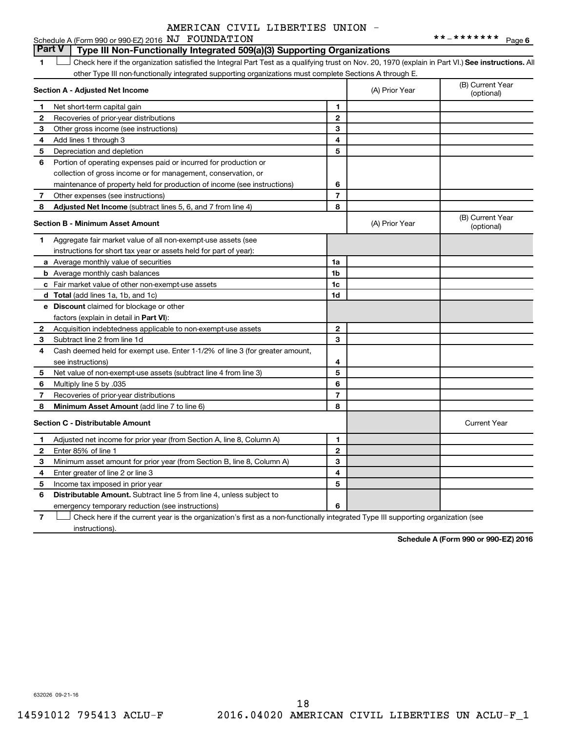# **Part V Type III Non-Functionally Integrated 509(a)(3) Supporting Organizations**

1 **Letter See instructions.** All Check here if the organization satisfied the Integral Part Test as a qualifying trust on Nov. 20, 1970 (explain in Part VI.) See instructions. All other Type III non-functionally integrated supporting organizations must complete Sections A through E.

|              | Section A - Adjusted Net Income                                              |                | (A) Prior Year | (B) Current Year<br>(optional) |
|--------------|------------------------------------------------------------------------------|----------------|----------------|--------------------------------|
| 1            | Net short-term capital gain                                                  | 1              |                |                                |
| 2            | Recoveries of prior-year distributions                                       | $\overline{2}$ |                |                                |
| 3            | Other gross income (see instructions)                                        | 3              |                |                                |
| 4            | Add lines 1 through 3                                                        | 4              |                |                                |
| 5            | Depreciation and depletion                                                   | 5              |                |                                |
| 6            | Portion of operating expenses paid or incurred for production or             |                |                |                                |
|              | collection of gross income or for management, conservation, or               |                |                |                                |
|              | maintenance of property held for production of income (see instructions)     | 6              |                |                                |
| 7            | Other expenses (see instructions)                                            | $\overline{7}$ |                |                                |
| 8            | <b>Adjusted Net Income</b> (subtract lines 5, 6, and 7 from line 4)          | 8              |                |                                |
|              | <b>Section B - Minimum Asset Amount</b>                                      |                | (A) Prior Year | (B) Current Year<br>(optional) |
| 1.           | Aggregate fair market value of all non-exempt-use assets (see                |                |                |                                |
|              | instructions for short tax year or assets held for part of year):            |                |                |                                |
|              | a Average monthly value of securities                                        | 1a             |                |                                |
|              | <b>b</b> Average monthly cash balances                                       | 1 <sub>b</sub> |                |                                |
|              | c Fair market value of other non-exempt-use assets                           | 1c             |                |                                |
|              | <b>d</b> Total (add lines 1a, 1b, and 1c)                                    | 1 <sub>d</sub> |                |                                |
|              | e Discount claimed for blockage or other                                     |                |                |                                |
|              | factors (explain in detail in <b>Part VI</b> ):                              |                |                |                                |
| 2            | Acquisition indebtedness applicable to non-exempt-use assets                 | $\mathbf{2}$   |                |                                |
| 3            | Subtract line 2 from line 1d                                                 | 3              |                |                                |
| 4            | Cash deemed held for exempt use. Enter 1-1/2% of line 3 (for greater amount, |                |                |                                |
|              | see instructions)                                                            | 4              |                |                                |
| 5            | Net value of non-exempt-use assets (subtract line 4 from line 3)             | 5              |                |                                |
| 6            | Multiply line 5 by .035                                                      | 6              |                |                                |
| 7            | Recoveries of prior-year distributions                                       | $\overline{7}$ |                |                                |
| 8            | Minimum Asset Amount (add line 7 to line 6)                                  | 8              |                |                                |
|              | <b>Section C - Distributable Amount</b>                                      |                |                | <b>Current Year</b>            |
| 1            | Adjusted net income for prior year (from Section A, line 8, Column A)        | 1              |                |                                |
| $\mathbf{2}$ | Enter 85% of line 1                                                          | $\overline{2}$ |                |                                |
| З            | Minimum asset amount for prior year (from Section B, line 8, Column A)       | 3              |                |                                |
| 4            | Enter greater of line 2 or line 3                                            | 4              |                |                                |
| 5            | Income tax imposed in prior year                                             | 5              |                |                                |
| 6            | Distributable Amount. Subtract line 5 from line 4, unless subject to         |                |                |                                |
|              | emergency temporary reduction (see instructions)                             | 6              |                |                                |
|              |                                                                              |                |                |                                |

**7** Check here if the current year is the organization's first as a non-functionally integrated Type III supporting organization (see † instructions).

**Schedule A (Form 990 or 990-EZ) 2016**

632026 09-21-16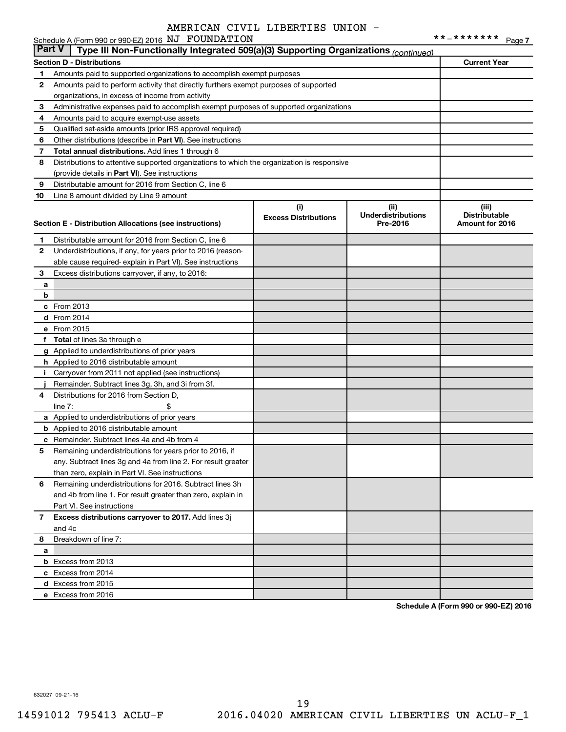|               | Schedule A (Form 990 or 990-EZ) 2016 NJ FOUNDATION                                         |                             |                           | **_*******<br>Page 7 |  |  |  |  |
|---------------|--------------------------------------------------------------------------------------------|-----------------------------|---------------------------|----------------------|--|--|--|--|
| <b>Part V</b> | Type III Non-Functionally Integrated 509(a)(3) Supporting Organizations (continued)        |                             |                           |                      |  |  |  |  |
|               | <b>Section D - Distributions</b>                                                           |                             |                           | <b>Current Year</b>  |  |  |  |  |
| 1             | Amounts paid to supported organizations to accomplish exempt purposes                      |                             |                           |                      |  |  |  |  |
| 2             | Amounts paid to perform activity that directly furthers exempt purposes of supported       |                             |                           |                      |  |  |  |  |
|               | organizations, in excess of income from activity                                           |                             |                           |                      |  |  |  |  |
| 3             | Administrative expenses paid to accomplish exempt purposes of supported organizations      |                             |                           |                      |  |  |  |  |
| 4             | Amounts paid to acquire exempt-use assets                                                  |                             |                           |                      |  |  |  |  |
| 5             | Qualified set-aside amounts (prior IRS approval required)                                  |                             |                           |                      |  |  |  |  |
| 6             | Other distributions (describe in Part VI). See instructions                                |                             |                           |                      |  |  |  |  |
| 7             | Total annual distributions. Add lines 1 through 6                                          |                             |                           |                      |  |  |  |  |
| 8             | Distributions to attentive supported organizations to which the organization is responsive |                             |                           |                      |  |  |  |  |
|               | (provide details in Part VI). See instructions                                             |                             |                           |                      |  |  |  |  |
| 9             | Distributable amount for 2016 from Section C, line 6                                       |                             |                           |                      |  |  |  |  |
| 10            | Line 8 amount divided by Line 9 amount                                                     |                             |                           |                      |  |  |  |  |
|               |                                                                                            | (i)                         | (ii)                      | (iii)                |  |  |  |  |
|               |                                                                                            | <b>Excess Distributions</b> | <b>Underdistributions</b> | <b>Distributable</b> |  |  |  |  |
|               | Section E - Distribution Allocations (see instructions)                                    |                             | Pre-2016                  | Amount for 2016      |  |  |  |  |
| 1             | Distributable amount for 2016 from Section C, line 6                                       |                             |                           |                      |  |  |  |  |
| 2             | Underdistributions, if any, for years prior to 2016 (reason-                               |                             |                           |                      |  |  |  |  |
|               | able cause required- explain in Part VI). See instructions                                 |                             |                           |                      |  |  |  |  |
| 3             | Excess distributions carryover, if any, to 2016:                                           |                             |                           |                      |  |  |  |  |
| a             |                                                                                            |                             |                           |                      |  |  |  |  |
| b             |                                                                                            |                             |                           |                      |  |  |  |  |
|               | c From 2013                                                                                |                             |                           |                      |  |  |  |  |
|               | d From 2014                                                                                |                             |                           |                      |  |  |  |  |
|               | e From 2015                                                                                |                             |                           |                      |  |  |  |  |
|               | f Total of lines 3a through e                                                              |                             |                           |                      |  |  |  |  |
|               | g Applied to underdistributions of prior years                                             |                             |                           |                      |  |  |  |  |
|               | <b>h</b> Applied to 2016 distributable amount                                              |                             |                           |                      |  |  |  |  |
| Ť.            | Carryover from 2011 not applied (see instructions)                                         |                             |                           |                      |  |  |  |  |
|               | Remainder. Subtract lines 3g, 3h, and 3i from 3f.                                          |                             |                           |                      |  |  |  |  |
| 4             | Distributions for 2016 from Section D,                                                     |                             |                           |                      |  |  |  |  |
|               | line $7:$                                                                                  |                             |                           |                      |  |  |  |  |
|               | a Applied to underdistributions of prior years                                             |                             |                           |                      |  |  |  |  |
|               | <b>b</b> Applied to 2016 distributable amount                                              |                             |                           |                      |  |  |  |  |
|               | <b>c</b> Remainder. Subtract lines 4a and 4b from 4                                        |                             |                           |                      |  |  |  |  |
|               | 5 Remaining underdistributions for years prior to 2016, if                                 |                             |                           |                      |  |  |  |  |
|               | any. Subtract lines 3q and 4a from line 2. For result greater                              |                             |                           |                      |  |  |  |  |
|               | than zero, explain in Part VI. See instructions                                            |                             |                           |                      |  |  |  |  |
| 6             | Remaining underdistributions for 2016. Subtract lines 3h                                   |                             |                           |                      |  |  |  |  |
|               | and 4b from line 1. For result greater than zero, explain in                               |                             |                           |                      |  |  |  |  |
|               | Part VI. See instructions                                                                  |                             |                           |                      |  |  |  |  |
| 7             | Excess distributions carryover to 2017. Add lines 3j                                       |                             |                           |                      |  |  |  |  |
|               | and 4c                                                                                     |                             |                           |                      |  |  |  |  |
| 8             | Breakdown of line 7:                                                                       |                             |                           |                      |  |  |  |  |
| a             |                                                                                            |                             |                           |                      |  |  |  |  |
|               | <b>b</b> Excess from 2013                                                                  |                             |                           |                      |  |  |  |  |
|               | c Excess from 2014                                                                         |                             |                           |                      |  |  |  |  |
|               | d Excess from 2015                                                                         |                             |                           |                      |  |  |  |  |
|               | e Excess from 2016                                                                         |                             |                           |                      |  |  |  |  |
|               |                                                                                            |                             |                           |                      |  |  |  |  |

**Schedule A (Form 990 or 990-EZ) 2016**

632027 09-21-16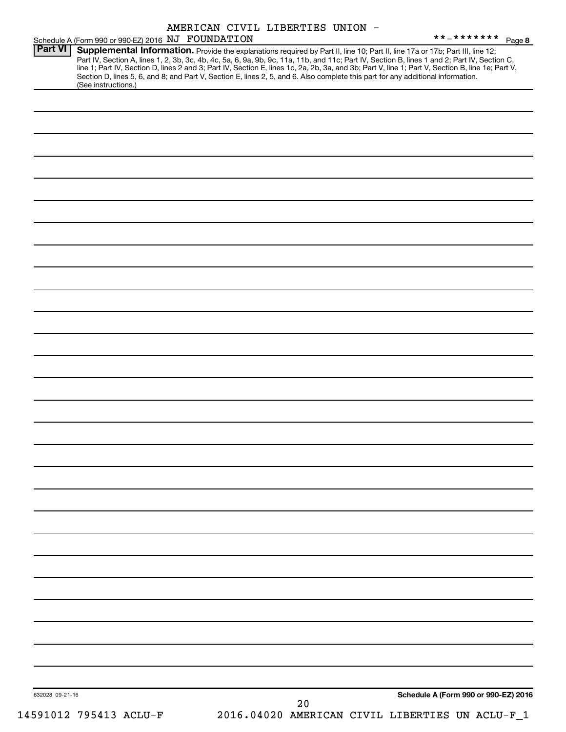|                 |                                                                                                                                                                                                                                                                                                                                                                                                                                                                                                                                                                                                                                                   | AMERICAN CIVIL LIBERTIES UNION - |    |  | **_******* Page 8                               |
|-----------------|---------------------------------------------------------------------------------------------------------------------------------------------------------------------------------------------------------------------------------------------------------------------------------------------------------------------------------------------------------------------------------------------------------------------------------------------------------------------------------------------------------------------------------------------------------------------------------------------------------------------------------------------------|----------------------------------|----|--|-------------------------------------------------|
| Part VI         | Schedule A (Form 990 or 990-EZ) 2016 NJ FOUNDATION<br>Supplemental Information. Provide the explanations required by Part II, line 10; Part II, line 17a or 17b; Part III, line 12;<br>Part IV, Section A, lines 1, 2, 3b, 3c, 4b, 4c, 5a, 6, 9a, 9b, 9c, 11a, 11b, and 11c; Part IV, Section B, lines 1 and 2; Part IV, Section C,<br>line 1; Part IV, Section D, lines 2 and 3; Part IV, Section E, lines 1c, 2a, 2b, 3a, and 3b; Part V, line 1; Part V, Section B, line 1e; Part V,<br>Section D, lines 5, 6, and 8; and Part V, Section E, lines 2, 5, and 6. Also complete this part for any additional information.<br>(See instructions.) |                                  |    |  |                                                 |
|                 |                                                                                                                                                                                                                                                                                                                                                                                                                                                                                                                                                                                                                                                   |                                  |    |  |                                                 |
|                 |                                                                                                                                                                                                                                                                                                                                                                                                                                                                                                                                                                                                                                                   |                                  |    |  |                                                 |
|                 |                                                                                                                                                                                                                                                                                                                                                                                                                                                                                                                                                                                                                                                   |                                  |    |  |                                                 |
|                 |                                                                                                                                                                                                                                                                                                                                                                                                                                                                                                                                                                                                                                                   |                                  |    |  |                                                 |
|                 |                                                                                                                                                                                                                                                                                                                                                                                                                                                                                                                                                                                                                                                   |                                  |    |  |                                                 |
|                 |                                                                                                                                                                                                                                                                                                                                                                                                                                                                                                                                                                                                                                                   |                                  |    |  |                                                 |
|                 |                                                                                                                                                                                                                                                                                                                                                                                                                                                                                                                                                                                                                                                   |                                  |    |  |                                                 |
|                 |                                                                                                                                                                                                                                                                                                                                                                                                                                                                                                                                                                                                                                                   |                                  |    |  |                                                 |
|                 |                                                                                                                                                                                                                                                                                                                                                                                                                                                                                                                                                                                                                                                   |                                  |    |  |                                                 |
|                 |                                                                                                                                                                                                                                                                                                                                                                                                                                                                                                                                                                                                                                                   |                                  |    |  |                                                 |
|                 |                                                                                                                                                                                                                                                                                                                                                                                                                                                                                                                                                                                                                                                   |                                  |    |  |                                                 |
|                 |                                                                                                                                                                                                                                                                                                                                                                                                                                                                                                                                                                                                                                                   |                                  |    |  |                                                 |
|                 |                                                                                                                                                                                                                                                                                                                                                                                                                                                                                                                                                                                                                                                   |                                  |    |  |                                                 |
|                 |                                                                                                                                                                                                                                                                                                                                                                                                                                                                                                                                                                                                                                                   |                                  |    |  |                                                 |
|                 |                                                                                                                                                                                                                                                                                                                                                                                                                                                                                                                                                                                                                                                   |                                  |    |  |                                                 |
|                 |                                                                                                                                                                                                                                                                                                                                                                                                                                                                                                                                                                                                                                                   |                                  |    |  |                                                 |
|                 |                                                                                                                                                                                                                                                                                                                                                                                                                                                                                                                                                                                                                                                   |                                  |    |  |                                                 |
|                 |                                                                                                                                                                                                                                                                                                                                                                                                                                                                                                                                                                                                                                                   |                                  |    |  |                                                 |
|                 |                                                                                                                                                                                                                                                                                                                                                                                                                                                                                                                                                                                                                                                   |                                  |    |  |                                                 |
|                 |                                                                                                                                                                                                                                                                                                                                                                                                                                                                                                                                                                                                                                                   |                                  |    |  |                                                 |
|                 |                                                                                                                                                                                                                                                                                                                                                                                                                                                                                                                                                                                                                                                   |                                  |    |  |                                                 |
|                 |                                                                                                                                                                                                                                                                                                                                                                                                                                                                                                                                                                                                                                                   |                                  |    |  |                                                 |
|                 |                                                                                                                                                                                                                                                                                                                                                                                                                                                                                                                                                                                                                                                   |                                  |    |  |                                                 |
|                 |                                                                                                                                                                                                                                                                                                                                                                                                                                                                                                                                                                                                                                                   |                                  |    |  |                                                 |
|                 |                                                                                                                                                                                                                                                                                                                                                                                                                                                                                                                                                                                                                                                   |                                  |    |  |                                                 |
|                 |                                                                                                                                                                                                                                                                                                                                                                                                                                                                                                                                                                                                                                                   |                                  |    |  |                                                 |
|                 |                                                                                                                                                                                                                                                                                                                                                                                                                                                                                                                                                                                                                                                   |                                  |    |  |                                                 |
|                 |                                                                                                                                                                                                                                                                                                                                                                                                                                                                                                                                                                                                                                                   |                                  |    |  |                                                 |
|                 |                                                                                                                                                                                                                                                                                                                                                                                                                                                                                                                                                                                                                                                   |                                  |    |  |                                                 |
| 632028 09-21-16 |                                                                                                                                                                                                                                                                                                                                                                                                                                                                                                                                                                                                                                                   |                                  |    |  | Schedule A (Form 990 or 990-EZ) 2016            |
|                 | 14591012 795413 ACLU-F                                                                                                                                                                                                                                                                                                                                                                                                                                                                                                                                                                                                                            |                                  | 20 |  | 2016.04020 AMERICAN CIVIL LIBERTIES UN ACLU-F_1 |
|                 |                                                                                                                                                                                                                                                                                                                                                                                                                                                                                                                                                                                                                                                   |                                  |    |  |                                                 |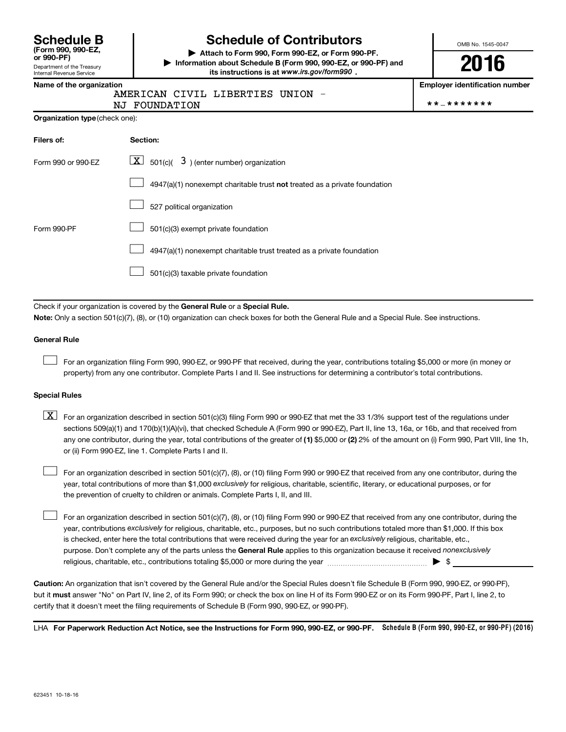**(Form 990, 990-EZ,**

#### Department of the Treasury Internal Revenue Service

# **Schedule B Schedule of Contributors**

**or 990-PF) | Attach to Form 990, Form 990-EZ, or Form 990-PF. | Information about Schedule B (Form 990, 990-EZ, or 990-PF) and** its instructions is at www.irs.gov/form990.

UNION -

OMB No. 1545-0047

**2016**

**Name of the organization Employer identification number**

|  |             | AMERICAN CIVIL LIBERTIES |
|--|-------------|--------------------------|
|  | ----------- |                          |

NJ FOUNDATION \*\*-\*\*\*\*\*\*\*

| Organization type (check one): |  |
|--------------------------------|--|
|                                |  |

| Filers of:         | Section:                                                                  |
|--------------------|---------------------------------------------------------------------------|
| Form 990 or 990-EZ | $\lfloor x \rfloor$ 501(c)( 3) (enter number) organization                |
|                    | 4947(a)(1) nonexempt charitable trust not treated as a private foundation |
|                    | 527 political organization                                                |
| Form 990-PF        | 501(c)(3) exempt private foundation                                       |
|                    | 4947(a)(1) nonexempt charitable trust treated as a private foundation     |
|                    | 501(c)(3) taxable private foundation                                      |

Check if your organization is covered by the General Rule or a Special Rule.

**Note:**  Only a section 501(c)(7), (8), or (10) organization can check boxes for both the General Rule and a Special Rule. See instructions.

#### **General Rule**

 $\Box$ 

For an organization filing Form 990, 990-EZ, or 990-PF that received, during the year, contributions totaling \$5,000 or more (in money or property) from any one contributor. Complete Parts I and II. See instructions for determining a contributor's total contributions.

#### **Special Rules**

any one contributor, during the year, total contributions of the greater of **(1)** \$5,000 or **(2)** 2% of the amount on (i) Form 990, Part VIII, line 1h,  $\boxed{\text{X}}$  For an organization described in section 501(c)(3) filing Form 990 or 990-EZ that met the 33 1/3% support test of the regulations under sections 509(a)(1) and 170(b)(1)(A)(vi), that checked Schedule A (Form 990 or 990-EZ), Part II, line 13, 16a, or 16b, and that received from or (ii) Form 990-EZ, line 1. Complete Parts I and II.

year, total contributions of more than \$1,000 *exclusively* for religious, charitable, scientific, literary, or educational purposes, or for For an organization described in section 501(c)(7), (8), or (10) filing Form 990 or 990-EZ that received from any one contributor, during the the prevention of cruelty to children or animals. Complete Parts I, II, and III.  $\Box$ 

purpose. Don't complete any of the parts unless the General Rule applies to this organization because it received nonexclusively year, contributions exclusively for religious, charitable, etc., purposes, but no such contributions totaled more than \$1,000. If this box is checked, enter here the total contributions that were received during the year for an exclusively religious, charitable, etc., For an organization described in section 501(c)(7), (8), or (10) filing Form 990 or 990-EZ that received from any one contributor, during the religious, charitable, etc., contributions totaling \$5,000 or more during the year  $\ldots$  $\ldots$  $\ldots$  $\ldots$  $\ldots$  $\ldots$  $\Box$ 

**Caution:**  An organization that isn't covered by the General Rule and/or the Special Rules doesn't file Schedule B (Form 990, 990-EZ, or 990-PF),  **must** but it answer "No" on Part IV, line 2, of its Form 990; or check the box on line H of its Form 990-EZ or on its Form 990-PF, Part I, line 2, to certify that it doesn't meet the filing requirements of Schedule B (Form 990, 990-EZ, or 990-PF).

LHA For Paperwork Reduction Act Notice, see the Instructions for Form 990, 990-EZ, or 990-PF. Schedule B (Form 990, 990-EZ, or 990-PF) (2016)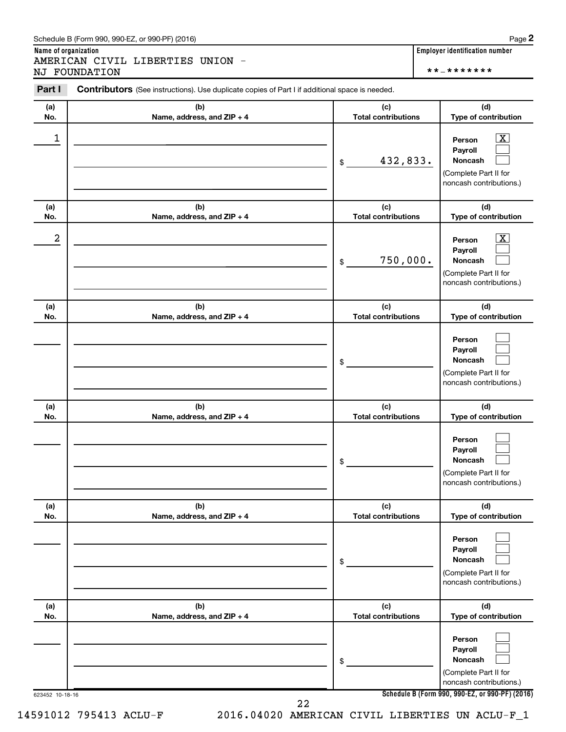#### Schedule B (Form 990, 990-EZ, or 990-PF) (2016)

**Name of organization Employer identification number** AMERICAN CIVIL LIBERTIES UNION - NJ FOUNDATION \*\*-\*\*\*\*\*\*\*

| Part I          | Contributors (See instructions). Use duplicate copies of Part I if additional space is needed. |                                   |                                                                                                             |
|-----------------|------------------------------------------------------------------------------------------------|-----------------------------------|-------------------------------------------------------------------------------------------------------------|
| (a)<br>No.      | (b)<br>Name, address, and ZIP + 4                                                              | (c)<br><b>Total contributions</b> | (d)<br>Type of contribution                                                                                 |
| 1               |                                                                                                | 432,833.<br>\$                    | $\overline{\mathbf{X}}$<br>Person<br>Payroll<br>Noncash<br>(Complete Part II for<br>noncash contributions.) |
| (a)<br>No.      | (b)<br>Name, address, and ZIP + 4                                                              | (c)<br><b>Total contributions</b> | (d)<br>Type of contribution                                                                                 |
| 2               |                                                                                                | 750,000.<br>\$                    | $\overline{\mathbf{X}}$<br>Person<br>Payroll<br>Noncash<br>(Complete Part II for<br>noncash contributions.) |
| (a)<br>No.      | (b)<br>Name, address, and ZIP + 4                                                              | (c)<br><b>Total contributions</b> | (d)<br>Type of contribution                                                                                 |
|                 |                                                                                                | \$                                | Person<br>Payroll<br>Noncash<br>(Complete Part II for<br>noncash contributions.)                            |
| (a)<br>No.      | (b)<br>Name, address, and ZIP + 4                                                              | (c)<br><b>Total contributions</b> | (d)<br>Type of contribution                                                                                 |
|                 |                                                                                                | \$                                | Person<br>Payroll<br>Noncash<br>(Complete Part II for<br>noncash contributions.)                            |
| (a)<br>No.      | (b)<br>Name, address, and ZIP + 4                                                              | (c)<br><b>Total contributions</b> | (d)<br>Type of contribution                                                                                 |
|                 |                                                                                                | \$                                | Person<br>Payroll<br>Noncash<br>(Complete Part II for<br>noncash contributions.)                            |
| (a)<br>No.      | (b)<br>Name, address, and ZIP + 4                                                              | (c)<br><b>Total contributions</b> | (d)<br>Type of contribution                                                                                 |
|                 |                                                                                                | \$                                | Person<br>Payroll<br>Noncash<br>(Complete Part II for<br>noncash contributions.)                            |
| 623452 10-18-16 |                                                                                                | 22                                | Schedule B (Form 990, 990-EZ, or 990-PF) (2016)                                                             |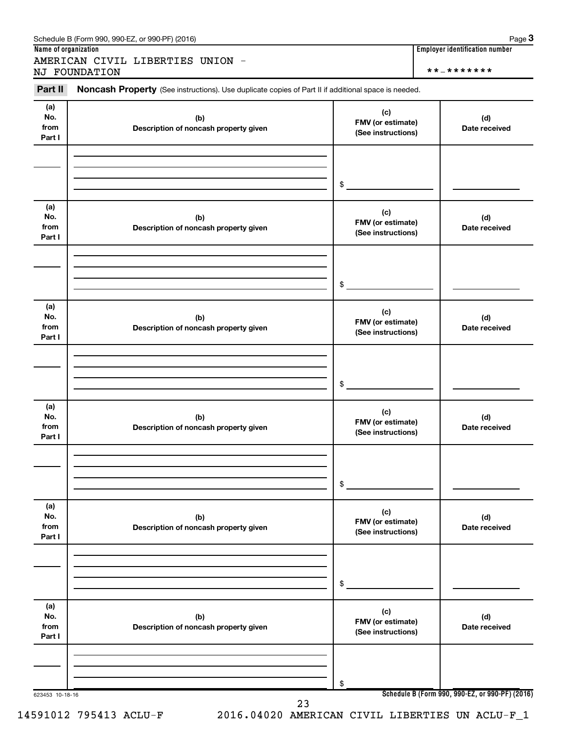| Schedule B (Form 990, 990-EZ, or 990-PF) (2016) | Page |  |
|-------------------------------------------------|------|--|
|-------------------------------------------------|------|--|

AMERICAN CIVIL LIBERTIES UNION - NJ FOUNDATION \*\*-\*\*\*\*\*\*\*

**Name of organization Employer identification number**

623453 10-18-16 **Schedule B (Form 990, 990-EZ, or 990-PF) (2016) (a) No. from Part I (c) FMV (or estimate) (See instructions) (b) Description of noncash property given (d) Date received (a) No. from Part I (c) FMV (or estimate) (See instructions) (b) Description of noncash property given (d) Date received (a) No. from Part I (c) FMV (or estimate) (See instructions) (b) Description of noncash property given (d) Date received (a) No. from Part I (c) FMV (or estimate) (See instructions) (b) Description of noncash property given (d) Date received (a) No. from Part I (c) FMV (or estimate) (See instructions) (b) Description of noncash property given (d) Date received (a) No. from Part I (c) FMV (or estimate) (See instructions) (b) Description of noncash property given (d) Date received** Part II Noncash Property (See instructions). Use duplicate copies of Part II if additional space is needed. \$ \$ \$ \$ \$ \$ 23

**3**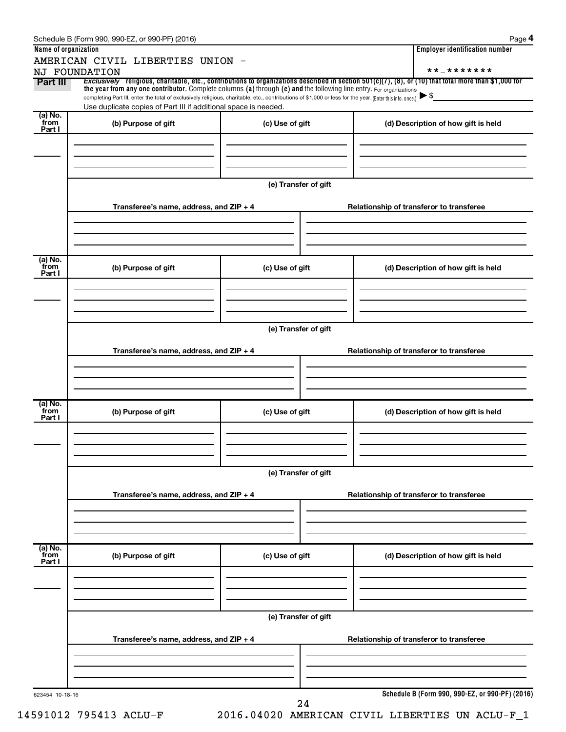|                           | Schedule B (Form 990, 990-EZ, or 990-PF) (2016)                                                                                                                                                                                                                                                                                                                                                                                                                                                                              |                      | Page 4                                          |
|---------------------------|------------------------------------------------------------------------------------------------------------------------------------------------------------------------------------------------------------------------------------------------------------------------------------------------------------------------------------------------------------------------------------------------------------------------------------------------------------------------------------------------------------------------------|----------------------|-------------------------------------------------|
| Name of organization      |                                                                                                                                                                                                                                                                                                                                                                                                                                                                                                                              |                      | <b>Employer identification number</b>           |
|                           | AMERICAN CIVIL LIBERTIES UNION -                                                                                                                                                                                                                                                                                                                                                                                                                                                                                             |                      | **_*******                                      |
| Part III                  | NJ FOUNDATION<br>Exclusively religious, charitable, etc., contributions to organizations described in section 501(c)(7), (8), or (10) that total more than \$1,000 for<br>the year from any one contributor. Complete columns (a) through (e) and the following line entry. For organizations<br>completing Part III, enter the total of exclusively religious, charitable, etc., contributions of \$1,000 or less for the year. (Enter this info. once.)<br>Use duplicate copies of Part III if additional space is needed. |                      | $\blacktriangleright$ \$                        |
| (a) No.                   |                                                                                                                                                                                                                                                                                                                                                                                                                                                                                                                              |                      |                                                 |
| from<br>Part I            | (b) Purpose of gift                                                                                                                                                                                                                                                                                                                                                                                                                                                                                                          | (c) Use of gift      | (d) Description of how gift is held             |
|                           |                                                                                                                                                                                                                                                                                                                                                                                                                                                                                                                              | (e) Transfer of gift |                                                 |
|                           | Transferee's name, address, and ZIP + 4                                                                                                                                                                                                                                                                                                                                                                                                                                                                                      |                      | Relationship of transferor to transferee        |
| (a) No.<br>from<br>Part I | (b) Purpose of gift                                                                                                                                                                                                                                                                                                                                                                                                                                                                                                          | (c) Use of gift      | (d) Description of how gift is held             |
|                           | Transferee's name, address, and ZIP + 4                                                                                                                                                                                                                                                                                                                                                                                                                                                                                      | (e) Transfer of gift | Relationship of transferor to transferee        |
| (a) No.<br>from<br>Part I | (b) Purpose of gift                                                                                                                                                                                                                                                                                                                                                                                                                                                                                                          | (c) Use of gift      | (d) Description of how gift is held             |
|                           | Transferee's name, address, and ZIP + 4                                                                                                                                                                                                                                                                                                                                                                                                                                                                                      | (e) Transfer of gift | Relationship of transferor to transferee        |
| (a) No.<br>from<br>Part I | (b) Purpose of gift                                                                                                                                                                                                                                                                                                                                                                                                                                                                                                          | (c) Use of gift      | (d) Description of how gift is held             |
|                           | Transferee's name, address, and ZIP + 4                                                                                                                                                                                                                                                                                                                                                                                                                                                                                      | (e) Transfer of gift | Relationship of transferor to transferee        |
| 623454 10-18-16           |                                                                                                                                                                                                                                                                                                                                                                                                                                                                                                                              |                      | Schedule B (Form 990, 990-EZ, or 990-PF) (2016) |
|                           |                                                                                                                                                                                                                                                                                                                                                                                                                                                                                                                              | 24                   |                                                 |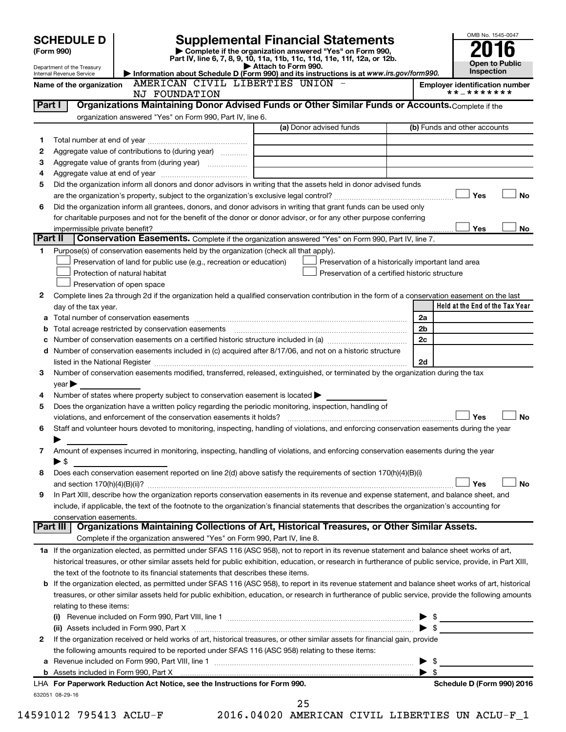|         | <b>SCHEDULE D</b><br>(Form 990)                        |                                                                                                        | <b>Supplemental Financial Statements</b><br>Complete if the organization answered "Yes" on Form 990,<br>Part IV, line 6, 7, 8, 9, 10, 11a, 11b, 11c, 11d, 11e, 11f, 12a, or 12b. |                         | OMB No. 1545-0047<br><b>Open to Public</b>          |
|---------|--------------------------------------------------------|--------------------------------------------------------------------------------------------------------|----------------------------------------------------------------------------------------------------------------------------------------------------------------------------------|-------------------------|-----------------------------------------------------|
|         | Department of the Treasury<br>Internal Revenue Service |                                                                                                        | Attach to Form 990.<br>Information about Schedule D (Form 990) and its instructions is at www.irs.gov/form990.                                                                   |                         | Inspection                                          |
|         | Name of the organization                               | AMERICAN CIVIL LIBERTIES UNION<br>NJ FOUNDATION                                                        |                                                                                                                                                                                  |                         | <b>Employer identification number</b><br>**_******* |
| Part I  |                                                        |                                                                                                        | Organizations Maintaining Donor Advised Funds or Other Similar Funds or Accounts. Complete if the                                                                                |                         |                                                     |
|         |                                                        | organization answered "Yes" on Form 990, Part IV, line 6.                                              |                                                                                                                                                                                  |                         |                                                     |
|         |                                                        |                                                                                                        | (a) Donor advised funds                                                                                                                                                          |                         | (b) Funds and other accounts                        |
| 1       |                                                        |                                                                                                        |                                                                                                                                                                                  |                         |                                                     |
| 2<br>З  |                                                        | Aggregate value of contributions to (during year)<br>Aggregate value of grants from (during year)      |                                                                                                                                                                                  |                         |                                                     |
| 4       |                                                        |                                                                                                        |                                                                                                                                                                                  |                         |                                                     |
| 5       |                                                        |                                                                                                        | Did the organization inform all donors and donor advisors in writing that the assets held in donor advised funds                                                                 |                         |                                                     |
|         |                                                        |                                                                                                        |                                                                                                                                                                                  |                         | <b>No</b><br>Yes                                    |
| 6       |                                                        |                                                                                                        | Did the organization inform all grantees, donors, and donor advisors in writing that grant funds can be used only                                                                |                         |                                                     |
|         |                                                        |                                                                                                        | for charitable purposes and not for the benefit of the donor or donor advisor, or for any other purpose conferring                                                               |                         |                                                     |
|         | impermissible private benefit?                         |                                                                                                        |                                                                                                                                                                                  |                         | Yes<br>No                                           |
| Part II |                                                        |                                                                                                        | Conservation Easements. Complete if the organization answered "Yes" on Form 990, Part IV, line 7.                                                                                |                         |                                                     |
| 1       |                                                        | Purpose(s) of conservation easements held by the organization (check all that apply).                  |                                                                                                                                                                                  |                         |                                                     |
|         |                                                        | Preservation of land for public use (e.g., recreation or education)                                    | Preservation of a historically important land area                                                                                                                               |                         |                                                     |
|         |                                                        | Protection of natural habitat                                                                          | Preservation of a certified historic structure                                                                                                                                   |                         |                                                     |
|         |                                                        | Preservation of open space                                                                             |                                                                                                                                                                                  |                         |                                                     |
| 2       |                                                        |                                                                                                        | Complete lines 2a through 2d if the organization held a qualified conservation contribution in the form of a conservation easement on the last                                   |                         | Held at the End of the Tax Year                     |
| а       | day of the tax year.                                   |                                                                                                        |                                                                                                                                                                                  | 2a                      |                                                     |
| b       |                                                        |                                                                                                        |                                                                                                                                                                                  | 2b                      |                                                     |
| с       |                                                        |                                                                                                        |                                                                                                                                                                                  | 2c                      |                                                     |
| d       |                                                        |                                                                                                        | Number of conservation easements included in (c) acquired after 8/17/06, and not on a historic structure                                                                         |                         |                                                     |
|         |                                                        |                                                                                                        |                                                                                                                                                                                  | 2d                      |                                                     |
| 3       |                                                        |                                                                                                        | Number of conservation easements modified, transferred, released, extinguished, or terminated by the organization during the tax                                                 |                         |                                                     |
|         | $\vee$ ear $\blacktriangleright$                       |                                                                                                        |                                                                                                                                                                                  |                         |                                                     |
| 4       |                                                        | Number of states where property subject to conservation easement is located >                          |                                                                                                                                                                                  |                         |                                                     |
| 5       |                                                        | Does the organization have a written policy regarding the periodic monitoring, inspection, handling of |                                                                                                                                                                                  |                         |                                                     |
|         |                                                        | violations, and enforcement of the conservation easements it holds?                                    |                                                                                                                                                                                  |                         | <b>No</b><br>Yes                                    |
| 6       |                                                        |                                                                                                        | Staff and volunteer hours devoted to monitoring, inspecting, handling of violations, and enforcing conservation easements during the year                                        |                         |                                                     |
|         |                                                        |                                                                                                        |                                                                                                                                                                                  |                         |                                                     |
| 7       |                                                        |                                                                                                        | Amount of expenses incurred in monitoring, inspecting, handling of violations, and enforcing conservation easements during the year                                              |                         |                                                     |
|         | $\blacktriangleright$ \$                               |                                                                                                        |                                                                                                                                                                                  |                         |                                                     |
| 8       |                                                        |                                                                                                        | Does each conservation easement reported on line 2(d) above satisfy the requirements of section 170(h)(4)(B)(i)                                                                  |                         | No<br>Yes                                           |
| 9       |                                                        |                                                                                                        | In Part XIII, describe how the organization reports conservation easements in its revenue and expense statement, and balance sheet, and                                          |                         |                                                     |
|         |                                                        |                                                                                                        | include, if applicable, the text of the footnote to the organization's financial statements that describes the organization's accounting for                                     |                         |                                                     |
|         | conservation easements.                                |                                                                                                        |                                                                                                                                                                                  |                         |                                                     |
|         | Part III                                               |                                                                                                        | Organizations Maintaining Collections of Art, Historical Treasures, or Other Similar Assets.                                                                                     |                         |                                                     |
|         |                                                        | Complete if the organization answered "Yes" on Form 990, Part IV, line 8.                              |                                                                                                                                                                                  |                         |                                                     |
|         |                                                        |                                                                                                        | 1a If the organization elected, as permitted under SFAS 116 (ASC 958), not to report in its revenue statement and balance sheet works of art,                                    |                         |                                                     |
|         |                                                        |                                                                                                        | historical treasures, or other similar assets held for public exhibition, education, or research in furtherance of public service, provide, in Part XIII,                        |                         |                                                     |
|         |                                                        | the text of the footnote to its financial statements that describes these items.                       |                                                                                                                                                                                  |                         |                                                     |
| b       |                                                        |                                                                                                        | If the organization elected, as permitted under SFAS 116 (ASC 958), to report in its revenue statement and balance sheet works of art, historical                                |                         |                                                     |
|         |                                                        |                                                                                                        | treasures, or other similar assets held for public exhibition, education, or research in furtherance of public service, provide the following amounts                            |                         |                                                     |
|         | relating to these items:                               |                                                                                                        |                                                                                                                                                                                  |                         |                                                     |
|         |                                                        |                                                                                                        |                                                                                                                                                                                  |                         | $\frac{1}{2}$                                       |
| 2       |                                                        | (ii) Assets included in Form 990, Part X                                                               | If the organization received or held works of art, historical treasures, or other similar assets for financial gain, provide                                                     |                         | $\triangleright$ \$                                 |
|         |                                                        | the following amounts required to be reported under SFAS 116 (ASC 958) relating to these items:        |                                                                                                                                                                                  |                         |                                                     |
| а       |                                                        |                                                                                                        |                                                                                                                                                                                  | \$                      |                                                     |
|         |                                                        |                                                                                                        |                                                                                                                                                                                  | $\blacktriangleright$ s |                                                     |
|         |                                                        | LHA For Paperwork Reduction Act Notice, see the Instructions for Form 990.                             |                                                                                                                                                                                  |                         | Schedule D (Form 990) 2016                          |
|         | 632051 08-29-16                                        |                                                                                                        |                                                                                                                                                                                  |                         |                                                     |
|         |                                                        |                                                                                                        | 25                                                                                                                                                                               |                         |                                                     |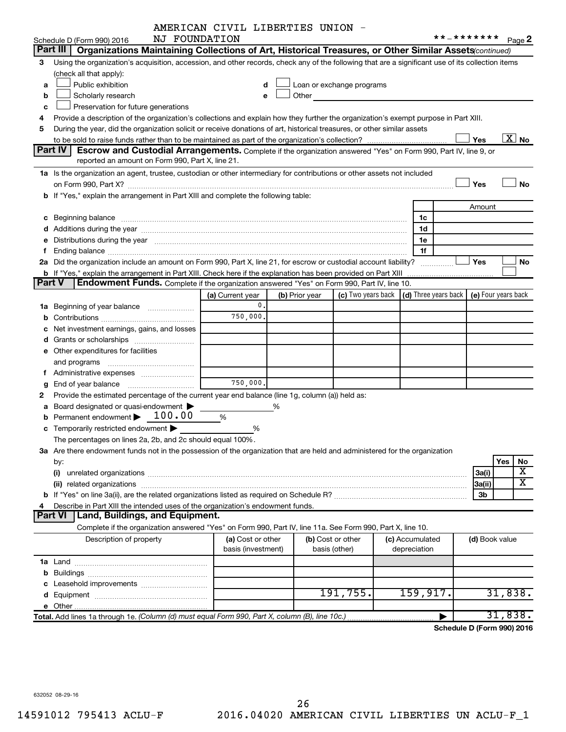|               |                                                                                                                                                                                                                                | AMERICAN CIVIL LIBERTIES UNION - |                |                                                                                                                                                                                                                               |                  |                                            |                   |
|---------------|--------------------------------------------------------------------------------------------------------------------------------------------------------------------------------------------------------------------------------|----------------------------------|----------------|-------------------------------------------------------------------------------------------------------------------------------------------------------------------------------------------------------------------------------|------------------|--------------------------------------------|-------------------|
|               | NJ FOUNDATION<br>Schedule D (Form 990) 2016                                                                                                                                                                                    |                                  |                |                                                                                                                                                                                                                               |                  | **_*******                                 | Page 2            |
|               | Part III<br>Organizations Maintaining Collections of Art, Historical Treasures, or Other Similar Assets (continued)                                                                                                            |                                  |                |                                                                                                                                                                                                                               |                  |                                            |                   |
| З             | Using the organization's acquisition, accession, and other records, check any of the following that are a significant use of its collection items                                                                              |                                  |                |                                                                                                                                                                                                                               |                  |                                            |                   |
|               | (check all that apply):                                                                                                                                                                                                        |                                  |                |                                                                                                                                                                                                                               |                  |                                            |                   |
| a             | Public exhibition                                                                                                                                                                                                              |                                  |                | Loan or exchange programs                                                                                                                                                                                                     |                  |                                            |                   |
| b             | Scholarly research                                                                                                                                                                                                             | e                                |                | Other and the contract of the contract of the contract of the contract of the contract of the contract of the contract of the contract of the contract of the contract of the contract of the contract of the contract of the |                  |                                            |                   |
| с             | Preservation for future generations                                                                                                                                                                                            |                                  |                |                                                                                                                                                                                                                               |                  |                                            |                   |
| 4             | Provide a description of the organization's collections and explain how they further the organization's exempt purpose in Part XIII.                                                                                           |                                  |                |                                                                                                                                                                                                                               |                  |                                            |                   |
| 5             | During the year, did the organization solicit or receive donations of art, historical treasures, or other similar assets                                                                                                       |                                  |                |                                                                                                                                                                                                                               |                  |                                            |                   |
|               |                                                                                                                                                                                                                                |                                  |                |                                                                                                                                                                                                                               |                  | Yes                                        | $\overline{X}$ No |
|               | Part IV<br>Escrow and Custodial Arrangements. Complete if the organization answered "Yes" on Form 990, Part IV, line 9, or<br>reported an amount on Form 990, Part X, line 21.                                                 |                                  |                |                                                                                                                                                                                                                               |                  |                                            |                   |
|               |                                                                                                                                                                                                                                |                                  |                |                                                                                                                                                                                                                               |                  |                                            |                   |
|               | 1a Is the organization an agent, trustee, custodian or other intermediary for contributions or other assets not included                                                                                                       |                                  |                |                                                                                                                                                                                                                               |                  | Yes                                        | <b>No</b>         |
|               | b If "Yes," explain the arrangement in Part XIII and complete the following table:                                                                                                                                             |                                  |                |                                                                                                                                                                                                                               |                  |                                            |                   |
|               |                                                                                                                                                                                                                                |                                  |                |                                                                                                                                                                                                                               |                  | Amount                                     |                   |
|               |                                                                                                                                                                                                                                |                                  |                |                                                                                                                                                                                                                               | 1c               |                                            |                   |
|               | c Beginning balance measurements and the contract of the contract of the contract of the contract of the contract of the contract of the contract of the contract of the contract of the contract of the contract of the contr |                                  |                |                                                                                                                                                                                                                               | 1d               |                                            |                   |
| е             |                                                                                                                                                                                                                                |                                  |                |                                                                                                                                                                                                                               | 1e               |                                            |                   |
| f             | Distributions during the year manufactured and continuum control of the year manufactured and the year manufactured and the year manufactured and the year manufactured and the year manufactured and the year manufactured an |                                  |                |                                                                                                                                                                                                                               | 1f               |                                            |                   |
|               | 2a Did the organization include an amount on Form 990, Part X, line 21, for escrow or custodial account liability?                                                                                                             |                                  |                |                                                                                                                                                                                                                               |                  | <b>Yes</b>                                 | No                |
|               | b If "Yes," explain the arrangement in Part XIII. Check here if the explanation has been provided on Part XIII                                                                                                                 |                                  |                |                                                                                                                                                                                                                               |                  |                                            |                   |
| <b>Part V</b> | Endowment Funds. Complete if the organization answered "Yes" on Form 990, Part IV, line 10.                                                                                                                                    |                                  |                |                                                                                                                                                                                                                               |                  |                                            |                   |
|               |                                                                                                                                                                                                                                | (a) Current year                 | (b) Prior year | (c) Two years back                                                                                                                                                                                                            |                  | (d) Three years back   (e) Four years back |                   |
|               | 1a Beginning of year balance                                                                                                                                                                                                   | $\mathbf{0}$ .                   |                |                                                                                                                                                                                                                               |                  |                                            |                   |
| b             |                                                                                                                                                                                                                                | 750,000.                         |                |                                                                                                                                                                                                                               |                  |                                            |                   |
| с             | Net investment earnings, gains, and losses                                                                                                                                                                                     |                                  |                |                                                                                                                                                                                                                               |                  |                                            |                   |
|               | <b>d</b> Grants or scholarships <i></i>                                                                                                                                                                                        |                                  |                |                                                                                                                                                                                                                               |                  |                                            |                   |
|               | e Other expenditures for facilities                                                                                                                                                                                            |                                  |                |                                                                                                                                                                                                                               |                  |                                            |                   |
|               | and programs                                                                                                                                                                                                                   |                                  |                |                                                                                                                                                                                                                               |                  |                                            |                   |
|               | f Administrative expenses                                                                                                                                                                                                      |                                  |                |                                                                                                                                                                                                                               |                  |                                            |                   |
| g             |                                                                                                                                                                                                                                | 750,000.                         |                |                                                                                                                                                                                                                               |                  |                                            |                   |
| 2             | Provide the estimated percentage of the current year end balance (line 1g, column (a)) held as:                                                                                                                                |                                  |                |                                                                                                                                                                                                                               |                  |                                            |                   |
| a             | Board designated or quasi-endowment                                                                                                                                                                                            |                                  | %              |                                                                                                                                                                                                                               |                  |                                            |                   |
| b             | Permanent endowment > 100.00                                                                                                                                                                                                   | %                                |                |                                                                                                                                                                                                                               |                  |                                            |                   |
|               | c Temporarily restricted endowment $\blacktriangleright$                                                                                                                                                                       | %                                |                |                                                                                                                                                                                                                               |                  |                                            |                   |
|               | The percentages on lines 2a, 2b, and 2c should equal 100%.                                                                                                                                                                     |                                  |                |                                                                                                                                                                                                                               |                  |                                            |                   |
|               | 3a Are there endowment funds not in the possession of the organization that are held and administered for the organization                                                                                                     |                                  |                |                                                                                                                                                                                                                               |                  |                                            |                   |
|               | by:                                                                                                                                                                                                                            |                                  |                |                                                                                                                                                                                                                               |                  |                                            | No<br>Yes         |
|               | (i)                                                                                                                                                                                                                            |                                  |                |                                                                                                                                                                                                                               |                  | 3a(i)                                      | X                 |
|               |                                                                                                                                                                                                                                |                                  |                |                                                                                                                                                                                                                               |                  | 3a(ii)                                     | x                 |
|               |                                                                                                                                                                                                                                |                                  |                |                                                                                                                                                                                                                               |                  | 3b                                         |                   |
| 4             | Describe in Part XIII the intended uses of the organization's endowment funds.                                                                                                                                                 |                                  |                |                                                                                                                                                                                                                               |                  |                                            |                   |
|               | Land, Buildings, and Equipment.<br><b>Part VI</b>                                                                                                                                                                              |                                  |                |                                                                                                                                                                                                                               |                  |                                            |                   |
|               | Complete if the organization answered "Yes" on Form 990, Part IV, line 11a. See Form 990, Part X, line 10.                                                                                                                     |                                  |                |                                                                                                                                                                                                                               |                  |                                            |                   |
|               | Description of property                                                                                                                                                                                                        | (a) Cost or other                |                | (b) Cost or other                                                                                                                                                                                                             | (c) Accumulated  | (d) Book value                             |                   |
|               |                                                                                                                                                                                                                                | basis (investment)               |                | basis (other)                                                                                                                                                                                                                 | depreciation     |                                            |                   |
|               |                                                                                                                                                                                                                                |                                  |                |                                                                                                                                                                                                                               |                  |                                            |                   |
|               |                                                                                                                                                                                                                                |                                  |                |                                                                                                                                                                                                                               |                  |                                            |                   |
|               |                                                                                                                                                                                                                                |                                  |                |                                                                                                                                                                                                                               |                  |                                            |                   |
|               |                                                                                                                                                                                                                                |                                  |                | 191,755.                                                                                                                                                                                                                      | 159,917 <b>.</b> |                                            | 31,838.           |
|               |                                                                                                                                                                                                                                |                                  |                |                                                                                                                                                                                                                               |                  |                                            |                   |
|               | Total. Add lines 1a through 1e. (Column (d) must equal Form 990, Part X, column (B), line 10c.)                                                                                                                                |                                  |                |                                                                                                                                                                                                                               |                  |                                            | 31,838.           |
|               |                                                                                                                                                                                                                                |                                  |                |                                                                                                                                                                                                                               |                  | Schedule D (Form 990) 2016                 |                   |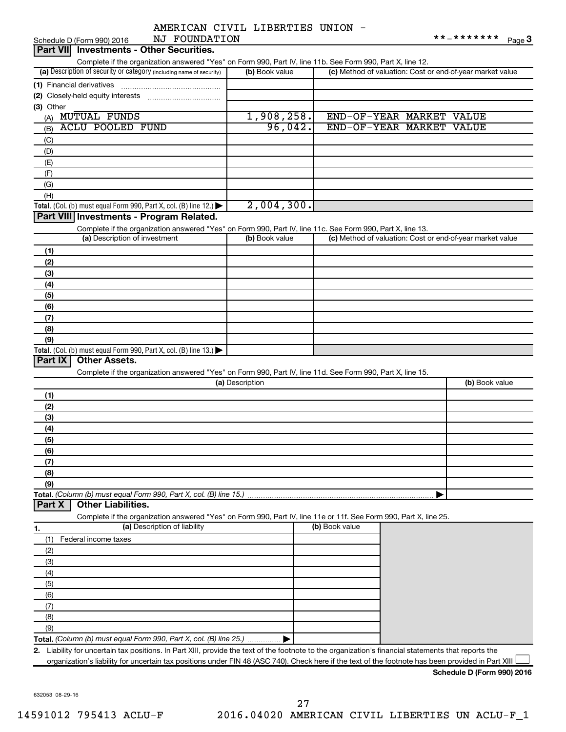|  | AMERICAN CIVIL LIBERTIES UNION |  |
|--|--------------------------------|--|
|  |                                |  |

| NJ FOUNDATION<br>Schedule D (Form 990) 2016                                                                                                             |                 |                                                           | **_*******<br>Page $3$ |
|---------------------------------------------------------------------------------------------------------------------------------------------------------|-----------------|-----------------------------------------------------------|------------------------|
| Part VII Investments - Other Securities.                                                                                                                |                 |                                                           |                        |
| Complete if the organization answered "Yes" on Form 990, Part IV, line 11b. See Form 990, Part X, line 12.                                              |                 |                                                           |                        |
| (a) Description of security or category (including name of security)                                                                                    | (b) Book value  | (c) Method of valuation: Cost or end-of-year market value |                        |
|                                                                                                                                                         |                 |                                                           |                        |
|                                                                                                                                                         |                 |                                                           |                        |
| (3) Other                                                                                                                                               |                 |                                                           |                        |
| (A) MUTUAL FUNDS                                                                                                                                        | 1,908,258.      | END-OF-YEAR MARKET VALUE                                  |                        |
| <b>ACLU POOLED FUND</b><br>(B)                                                                                                                          | 96,042.         | END-OF-YEAR MARKET VALUE                                  |                        |
|                                                                                                                                                         |                 |                                                           |                        |
| (C)                                                                                                                                                     |                 |                                                           |                        |
| (D)                                                                                                                                                     |                 |                                                           |                        |
| (E)                                                                                                                                                     |                 |                                                           |                        |
| (F)                                                                                                                                                     |                 |                                                           |                        |
| (G)                                                                                                                                                     |                 |                                                           |                        |
| (H)                                                                                                                                                     |                 |                                                           |                        |
| Total. (Col. (b) must equal Form 990, Part X, col. (B) line 12.)                                                                                        | 2,004,300.      |                                                           |                        |
| Part VIII Investments - Program Related.                                                                                                                |                 |                                                           |                        |
| Complete if the organization answered "Yes" on Form 990, Part IV, line 11c. See Form 990, Part X, line 13.                                              |                 |                                                           |                        |
| (a) Description of investment                                                                                                                           | (b) Book value  | (c) Method of valuation: Cost or end-of-year market value |                        |
| (1)                                                                                                                                                     |                 |                                                           |                        |
| (2)                                                                                                                                                     |                 |                                                           |                        |
| (3)                                                                                                                                                     |                 |                                                           |                        |
| (4)                                                                                                                                                     |                 |                                                           |                        |
| (5)                                                                                                                                                     |                 |                                                           |                        |
| (6)                                                                                                                                                     |                 |                                                           |                        |
| (7)                                                                                                                                                     |                 |                                                           |                        |
| (8)                                                                                                                                                     |                 |                                                           |                        |
| (9)                                                                                                                                                     |                 |                                                           |                        |
| Total. (Col. (b) must equal Form 990, Part X, col. (B) line 13.)                                                                                        |                 |                                                           |                        |
| Part IX<br><b>Other Assets.</b>                                                                                                                         |                 |                                                           |                        |
| Complete if the organization answered "Yes" on Form 990, Part IV, line 11d. See Form 990, Part X, line 15.                                              |                 |                                                           |                        |
|                                                                                                                                                         | (a) Description |                                                           | (b) Book value         |
| (1)                                                                                                                                                     |                 |                                                           |                        |
| (2)                                                                                                                                                     |                 |                                                           |                        |
| (3)                                                                                                                                                     |                 |                                                           |                        |
| (4)                                                                                                                                                     |                 |                                                           |                        |
| (5)                                                                                                                                                     |                 |                                                           |                        |
| (6)                                                                                                                                                     |                 |                                                           |                        |
| (7)                                                                                                                                                     |                 |                                                           |                        |
| (8)                                                                                                                                                     |                 |                                                           |                        |
| (9)                                                                                                                                                     |                 |                                                           |                        |
| Total. (Column (b) must equal Form 990, Part X, col. (B) line 15.)                                                                                      |                 |                                                           |                        |
| <b>Other Liabilities.</b><br>Part X                                                                                                                     |                 |                                                           |                        |
| Complete if the organization answered "Yes" on Form 990, Part IV, line 11e or 11f. See Form 990, Part X, line 25.                                       |                 |                                                           |                        |
| (a) Description of liability                                                                                                                            |                 | (b) Book value                                            |                        |
| 1.                                                                                                                                                      |                 |                                                           |                        |
| Federal income taxes<br>(1)                                                                                                                             |                 |                                                           |                        |
| (2)                                                                                                                                                     |                 |                                                           |                        |
| (3)                                                                                                                                                     |                 |                                                           |                        |
| (4)                                                                                                                                                     |                 |                                                           |                        |
| (5)                                                                                                                                                     |                 |                                                           |                        |
| (6)                                                                                                                                                     |                 |                                                           |                        |
| (7)                                                                                                                                                     |                 |                                                           |                        |
| (8)                                                                                                                                                     |                 |                                                           |                        |
| (9)                                                                                                                                                     |                 |                                                           |                        |
| Total. (Column (b) must equal Form 990, Part X, col. (B) line 25.)                                                                                      |                 |                                                           |                        |
| Liability for uncertain tax positions. In Part XIII, provide the text of the footnote to the organization's financial statements that reports the<br>2. |                 |                                                           |                        |
| organization's liability for uncertain tax positions under FIN 48 (ASC 740). Check here if the text of the footnote has been provided in Part XIII      |                 |                                                           |                        |
|                                                                                                                                                         |                 |                                                           |                        |

632053 08-29-16

**Schedule D (Form 990) 2016**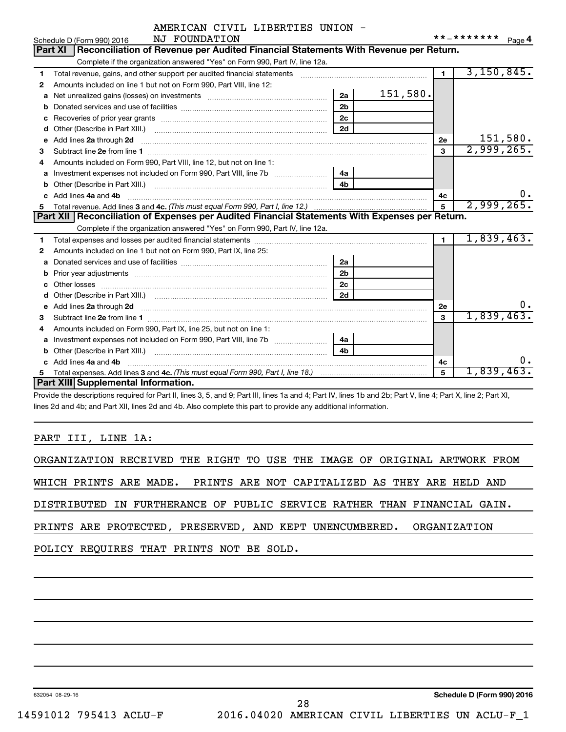| AMERICAN CIVIL LIBERTIES UNION |  |  |  |  |  |
|--------------------------------|--|--|--|--|--|
|--------------------------------|--|--|--|--|--|

|    | NJ FOUNDATION<br>Schedule D (Form 990) 2016                                                                                                                                                                                        |                 | * * _ * * * * * * * | Page 4   |
|----|------------------------------------------------------------------------------------------------------------------------------------------------------------------------------------------------------------------------------------|-----------------|---------------------|----------|
|    | Reconciliation of Revenue per Audited Financial Statements With Revenue per Return.<br><b>Part XI</b>                                                                                                                              |                 |                     |          |
|    | Complete if the organization answered "Yes" on Form 990, Part IV, line 12a.                                                                                                                                                        |                 |                     |          |
| 1  | Total revenue, gains, and other support per audited financial statements                                                                                                                                                           | $\blacksquare$  | 3,150,845.          |          |
| 2  | Amounts included on line 1 but not on Form 990, Part VIII, line 12:                                                                                                                                                                |                 |                     |          |
| a  | 151,580.<br>2a                                                                                                                                                                                                                     |                 |                     |          |
| b  | 2 <sub>b</sub>                                                                                                                                                                                                                     |                 |                     |          |
| C  | 2c<br>Recoveries of prior year grants [11,111] Recoveries of prior year grants [11,111] Recoveries of prior year grants                                                                                                            |                 |                     |          |
| d  | 2d                                                                                                                                                                                                                                 |                 |                     |          |
| e  | Add lines 2a through 2d                                                                                                                                                                                                            | 2e              |                     | 151,580. |
| З  |                                                                                                                                                                                                                                    | 3               | 2,999,265.          |          |
| 4  | Amounts included on Form 990, Part VIII, line 12, but not on line 1:                                                                                                                                                               |                 |                     |          |
|    | 4a                                                                                                                                                                                                                                 |                 |                     |          |
| b  | 4 <sub>b</sub>                                                                                                                                                                                                                     |                 |                     |          |
| c. | Add lines 4a and 4b                                                                                                                                                                                                                | 4c              |                     | 0.       |
| 5  |                                                                                                                                                                                                                                    | $5\overline{5}$ | 2,999,265.          |          |
|    | Part XII Reconciliation of Expenses per Audited Financial Statements With Expenses per Return.                                                                                                                                     |                 |                     |          |
|    | Complete if the organization answered "Yes" on Form 990, Part IV, line 12a.                                                                                                                                                        |                 |                     |          |
| 1  |                                                                                                                                                                                                                                    | $\blacksquare$  | 1,839,463.          |          |
| 2  | Amounts included on line 1 but not on Form 990, Part IX, line 25:                                                                                                                                                                  |                 |                     |          |
| a  | 2a                                                                                                                                                                                                                                 |                 |                     |          |
| b  | 2 <sub>b</sub>                                                                                                                                                                                                                     |                 |                     |          |
| C  | 2 <sub>c</sub>                                                                                                                                                                                                                     |                 |                     |          |
|    | 2d                                                                                                                                                                                                                                 |                 |                     |          |
| е  | Add lines 2a through 2d <b>[10]</b> Committee and the control of the control of the control of the control of the control of the control of the control of the control of the control of the control of the control of the control | 2e              |                     | 0.       |
| З  | Subtract line 2e from line 1                                                                                                                                                                                                       | 3               | 1,839,463.          |          |
| 4  | Amounts included on Form 990, Part IX, line 25, but not on line 1:                                                                                                                                                                 |                 |                     |          |
| a  | 4a                                                                                                                                                                                                                                 |                 |                     |          |
| b  | 4h                                                                                                                                                                                                                                 |                 |                     |          |
|    | Add lines 4a and 4b                                                                                                                                                                                                                | 4c              |                     | 0.       |
| 5  |                                                                                                                                                                                                                                    | 5               | 1,839,463.          |          |
|    | <b>Part XIII Supplemental Information.</b>                                                                                                                                                                                         |                 |                     |          |

Provide the descriptions required for Part II, lines 3, 5, and 9; Part III, lines 1a and 4; Part IV, lines 1b and 2b; Part V, line 4; Part X, line 2; Part XI, lines 2d and 4b; and Part XII, lines 2d and 4b. Also complete this part to provide any additional information.

## PART III, LINE 1A:

|                                                                          |  |  |  |  |  |  | ORGANIZATION RECEIVED THE RIGHT TO USE THE IMAGE OF ORIGINAL ARTWORK FROM |
|--------------------------------------------------------------------------|--|--|--|--|--|--|---------------------------------------------------------------------------|
| WHICH PRINTS ARE MADE. PRINTS ARE NOT CAPITALIZED AS THEY ARE HELD AND   |  |  |  |  |  |  |                                                                           |
| DISTRIBUTED IN FURTHERANCE OF PUBLIC SERVICE RATHER THAN FINANCIAL GAIN. |  |  |  |  |  |  |                                                                           |
| PRINTS ARE PROTECTED, PRESERVED, AND KEPT UNENCUMBERED. ORGANIZATION     |  |  |  |  |  |  |                                                                           |
| POLICY REQUIRES THAT PRINTS NOT BE SOLD.                                 |  |  |  |  |  |  |                                                                           |
|                                                                          |  |  |  |  |  |  |                                                                           |

632054 08-29-16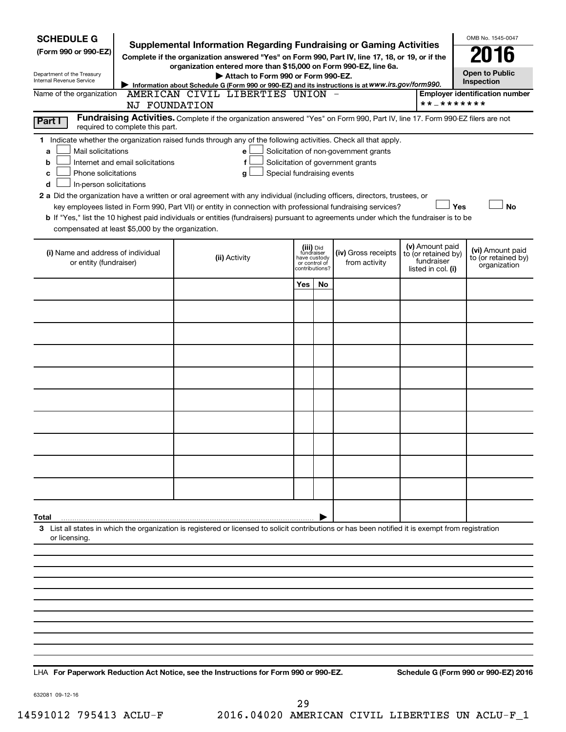| <b>SCHEDULE G</b><br>(Form 990 or 990-EZ)<br>Department of the Treasury<br>Internal Revenue Service<br>Name of the organization                                                                                      | <b>Supplemental Information Regarding Fundraising or Gaming Activities</b><br>Complete if the organization answered "Yes" on Form 990, Part IV, line 17, 18, or 19, or if the<br>organization entered more than \$15,000 on Form 990-EZ, line 6a.<br>Attach to Form 990 or Form 990-EZ.<br>Information about Schedule G (Form 990 or 990-EZ) and its instructions is at WWW.irs.gov/form990.<br>AMERICAN CIVIL LIBERTIES UNION                                                                                                                            |                                                          |                |                                                                            | * * _ * * * * * * *                                                        | OMB No. 1545-0047<br><b>Open to Public</b><br>Inspection<br><b>Employer identification number</b> |
|----------------------------------------------------------------------------------------------------------------------------------------------------------------------------------------------------------------------|-----------------------------------------------------------------------------------------------------------------------------------------------------------------------------------------------------------------------------------------------------------------------------------------------------------------------------------------------------------------------------------------------------------------------------------------------------------------------------------------------------------------------------------------------------------|----------------------------------------------------------|----------------|----------------------------------------------------------------------------|----------------------------------------------------------------------------|---------------------------------------------------------------------------------------------------|
| Part I                                                                                                                                                                                                               | NJ FOUNDATION<br>Fundraising Activities. Complete if the organization answered "Yes" on Form 990, Part IV, line 17. Form 990-EZ filers are not                                                                                                                                                                                                                                                                                                                                                                                                            |                                                          |                |                                                                            |                                                                            |                                                                                                   |
| required to complete this part.<br>Mail solicitations<br>a<br>Internet and email solicitations<br>b<br>Phone solicitations<br>c<br>In-person solicitations<br>d<br>compensated at least \$5,000 by the organization. | 1 Indicate whether the organization raised funds through any of the following activities. Check all that apply.<br>е<br>f<br>Special fundraising events<br>g<br>2 a Did the organization have a written or oral agreement with any individual (including officers, directors, trustees, or<br>key employees listed in Form 990, Part VII) or entity in connection with professional fundraising services?<br><b>b</b> If "Yes," list the 10 highest paid individuals or entities (fundraisers) pursuant to agreements under which the fundraiser is to be |                                                          |                | Solicitation of non-government grants<br>Solicitation of government grants | Yes                                                                        | No                                                                                                |
| (i) Name and address of individual<br>or entity (fundraiser)                                                                                                                                                         | (ii) Activity                                                                                                                                                                                                                                                                                                                                                                                                                                                                                                                                             | (iii) Did<br>fundraiser<br>have custody<br>or control of | contributions? | (iv) Gross receipts<br>from activity                                       | (v) Amount paid<br>to (or retained by)<br>fundraiser<br>listed in col. (i) | (vi) Amount paid<br>to (or retained by)<br>organization                                           |
|                                                                                                                                                                                                                      |                                                                                                                                                                                                                                                                                                                                                                                                                                                                                                                                                           | Yes                                                      | No             |                                                                            |                                                                            |                                                                                                   |
|                                                                                                                                                                                                                      |                                                                                                                                                                                                                                                                                                                                                                                                                                                                                                                                                           |                                                          |                |                                                                            |                                                                            |                                                                                                   |
|                                                                                                                                                                                                                      |                                                                                                                                                                                                                                                                                                                                                                                                                                                                                                                                                           |                                                          |                |                                                                            |                                                                            |                                                                                                   |
|                                                                                                                                                                                                                      |                                                                                                                                                                                                                                                                                                                                                                                                                                                                                                                                                           |                                                          |                |                                                                            |                                                                            |                                                                                                   |
|                                                                                                                                                                                                                      |                                                                                                                                                                                                                                                                                                                                                                                                                                                                                                                                                           |                                                          |                |                                                                            |                                                                            |                                                                                                   |
|                                                                                                                                                                                                                      |                                                                                                                                                                                                                                                                                                                                                                                                                                                                                                                                                           |                                                          |                |                                                                            |                                                                            |                                                                                                   |
|                                                                                                                                                                                                                      |                                                                                                                                                                                                                                                                                                                                                                                                                                                                                                                                                           |                                                          |                |                                                                            |                                                                            |                                                                                                   |
|                                                                                                                                                                                                                      |                                                                                                                                                                                                                                                                                                                                                                                                                                                                                                                                                           |                                                          |                |                                                                            |                                                                            |                                                                                                   |
|                                                                                                                                                                                                                      |                                                                                                                                                                                                                                                                                                                                                                                                                                                                                                                                                           |                                                          |                |                                                                            |                                                                            |                                                                                                   |
|                                                                                                                                                                                                                      |                                                                                                                                                                                                                                                                                                                                                                                                                                                                                                                                                           |                                                          |                |                                                                            |                                                                            |                                                                                                   |
|                                                                                                                                                                                                                      |                                                                                                                                                                                                                                                                                                                                                                                                                                                                                                                                                           |                                                          |                |                                                                            |                                                                            |                                                                                                   |
| Total                                                                                                                                                                                                                |                                                                                                                                                                                                                                                                                                                                                                                                                                                                                                                                                           |                                                          |                |                                                                            |                                                                            |                                                                                                   |
| or licensing.                                                                                                                                                                                                        | 3 List all states in which the organization is registered or licensed to solicit contributions or has been notified it is exempt from registration                                                                                                                                                                                                                                                                                                                                                                                                        |                                                          |                |                                                                            |                                                                            |                                                                                                   |
|                                                                                                                                                                                                                      |                                                                                                                                                                                                                                                                                                                                                                                                                                                                                                                                                           |                                                          |                |                                                                            |                                                                            |                                                                                                   |
|                                                                                                                                                                                                                      |                                                                                                                                                                                                                                                                                                                                                                                                                                                                                                                                                           |                                                          |                |                                                                            |                                                                            |                                                                                                   |
|                                                                                                                                                                                                                      |                                                                                                                                                                                                                                                                                                                                                                                                                                                                                                                                                           |                                                          |                |                                                                            |                                                                            |                                                                                                   |
|                                                                                                                                                                                                                      |                                                                                                                                                                                                                                                                                                                                                                                                                                                                                                                                                           |                                                          |                |                                                                            |                                                                            |                                                                                                   |
|                                                                                                                                                                                                                      |                                                                                                                                                                                                                                                                                                                                                                                                                                                                                                                                                           |                                                          |                |                                                                            |                                                                            |                                                                                                   |
|                                                                                                                                                                                                                      |                                                                                                                                                                                                                                                                                                                                                                                                                                                                                                                                                           |                                                          |                |                                                                            |                                                                            |                                                                                                   |

**For Paperwork Reduction Act Notice, see the Instructions for Form 990 or 990-EZ. Schedule G (Form 990 or 990-EZ) 2016** LHA

632081 09-12-16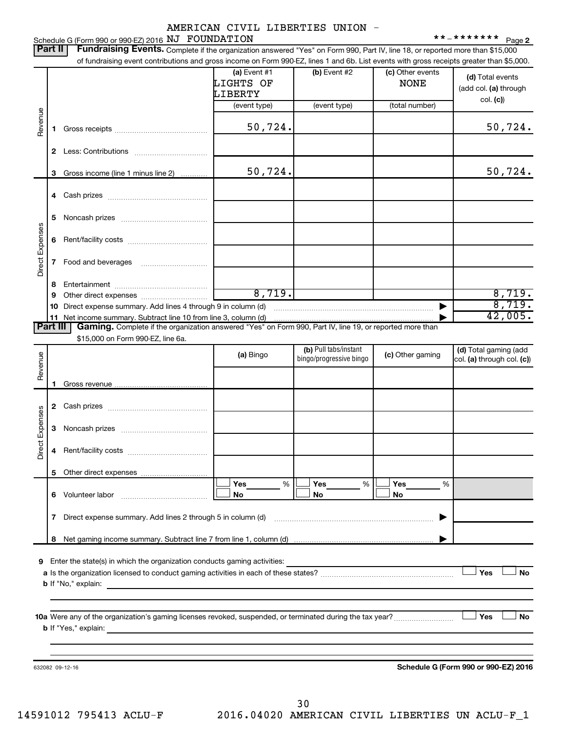Schedule G (Form 990 or 990-EZ) 2016  $\overline{NJ}$   $\overline{FOUNDATION}$   $\overline{**1}$   $\overline{******}$   $\overline{P}$   $\overline{P}$   $\overline{P}$   $\overline{S}$ 

**2**

| Part II         |    | Fundraising Events. Complete if the organization answered "Yes" on Form 990, Part IV, line 18, or reported more than \$15,000<br>of fundraising event contributions and gross income on Form 990-EZ, lines 1 and 6b. List events with gross receipts greater than \$5,000. |                                        |                         |                                 |                                                        |
|-----------------|----|----------------------------------------------------------------------------------------------------------------------------------------------------------------------------------------------------------------------------------------------------------------------------|----------------------------------------|-------------------------|---------------------------------|--------------------------------------------------------|
|                 |    |                                                                                                                                                                                                                                                                            | (a) Event $#1$<br>LIGHTS OF<br>LIBERTY | (b) Event #2            | (c) Other events<br><b>NONE</b> | (d) Total events<br>(add col. (a) through<br>col. (c)) |
|                 |    |                                                                                                                                                                                                                                                                            | (event type)                           | (event type)            | (total number)                  |                                                        |
| Revenue         | 1  |                                                                                                                                                                                                                                                                            | 50,724.                                |                         |                                 | 50,724.                                                |
|                 | 2  |                                                                                                                                                                                                                                                                            |                                        |                         |                                 |                                                        |
|                 | 3  | Gross income (line 1 minus line 2)                                                                                                                                                                                                                                         | 50,724.                                |                         |                                 | 50,724.                                                |
|                 | 4  |                                                                                                                                                                                                                                                                            |                                        |                         |                                 |                                                        |
|                 | 5  |                                                                                                                                                                                                                                                                            |                                        |                         |                                 |                                                        |
| Direct Expenses | 6  |                                                                                                                                                                                                                                                                            |                                        |                         |                                 |                                                        |
|                 | 7  |                                                                                                                                                                                                                                                                            |                                        |                         |                                 |                                                        |
|                 | 8  |                                                                                                                                                                                                                                                                            |                                        |                         |                                 |                                                        |
|                 | 9  |                                                                                                                                                                                                                                                                            | 8,719.                                 |                         |                                 | 8,719.                                                 |
|                 | 10 | Direct expense summary. Add lines 4 through 9 in column (d)                                                                                                                                                                                                                |                                        |                         |                                 | 8,719.                                                 |
| Part III        | 11 | Gaming. Complete if the organization answered "Yes" on Form 990, Part IV, line 19, or reported more than                                                                                                                                                                   |                                        |                         |                                 | 42,005.                                                |
|                 |    | \$15,000 on Form 990-EZ, line 6a.                                                                                                                                                                                                                                          |                                        |                         |                                 |                                                        |
|                 |    |                                                                                                                                                                                                                                                                            |                                        | (b) Pull tabs/instant   |                                 | (d) Total gaming (add                                  |
| Revenue         |    |                                                                                                                                                                                                                                                                            | (a) Bingo                              | bingo/progressive bingo | (c) Other gaming                | col. (a) through col. (c))                             |
|                 |    |                                                                                                                                                                                                                                                                            |                                        |                         |                                 |                                                        |
|                 | 1  |                                                                                                                                                                                                                                                                            |                                        |                         |                                 |                                                        |
|                 |    |                                                                                                                                                                                                                                                                            |                                        |                         |                                 |                                                        |
|                 | 2  |                                                                                                                                                                                                                                                                            |                                        |                         |                                 |                                                        |
|                 | 3  |                                                                                                                                                                                                                                                                            |                                        |                         |                                 |                                                        |
| Direct Expenses | 4  |                                                                                                                                                                                                                                                                            |                                        |                         |                                 |                                                        |
|                 | 5  |                                                                                                                                                                                                                                                                            |                                        |                         |                                 |                                                        |
|                 |    | 6 Volunteer labor                                                                                                                                                                                                                                                          | Yes<br>%<br>No                         | Yes<br>%<br>No          | Yes<br>%<br>No                  |                                                        |
|                 | 7  |                                                                                                                                                                                                                                                                            |                                        |                         |                                 |                                                        |
|                 | 8  |                                                                                                                                                                                                                                                                            |                                        |                         |                                 |                                                        |
|                 |    |                                                                                                                                                                                                                                                                            |                                        |                         |                                 |                                                        |
| 9               |    | Enter the state(s) in which the organization conducts gaming activities: <u>[11]</u>                                                                                                                                                                                       |                                        |                         |                                 |                                                        |
|                 |    |                                                                                                                                                                                                                                                                            |                                        |                         |                                 | Yes<br><b>No</b>                                       |
|                 |    |                                                                                                                                                                                                                                                                            |                                        |                         |                                 |                                                        |
|                 |    |                                                                                                                                                                                                                                                                            |                                        |                         |                                 |                                                        |
|                 |    |                                                                                                                                                                                                                                                                            |                                        |                         |                                 |                                                        |
|                 |    |                                                                                                                                                                                                                                                                            |                                        |                         |                                 | <b>No</b><br>Yes                                       |
|                 |    |                                                                                                                                                                                                                                                                            |                                        |                         |                                 |                                                        |
|                 |    |                                                                                                                                                                                                                                                                            |                                        |                         |                                 |                                                        |
|                 |    | 632082 09-12-16                                                                                                                                                                                                                                                            |                                        |                         |                                 | Schedule G (Form 990 or 990-EZ) 2016                   |
|                 |    |                                                                                                                                                                                                                                                                            |                                        |                         |                                 |                                                        |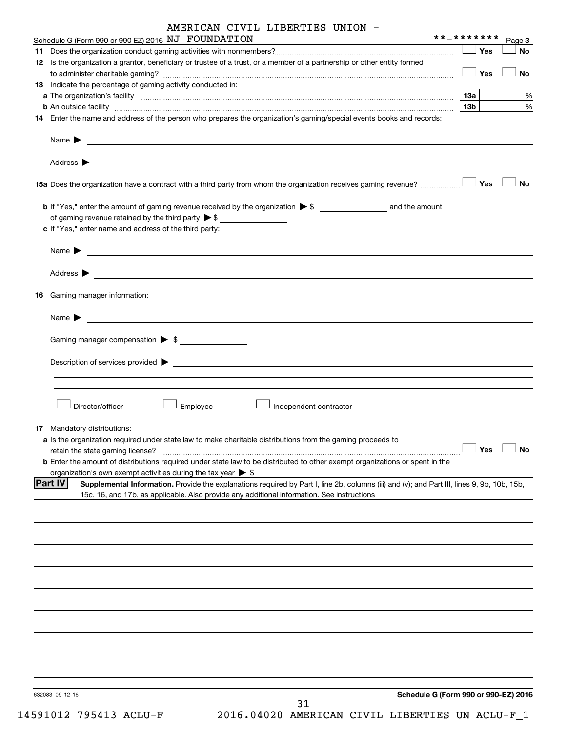|  |  | AMERICAN CIVIL LIBERTIES UNION |  |  |
|--|--|--------------------------------|--|--|
|--|--|--------------------------------|--|--|

| Schedule G (Form 990 or 990-EZ) 2016 NJ FOUNDATION                                                                                                                                                                                                                 | **_*******      | Page 3               |
|--------------------------------------------------------------------------------------------------------------------------------------------------------------------------------------------------------------------------------------------------------------------|-----------------|----------------------|
|                                                                                                                                                                                                                                                                    | Yes             | No                   |
| 12 Is the organization a grantor, beneficiary or trustee of a trust, or a member of a partnership or other entity formed                                                                                                                                           | Yes             | No                   |
| 13 Indicate the percentage of gaming activity conducted in:                                                                                                                                                                                                        |                 |                      |
|                                                                                                                                                                                                                                                                    | 13a             | %                    |
| <b>b</b> An outside facility <i>www.communicality www.communicality.communicality www.communicality www.communicality.communicality www.communicality.com</i>                                                                                                      | 13 <sub>b</sub> | %                    |
| 14 Enter the name and address of the person who prepares the organization's gaming/special events books and records:                                                                                                                                               |                 |                      |
| Name $\blacktriangleright$<br><u>and the contract of the contract of the contract of the contract of the contract of the contract of the contract of</u>                                                                                                           |                 |                      |
|                                                                                                                                                                                                                                                                    |                 |                      |
| 15a Does the organization have a contract with a third party from whom the organization receives gaming revenue?                                                                                                                                                   | Yes             | <b>No</b>            |
|                                                                                                                                                                                                                                                                    |                 |                      |
| of gaming revenue retained by the third party > \$                                                                                                                                                                                                                 |                 |                      |
| c If "Yes," enter name and address of the third party:                                                                                                                                                                                                             |                 |                      |
| Name $\blacktriangleright$<br><u>and the state of the state of the state of the state of the state of the state of the state of the state of the state of the state of the state of the state of the state of the state of the state of the state of the state</u> |                 |                      |
| Address $\blacktriangleright$<br><u>and the contract of the contract of the contract of the contract of the contract of the contract of the contract of</u>                                                                                                        |                 |                      |
| 16 Gaming manager information:                                                                                                                                                                                                                                     |                 |                      |
| <u> 1989 - Johann Stein, mars an de Brazilian (b. 1989)</u><br>Name $\blacktriangleright$                                                                                                                                                                          |                 |                      |
| Gaming manager compensation > \$                                                                                                                                                                                                                                   |                 |                      |
|                                                                                                                                                                                                                                                                    |                 |                      |
|                                                                                                                                                                                                                                                                    |                 |                      |
|                                                                                                                                                                                                                                                                    |                 |                      |
| Employee<br>Director/officer<br>Independent contractor                                                                                                                                                                                                             |                 |                      |
| <b>17</b> Mandatory distributions:                                                                                                                                                                                                                                 |                 |                      |
| a Is the organization required under state law to make charitable distributions from the gaming proceeds to                                                                                                                                                        |                 |                      |
| retain the state gaming license?                                                                                                                                                                                                                                   |                 | $\Box$ Yes $\Box$ No |
| <b>b</b> Enter the amount of distributions required under state law to be distributed to other exempt organizations or spent in the                                                                                                                                |                 |                      |
| organization's own exempt activities during the tax year $\triangleright$ \$                                                                                                                                                                                       |                 |                      |
| <b>Part IV</b><br>Supplemental Information. Provide the explanations required by Part I, line 2b, columns (iii) and (v); and Part III, lines 9, 9b, 10b, 15b,<br>15c, 16, and 17b, as applicable. Also provide any additional information. See instructions        |                 |                      |
|                                                                                                                                                                                                                                                                    |                 |                      |
|                                                                                                                                                                                                                                                                    |                 |                      |
|                                                                                                                                                                                                                                                                    |                 |                      |
|                                                                                                                                                                                                                                                                    |                 |                      |
|                                                                                                                                                                                                                                                                    |                 |                      |
|                                                                                                                                                                                                                                                                    |                 |                      |
|                                                                                                                                                                                                                                                                    |                 |                      |
|                                                                                                                                                                                                                                                                    |                 |                      |
|                                                                                                                                                                                                                                                                    |                 |                      |
| Schedule G (Form 990 or 990-EZ) 2016<br>632083 09-12-16                                                                                                                                                                                                            |                 |                      |
| 31                                                                                                                                                                                                                                                                 |                 |                      |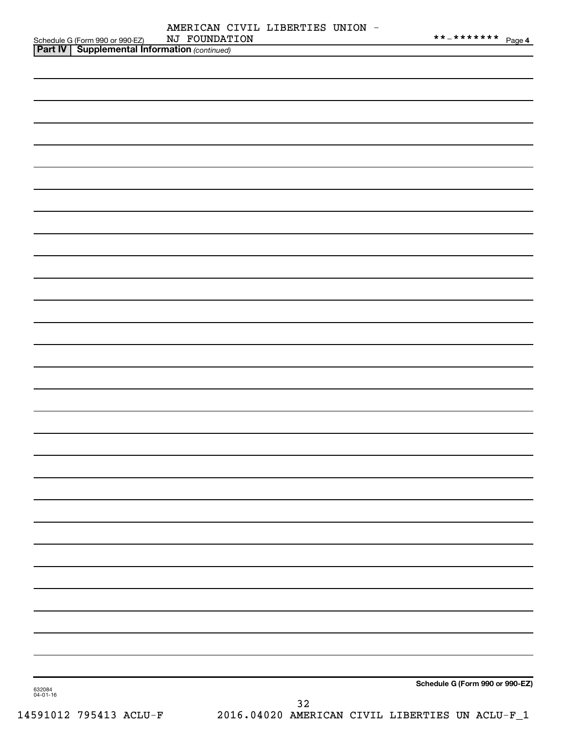|               | AMERICAN CIVIL LIBERTIES UNION - |  |
|---------------|----------------------------------|--|
| NJ FOUNDATION |                                  |  |

|                    |                                                                                                     | NJ FOUNDATION | **_******** Page 4              |
|--------------------|-----------------------------------------------------------------------------------------------------|---------------|---------------------------------|
|                    | Schedule G (Form 990 or 990-EZ) NJ FOUNDAT<br><b>Part IV   Supplemental Information</b> (continued) |               |                                 |
|                    |                                                                                                     |               |                                 |
|                    |                                                                                                     |               |                                 |
|                    |                                                                                                     |               |                                 |
|                    |                                                                                                     |               |                                 |
|                    |                                                                                                     |               |                                 |
|                    |                                                                                                     |               |                                 |
|                    |                                                                                                     |               |                                 |
|                    |                                                                                                     |               |                                 |
|                    |                                                                                                     |               |                                 |
|                    |                                                                                                     |               |                                 |
|                    |                                                                                                     |               |                                 |
|                    |                                                                                                     |               |                                 |
|                    |                                                                                                     |               |                                 |
|                    |                                                                                                     |               |                                 |
|                    |                                                                                                     |               |                                 |
|                    |                                                                                                     |               |                                 |
|                    |                                                                                                     |               |                                 |
|                    |                                                                                                     |               |                                 |
|                    |                                                                                                     |               |                                 |
|                    |                                                                                                     |               |                                 |
|                    |                                                                                                     |               |                                 |
|                    |                                                                                                     |               |                                 |
|                    |                                                                                                     |               |                                 |
|                    |                                                                                                     |               |                                 |
|                    |                                                                                                     |               |                                 |
|                    |                                                                                                     |               |                                 |
|                    |                                                                                                     |               |                                 |
|                    |                                                                                                     |               |                                 |
|                    |                                                                                                     |               |                                 |
|                    |                                                                                                     |               |                                 |
|                    |                                                                                                     |               |                                 |
|                    |                                                                                                     |               |                                 |
|                    |                                                                                                     |               |                                 |
|                    |                                                                                                     |               |                                 |
|                    |                                                                                                     |               |                                 |
|                    |                                                                                                     |               |                                 |
|                    |                                                                                                     |               |                                 |
|                    |                                                                                                     |               |                                 |
|                    |                                                                                                     |               |                                 |
|                    |                                                                                                     |               |                                 |
|                    |                                                                                                     |               |                                 |
|                    |                                                                                                     |               |                                 |
|                    |                                                                                                     |               |                                 |
|                    |                                                                                                     |               |                                 |
|                    |                                                                                                     |               |                                 |
|                    |                                                                                                     |               |                                 |
|                    |                                                                                                     |               |                                 |
|                    |                                                                                                     |               |                                 |
|                    |                                                                                                     |               |                                 |
|                    |                                                                                                     |               |                                 |
| 632084<br>04-01-16 |                                                                                                     |               | Schedule G (Form 990 or 990-EZ) |
|                    |                                                                                                     |               |                                 |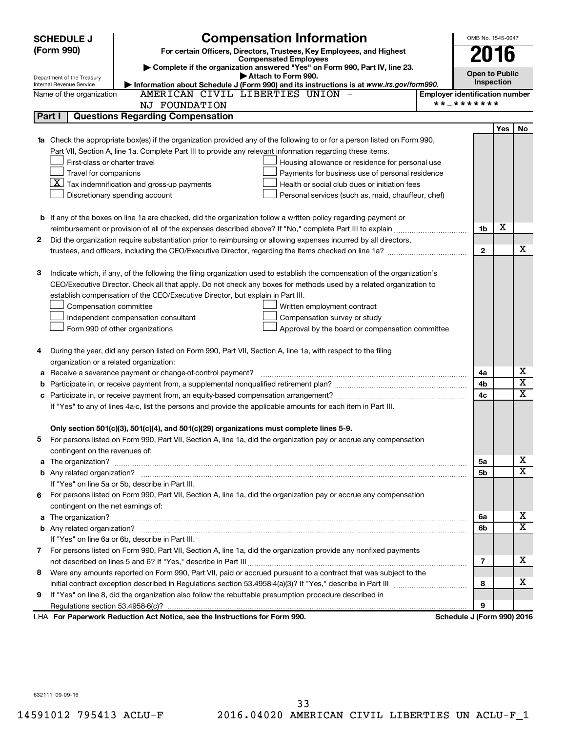|    | <b>SCHEDULE J</b>                  | <b>Compensation Information</b>                                                                                           |                                       | OMB No. 1545-0047          |                       |                         |  |
|----|------------------------------------|---------------------------------------------------------------------------------------------------------------------------|---------------------------------------|----------------------------|-----------------------|-------------------------|--|
|    | (Form 990)                         | For certain Officers, Directors, Trustees, Key Employees, and Highest                                                     |                                       | 2016                       |                       |                         |  |
|    |                                    | <b>Compensated Employees</b><br>Complete if the organization answered "Yes" on Form 990, Part IV, line 23.                |                                       |                            |                       |                         |  |
|    | Department of the Treasury         | Attach to Form 990.                                                                                                       |                                       |                            | <b>Open to Public</b> |                         |  |
|    | Internal Revenue Service           | Information about Schedule J (Form 990) and its instructions is at www.irs.gov/form990.                                   |                                       |                            | Inspection            |                         |  |
|    | Name of the organization           | AMERICAN CIVIL LIBERTIES UNION -                                                                                          | <b>Employer identification number</b> | **_*******                 |                       |                         |  |
|    |                                    | <b>NJ FOUNDATION</b>                                                                                                      |                                       |                            |                       |                         |  |
|    | Part I                             | <b>Questions Regarding Compensation</b>                                                                                   |                                       |                            |                       |                         |  |
|    |                                    |                                                                                                                           |                                       |                            | Yes                   | No                      |  |
| 1a |                                    | Check the appropriate box(es) if the organization provided any of the following to or for a person listed on Form 990,    |                                       |                            |                       |                         |  |
|    |                                    | Part VII, Section A, line 1a. Complete Part III to provide any relevant information regarding these items.                |                                       |                            |                       |                         |  |
|    | First-class or charter travel      | Housing allowance or residence for personal use                                                                           |                                       |                            |                       |                         |  |
|    | Travel for companions              | Payments for business use of personal residence                                                                           |                                       |                            |                       |                         |  |
|    |                                    | $ \mathbf{X} $ Tax indemnification and gross-up payments<br>Health or social club dues or initiation fees                 |                                       |                            |                       |                         |  |
|    |                                    | Discretionary spending account<br>Personal services (such as, maid, chauffeur, chef)                                      |                                       |                            |                       |                         |  |
|    |                                    |                                                                                                                           |                                       |                            |                       |                         |  |
|    |                                    | <b>b</b> If any of the boxes on line 1a are checked, did the organization follow a written policy regarding payment or    |                                       |                            | х                     |                         |  |
|    |                                    | reimbursement or provision of all of the expenses described above? If "No," complete Part III to explain                  |                                       | 1b                         |                       |                         |  |
| 2  |                                    | Did the organization require substantiation prior to reimbursing or allowing expenses incurred by all directors,          |                                       |                            |                       | х                       |  |
|    |                                    | trustees, and officers, including the CEO/Executive Director, regarding the items checked on line 1a?                     |                                       | $\mathbf{2}$               |                       |                         |  |
|    |                                    |                                                                                                                           |                                       |                            |                       |                         |  |
| з  |                                    | Indicate which, if any, of the following the filing organization used to establish the compensation of the organization's |                                       |                            |                       |                         |  |
|    |                                    | CEO/Executive Director. Check all that apply. Do not check any boxes for methods used by a related organization to        |                                       |                            |                       |                         |  |
|    |                                    | establish compensation of the CEO/Executive Director, but explain in Part III.                                            |                                       |                            |                       |                         |  |
|    | Compensation committee             | Written employment contract                                                                                               |                                       |                            |                       |                         |  |
|    |                                    | Independent compensation consultant<br>Compensation survey or study                                                       |                                       |                            |                       |                         |  |
|    |                                    | Form 990 of other organizations<br>Approval by the board or compensation committee                                        |                                       |                            |                       |                         |  |
| 4  |                                    | During the year, did any person listed on Form 990, Part VII, Section A, line 1a, with respect to the filing              |                                       |                            |                       |                         |  |
|    |                                    | organization or a related organization:                                                                                   |                                       |                            |                       |                         |  |
| а  |                                    | Receive a severance payment or change-of-control payment?                                                                 |                                       | 4a                         |                       | х                       |  |
| b  |                                    |                                                                                                                           |                                       | 4b                         |                       | $\overline{\textbf{X}}$ |  |
| c  |                                    |                                                                                                                           |                                       | 4c                         |                       | $\overline{\textbf{x}}$ |  |
|    |                                    | If "Yes" to any of lines 4a-c, list the persons and provide the applicable amounts for each item in Part III.             |                                       |                            |                       |                         |  |
|    |                                    |                                                                                                                           |                                       |                            |                       |                         |  |
|    |                                    | Only section 501(c)(3), 501(c)(4), and 501(c)(29) organizations must complete lines 5-9.                                  |                                       |                            |                       |                         |  |
|    |                                    | For persons listed on Form 990, Part VII, Section A, line 1a, did the organization pay or accrue any compensation         |                                       |                            |                       |                         |  |
|    | contingent on the revenues of:     |                                                                                                                           |                                       |                            |                       |                         |  |
|    |                                    |                                                                                                                           |                                       | 5a                         |                       | X                       |  |
|    |                                    |                                                                                                                           |                                       | 5b                         |                       | $\overline{\texttt{x}}$ |  |
|    |                                    | If "Yes" on line 5a or 5b, describe in Part III.                                                                          |                                       |                            |                       |                         |  |
|    |                                    | 6 For persons listed on Form 990, Part VII, Section A, line 1a, did the organization pay or accrue any compensation       |                                       |                            |                       |                         |  |
|    | contingent on the net earnings of: |                                                                                                                           |                                       |                            |                       |                         |  |
|    |                                    |                                                                                                                           |                                       | 6a                         |                       | х                       |  |
|    |                                    |                                                                                                                           |                                       | 6b                         |                       | $\overline{\mathbf{x}}$ |  |
|    |                                    | If "Yes" on line 6a or 6b, describe in Part III.                                                                          |                                       |                            |                       |                         |  |
|    |                                    | 7 For persons listed on Form 990, Part VII, Section A, line 1a, did the organization provide any nonfixed payments        |                                       |                            |                       |                         |  |
|    |                                    |                                                                                                                           |                                       | $\overline{7}$             |                       | x                       |  |
| 8  |                                    | Were any amounts reported on Form 990, Part VII, paid or accrued pursuant to a contract that was subject to the           |                                       |                            |                       |                         |  |
|    |                                    |                                                                                                                           |                                       | 8                          |                       | X                       |  |
| 9  |                                    | If "Yes" on line 8, did the organization also follow the rebuttable presumption procedure described in                    |                                       |                            |                       |                         |  |
|    |                                    |                                                                                                                           |                                       | 9                          |                       |                         |  |
|    |                                    | LHA For Paperwork Reduction Act Notice, see the Instructions for Form 990.                                                |                                       | Schedule J (Form 990) 2016 |                       |                         |  |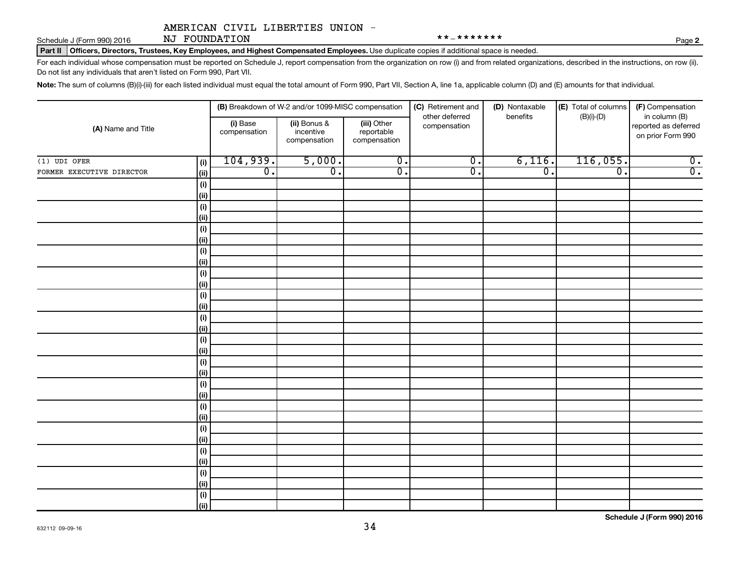Schedule J (Form 990) 2016 NJ FOUNDATION  $*********$ NJ FOUNDATION

Part II | Officers, Directors, Trustees, Key Employees, and Highest Compensated Employees. Use duplicate copies if additional space is needed.

For each individual whose compensation must be reported on Schedule J, report compensation from the organization on row (i) and from related organizations, described in the instructions, on row (ii). Do not list any individuals that aren't listed on Form 990, Part VII.

Note: The sum of columns (B)(i)-(iii) for each listed individual must equal the total amount of Form 990, Part VII, Section A, line 1a, applicable column (D) and (E) amounts for that individual.

|                           |                    |                          | (B) Breakdown of W-2 and/or 1099-MISC compensation |                                           | (C) Retirement and<br>other deferred | (D) Nontaxable<br>benefits  | (E) Total of columns<br>$(B)(i)$ - $(D)$ | (F) Compensation<br>in column (B)         |
|---------------------------|--------------------|--------------------------|----------------------------------------------------|-------------------------------------------|--------------------------------------|-----------------------------|------------------------------------------|-------------------------------------------|
| (A) Name and Title        |                    | (i) Base<br>compensation | (ii) Bonus &<br>incentive<br>compensation          | (iii) Other<br>reportable<br>compensation | compensation                         |                             |                                          | reported as deferred<br>on prior Form 990 |
| $(1)$ UDI OFER            | (i)                | 104,939.                 | 5,000.                                             | $\overline{0}$ .                          | $\overline{0}$ .                     | 6,116.                      | 116,055.                                 | $\overline{0}$ .                          |
| FORMER EXECUTIVE DIRECTOR | (ii)               | $\overline{0}$ .         | $\overline{0}$ .                                   | $\overline{0}$ .                          | $\overline{\mathfrak{o}}$ .          | $\overline{\mathfrak{o}}$ . | $\overline{\mathfrak{o}}$ .              | $\overline{0}$ .                          |
|                           | (i)                |                          |                                                    |                                           |                                      |                             |                                          |                                           |
|                           | (ii)               |                          |                                                    |                                           |                                      |                             |                                          |                                           |
|                           | (i)                |                          |                                                    |                                           |                                      |                             |                                          |                                           |
|                           | (ii)               |                          |                                                    |                                           |                                      |                             |                                          |                                           |
|                           | $(\sf{i})$         |                          |                                                    |                                           |                                      |                             |                                          |                                           |
|                           | (ii)               |                          |                                                    |                                           |                                      |                             |                                          |                                           |
|                           | $(\sf{i})$         |                          |                                                    |                                           |                                      |                             |                                          |                                           |
|                           | (ii)               |                          |                                                    |                                           |                                      |                             |                                          |                                           |
|                           | $(\sf{i})$         |                          |                                                    |                                           |                                      |                             |                                          |                                           |
|                           | (ii)               |                          |                                                    |                                           |                                      |                             |                                          |                                           |
|                           | $(\sf{i})$         |                          |                                                    |                                           |                                      |                             |                                          |                                           |
|                           | (ii)               |                          |                                                    |                                           |                                      |                             |                                          |                                           |
|                           | $(\sf{i})$         |                          |                                                    |                                           |                                      |                             |                                          |                                           |
|                           | (ii)               |                          |                                                    |                                           |                                      |                             |                                          |                                           |
|                           | $(\sf{i})$<br>(ii) |                          |                                                    |                                           |                                      |                             |                                          |                                           |
|                           | $(\sf{i})$         |                          |                                                    |                                           |                                      |                             |                                          |                                           |
|                           | (ii)               |                          |                                                    |                                           |                                      |                             |                                          |                                           |
|                           | $(\sf{i})$         |                          |                                                    |                                           |                                      |                             |                                          |                                           |
|                           | (ii)               |                          |                                                    |                                           |                                      |                             |                                          |                                           |
|                           | $(\sf{i})$         |                          |                                                    |                                           |                                      |                             |                                          |                                           |
|                           | (ii)               |                          |                                                    |                                           |                                      |                             |                                          |                                           |
|                           | $(\sf{i})$         |                          |                                                    |                                           |                                      |                             |                                          |                                           |
|                           | (ii)               |                          |                                                    |                                           |                                      |                             |                                          |                                           |
|                           | $(\sf{i})$         |                          |                                                    |                                           |                                      |                             |                                          |                                           |
|                           | (ii)               |                          |                                                    |                                           |                                      |                             |                                          |                                           |
|                           | $(\sf{i})$         |                          |                                                    |                                           |                                      |                             |                                          |                                           |
|                           | (ii)               |                          |                                                    |                                           |                                      |                             |                                          |                                           |
|                           | $(\sf{i})$         |                          |                                                    |                                           |                                      |                             |                                          |                                           |
|                           | (ii)               |                          |                                                    |                                           |                                      |                             |                                          |                                           |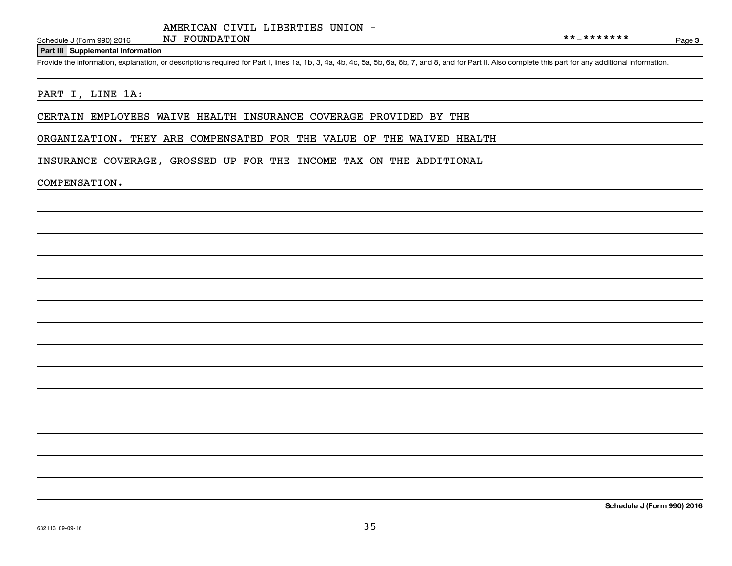Schedule J (Form 990) 2016 NJ  $\overline{V}$  NJ  $\overline{V}$  FOUNDATION

Page 3

#### **Part III Supplemental Information**

Provide the information, explanation, or descriptions required for Part I, lines 1a, 1b, 3, 4a, 4b, 4c, 5a, 5b, 6a, 6b, 7, and 8, and for Part II. Also complete this part for any additional information.

#### PART I, LINE 1A:

CERTAIN EMPLOYEES WAIVE HEALTH INSURANCE COVERAGE PROVIDED BY THE

ORGANIZATION. THEY ARE COMPENSATED FOR THE VALUE OF THE WAIVED HEALTH

INSURANCE COVERAGE, GROSSED UP FOR THE INCOME TAX ON THE ADDITIONAL

#### COMPENSATION.

**Schedule J (Form 990) 2016**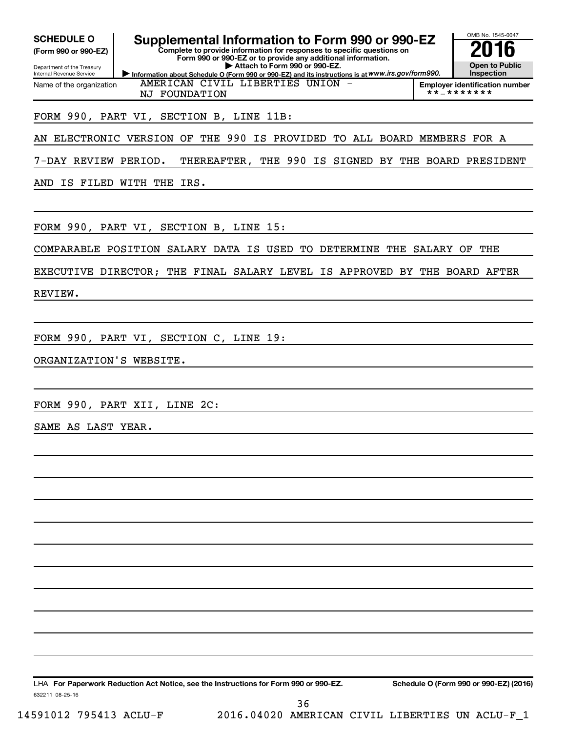| <b>SCHEDULE O</b><br>(Form 990 or 990-EZ)              | Supplemental Information to Form 990 or 990-EZ<br>Complete to provide information for responses to specific questions on<br>Form 990 or 990-EZ or to provide any additional information. | OMB No. 1545-0047                                   |
|--------------------------------------------------------|------------------------------------------------------------------------------------------------------------------------------------------------------------------------------------------|-----------------------------------------------------|
| Department of the Treasury<br>Internal Revenue Service | Attach to Form 990 or 990-EZ.<br>Information about Schedule O (Form 990 or 990-EZ) and its instructions is at WWW.irs.gov/form990.                                                       | <b>Open to Public</b><br>Inspection                 |
| Name of the organization                               | AMERICAN CIVIL LIBERTIES UNION -<br>NJ FOUNDATION                                                                                                                                        | <b>Employer identification number</b><br>**_******* |
|                                                        | FORM 990, PART VI, SECTION B, LINE 11B:                                                                                                                                                  |                                                     |
| AN ELECTRONIC VERSION OF                               | THE 990 IS PROVIDED TO ALL BOARD MEMBERS FOR A                                                                                                                                           |                                                     |
| 7-DAY REVIEW PERIOD.                                   | THEREAFTER, THE 990 IS SIGNED BY THE BOARD PRESIDENT                                                                                                                                     |                                                     |
|                                                        | AND IS FILED WITH THE IRS.                                                                                                                                                               |                                                     |
|                                                        |                                                                                                                                                                                          |                                                     |
|                                                        | FORM 990, PART VI, SECTION B, LINE 15:                                                                                                                                                   |                                                     |
|                                                        | COMPARABLE POSITION SALARY DATA IS USED<br>TO DETERMINE THE SALARY OF THE                                                                                                                |                                                     |
|                                                        | EXECUTIVE DIRECTOR; THE FINAL SALARY LEVEL IS APPROVED BY THE BOARD AFTER                                                                                                                |                                                     |
| REVIEW.                                                |                                                                                                                                                                                          |                                                     |
|                                                        |                                                                                                                                                                                          |                                                     |
|                                                        | FORM 990, PART VI, SECTION C, LINE 19:                                                                                                                                                   |                                                     |
| ORGANIZATION'S WEBSITE.                                |                                                                                                                                                                                          |                                                     |
|                                                        |                                                                                                                                                                                          |                                                     |
|                                                        | FORM 990, PART XII, LINE 2C:                                                                                                                                                             |                                                     |
| SAME AS LAST YEAR.                                     |                                                                                                                                                                                          |                                                     |
|                                                        |                                                                                                                                                                                          |                                                     |
|                                                        |                                                                                                                                                                                          |                                                     |
|                                                        |                                                                                                                                                                                          |                                                     |
|                                                        |                                                                                                                                                                                          |                                                     |
|                                                        |                                                                                                                                                                                          |                                                     |
|                                                        |                                                                                                                                                                                          |                                                     |
|                                                        |                                                                                                                                                                                          |                                                     |
|                                                        |                                                                                                                                                                                          |                                                     |
|                                                        |                                                                                                                                                                                          |                                                     |
|                                                        |                                                                                                                                                                                          |                                                     |
|                                                        |                                                                                                                                                                                          |                                                     |
| 632211 08-25-16                                        | LHA For Paperwork Reduction Act Notice, see the Instructions for Form 990 or 990-EZ.                                                                                                     | Schedule O (Form 990 or 990-EZ) (2016)              |
|                                                        | 36                                                                                                                                                                                       |                                                     |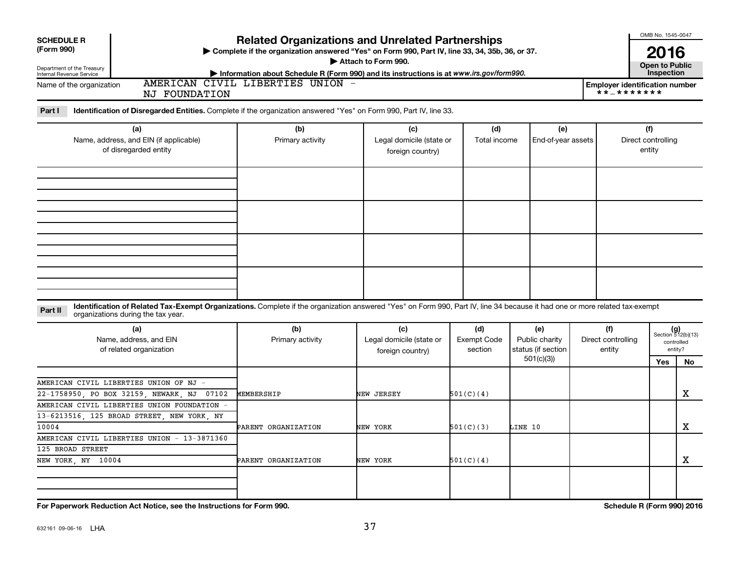| <b>Related Organizations and Unrelated Partnerships</b><br>(Form 990)<br>> Complete if the organization answered "Yes" on Form 990, Part IV, line 33, 34, 35b, 36, or 37.<br>2016<br>Attach to Form 990.<br><b>Open to Public</b><br>Department of the Treasury<br>Internal Revenue Service<br>Inspection<br>Information about Schedule R (Form 990) and its instructions is at www.irs.gov/form990.<br>AMERICAN CIVIL LIBERTIES UNION -<br>Name of the organization<br><b>Employer identification number</b><br>**_*******<br><b>NJ FOUNDATION</b><br>Part I<br>Identification of Disregarded Entities. Complete if the organization answered "Yes" on Form 990, Part IV, line 33.<br>(b)<br>(f)<br>(a)<br>(c)<br>(d)<br>(e)<br>Name, address, and EIN (if applicable)<br>Primary activity<br>Legal domicile (state or<br>Total income<br>Direct controlling<br>End-of-year assets<br>of disregarded entity<br>entity<br>foreign country)<br>Identification of Related Tax-Exempt Organizations. Complete if the organization answered "Yes" on Form 990, Part IV, line 34 because it had one or more related tax-exempt<br>Part II<br>organizations during the tax year.<br>(b)<br>(d)<br>(a)<br>(c)<br>(e)<br>(f)<br>$(g)$<br>Section 512(b)(13)<br>Exempt Code<br>Direct controlling<br>Name, address, and EIN<br>Primary activity<br>Legal domicile (state or<br>Public charity<br>controlled<br>status (if section<br>of related organization<br>section<br>entity<br>entity?<br>foreign country)<br>501(c)(3)<br>Yes<br>No<br>AMERICAN CIVIL LIBERTIES UNION OF NJ -<br>х<br>22-1758950, PO BOX 32159, NEWARK, NJ<br>07102<br>MEMBERSHIP<br>NEW JERSEY<br>501(C)(4)<br>AMERICAN CIVIL LIBERTIES UNION FOUNDATION -<br>13-6213516 125 BROAD STREET NEW YORK NY<br>X<br>10004<br>PARENT ORGANIZATION<br>NEW YORK<br>501(C)(3)<br>LINE 10<br>AMERICAN CIVIL LIBERTIES UNION - 13-3871360<br>125 BROAD STREET<br>x<br>NEW YORK, NY 10004<br>NEW YORK<br>501(C)(4)<br>PARENT ORGANIZATION<br>Schedule R (Form 990) 2016<br>For Paperwork Reduction Act Notice, see the Instructions for Form 990. | <b>SCHEDULE R</b> |  |  | OMB No. 1545-0047 |  |
|-----------------------------------------------------------------------------------------------------------------------------------------------------------------------------------------------------------------------------------------------------------------------------------------------------------------------------------------------------------------------------------------------------------------------------------------------------------------------------------------------------------------------------------------------------------------------------------------------------------------------------------------------------------------------------------------------------------------------------------------------------------------------------------------------------------------------------------------------------------------------------------------------------------------------------------------------------------------------------------------------------------------------------------------------------------------------------------------------------------------------------------------------------------------------------------------------------------------------------------------------------------------------------------------------------------------------------------------------------------------------------------------------------------------------------------------------------------------------------------------------------------------------------------------------------------------------------------------------------------------------------------------------------------------------------------------------------------------------------------------------------------------------------------------------------------------------------------------------------------------------------------------------------------------------------------------------------------------------------------------------------------------------------------------------------------------------------------------------------|-------------------|--|--|-------------------|--|
|                                                                                                                                                                                                                                                                                                                                                                                                                                                                                                                                                                                                                                                                                                                                                                                                                                                                                                                                                                                                                                                                                                                                                                                                                                                                                                                                                                                                                                                                                                                                                                                                                                                                                                                                                                                                                                                                                                                                                                                                                                                                                                     |                   |  |  |                   |  |
|                                                                                                                                                                                                                                                                                                                                                                                                                                                                                                                                                                                                                                                                                                                                                                                                                                                                                                                                                                                                                                                                                                                                                                                                                                                                                                                                                                                                                                                                                                                                                                                                                                                                                                                                                                                                                                                                                                                                                                                                                                                                                                     |                   |  |  |                   |  |
|                                                                                                                                                                                                                                                                                                                                                                                                                                                                                                                                                                                                                                                                                                                                                                                                                                                                                                                                                                                                                                                                                                                                                                                                                                                                                                                                                                                                                                                                                                                                                                                                                                                                                                                                                                                                                                                                                                                                                                                                                                                                                                     |                   |  |  |                   |  |
|                                                                                                                                                                                                                                                                                                                                                                                                                                                                                                                                                                                                                                                                                                                                                                                                                                                                                                                                                                                                                                                                                                                                                                                                                                                                                                                                                                                                                                                                                                                                                                                                                                                                                                                                                                                                                                                                                                                                                                                                                                                                                                     |                   |  |  |                   |  |
|                                                                                                                                                                                                                                                                                                                                                                                                                                                                                                                                                                                                                                                                                                                                                                                                                                                                                                                                                                                                                                                                                                                                                                                                                                                                                                                                                                                                                                                                                                                                                                                                                                                                                                                                                                                                                                                                                                                                                                                                                                                                                                     |                   |  |  |                   |  |
|                                                                                                                                                                                                                                                                                                                                                                                                                                                                                                                                                                                                                                                                                                                                                                                                                                                                                                                                                                                                                                                                                                                                                                                                                                                                                                                                                                                                                                                                                                                                                                                                                                                                                                                                                                                                                                                                                                                                                                                                                                                                                                     |                   |  |  |                   |  |
|                                                                                                                                                                                                                                                                                                                                                                                                                                                                                                                                                                                                                                                                                                                                                                                                                                                                                                                                                                                                                                                                                                                                                                                                                                                                                                                                                                                                                                                                                                                                                                                                                                                                                                                                                                                                                                                                                                                                                                                                                                                                                                     |                   |  |  |                   |  |
|                                                                                                                                                                                                                                                                                                                                                                                                                                                                                                                                                                                                                                                                                                                                                                                                                                                                                                                                                                                                                                                                                                                                                                                                                                                                                                                                                                                                                                                                                                                                                                                                                                                                                                                                                                                                                                                                                                                                                                                                                                                                                                     |                   |  |  |                   |  |
|                                                                                                                                                                                                                                                                                                                                                                                                                                                                                                                                                                                                                                                                                                                                                                                                                                                                                                                                                                                                                                                                                                                                                                                                                                                                                                                                                                                                                                                                                                                                                                                                                                                                                                                                                                                                                                                                                                                                                                                                                                                                                                     |                   |  |  |                   |  |
|                                                                                                                                                                                                                                                                                                                                                                                                                                                                                                                                                                                                                                                                                                                                                                                                                                                                                                                                                                                                                                                                                                                                                                                                                                                                                                                                                                                                                                                                                                                                                                                                                                                                                                                                                                                                                                                                                                                                                                                                                                                                                                     |                   |  |  |                   |  |
|                                                                                                                                                                                                                                                                                                                                                                                                                                                                                                                                                                                                                                                                                                                                                                                                                                                                                                                                                                                                                                                                                                                                                                                                                                                                                                                                                                                                                                                                                                                                                                                                                                                                                                                                                                                                                                                                                                                                                                                                                                                                                                     |                   |  |  |                   |  |
|                                                                                                                                                                                                                                                                                                                                                                                                                                                                                                                                                                                                                                                                                                                                                                                                                                                                                                                                                                                                                                                                                                                                                                                                                                                                                                                                                                                                                                                                                                                                                                                                                                                                                                                                                                                                                                                                                                                                                                                                                                                                                                     |                   |  |  |                   |  |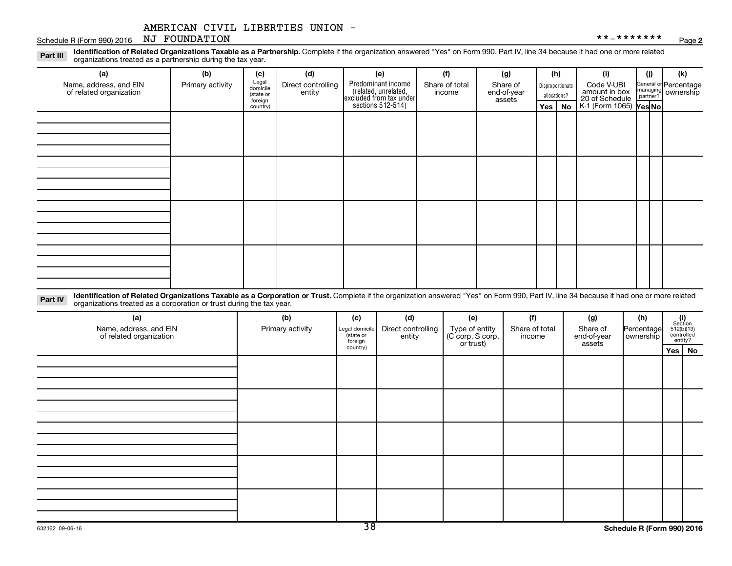#### Schedule R (Form 990) 2016 NJ FOUNDATION NJ FOUNDATION

Part III Identification of Related Organizations Taxable as a Partnership. Complete if the organization answered "Yes" on Form 990, Part IV, line 34 because it had one or more related<br>Read to the organizations tracted as a organizations treated as a partnership during the tax year.

| (a)                                               | (b)              | (c)                                       | (d)                          | (e)                                                                                        | (f)                      | (g)                               |                  | (h)          | (i)                                                                     | (j) | (k)                                                     |
|---------------------------------------------------|------------------|-------------------------------------------|------------------------------|--------------------------------------------------------------------------------------------|--------------------------|-----------------------------------|------------------|--------------|-------------------------------------------------------------------------|-----|---------------------------------------------------------|
| Name, address, and EIN<br>of related organization | Primary activity | Legal<br>domicile<br>(state or<br>foreign | Direct controlling<br>entity | Predominant income<br>(related, unrelated,<br>excluded from tax under<br>sections 512-514) | Share of total<br>income | Share of<br>end-of-year<br>assets | Disproportionate | allocations? | Code V-UBI<br>amount in box<br>20 of Schedule<br>K-1 (Form 1065) Yes No |     | General or Percentage<br>managing ownership<br>partner? |
|                                                   |                  | country)                                  |                              |                                                                                            |                          |                                   |                  | Yes   No     |                                                                         |     |                                                         |
|                                                   |                  |                                           |                              |                                                                                            |                          |                                   |                  |              |                                                                         |     |                                                         |
|                                                   |                  |                                           |                              |                                                                                            |                          |                                   |                  |              |                                                                         |     |                                                         |
|                                                   |                  |                                           |                              |                                                                                            |                          |                                   |                  |              |                                                                         |     |                                                         |
|                                                   |                  |                                           |                              |                                                                                            |                          |                                   |                  |              |                                                                         |     |                                                         |
|                                                   |                  |                                           |                              |                                                                                            |                          |                                   |                  |              |                                                                         |     |                                                         |
|                                                   |                  |                                           |                              |                                                                                            |                          |                                   |                  |              |                                                                         |     |                                                         |
|                                                   |                  |                                           |                              |                                                                                            |                          |                                   |                  |              |                                                                         |     |                                                         |
|                                                   |                  |                                           |                              |                                                                                            |                          |                                   |                  |              |                                                                         |     |                                                         |
|                                                   |                  |                                           |                              |                                                                                            |                          |                                   |                  |              |                                                                         |     |                                                         |
|                                                   |                  |                                           |                              |                                                                                            |                          |                                   |                  |              |                                                                         |     |                                                         |
|                                                   |                  |                                           |                              |                                                                                            |                          |                                   |                  |              |                                                                         |     |                                                         |
|                                                   |                  |                                           |                              |                                                                                            |                          |                                   |                  |              |                                                                         |     |                                                         |
|                                                   |                  |                                           |                              |                                                                                            |                          |                                   |                  |              |                                                                         |     |                                                         |
|                                                   |                  |                                           |                              |                                                                                            |                          |                                   |                  |              |                                                                         |     |                                                         |
|                                                   |                  |                                           |                              |                                                                                            |                          |                                   |                  |              |                                                                         |     |                                                         |
|                                                   |                  |                                           |                              |                                                                                            |                          |                                   |                  |              |                                                                         |     |                                                         |
|                                                   |                  |                                           |                              |                                                                                            |                          |                                   |                  |              |                                                                         |     |                                                         |

Part IV Identification of Related Organizations Taxable as a Corporation or Trust. Complete if the organization answered "Yes" on Form 990, Part IV, line 34 because it had one or more related<br>Complete intervals are accompa organizations treated as a corporation or trust during the tax year.

| (a)<br>Name, address, and EIN<br>of related organization | (b)<br>Primary activity | (c)<br>Legal domicile<br>(state or<br>foreign | (d)<br>Direct controlling<br>entity | (e)<br>Type of entity<br>(C corp, S corp,<br>or trust) | (f)<br>Share of total<br>income | (g)<br>Share of<br>end-of-year<br>assets | (h)<br>Percentage<br>ownership | $(i)$<br>Section<br>512(b)(13)<br>controlled<br>entity? |  |
|----------------------------------------------------------|-------------------------|-----------------------------------------------|-------------------------------------|--------------------------------------------------------|---------------------------------|------------------------------------------|--------------------------------|---------------------------------------------------------|--|
|                                                          |                         | country)                                      |                                     |                                                        |                                 |                                          |                                | Yes   No                                                |  |
|                                                          |                         |                                               |                                     |                                                        |                                 |                                          |                                |                                                         |  |
|                                                          |                         |                                               |                                     |                                                        |                                 |                                          |                                |                                                         |  |
|                                                          |                         |                                               |                                     |                                                        |                                 |                                          |                                |                                                         |  |
|                                                          |                         |                                               |                                     |                                                        |                                 |                                          |                                |                                                         |  |
|                                                          |                         |                                               |                                     |                                                        |                                 |                                          |                                |                                                         |  |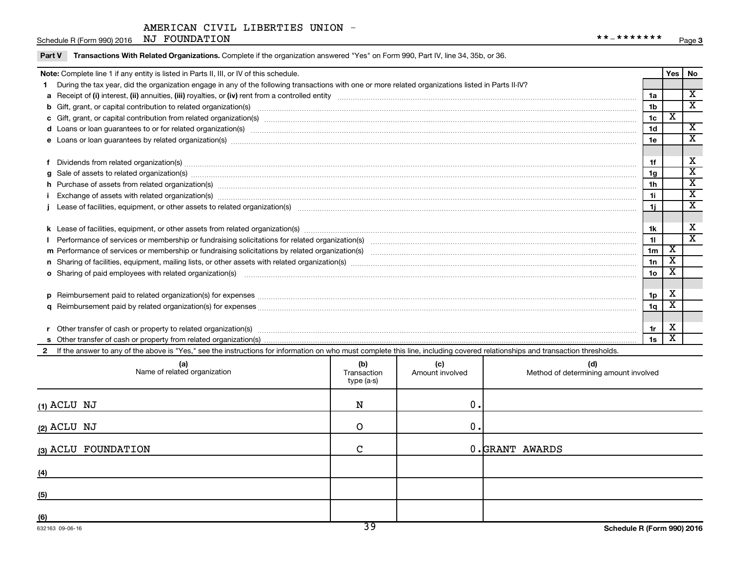Schedule R (Form 990) 2016 NJ FOUNDATION  $***$   $*$ 

|                            | Note: Complete line 1 if any entity is listed in Parts II, III, or IV of this schedule.                                                                                                                                        |             |                 |                                       |                |                         | Yes   No                                           |  |  |
|----------------------------|--------------------------------------------------------------------------------------------------------------------------------------------------------------------------------------------------------------------------------|-------------|-----------------|---------------------------------------|----------------|-------------------------|----------------------------------------------------|--|--|
|                            | During the tax year, did the organization engage in any of the following transactions with one or more related organizations listed in Parts II-IV?                                                                            |             |                 |                                       |                |                         |                                                    |  |  |
|                            |                                                                                                                                                                                                                                |             |                 |                                       | 1a             |                         | $\overline{\mathbf{x}}$                            |  |  |
|                            | b Gift, grant, or capital contribution to related organization(s) manufaction content and content and contribution to related organization(s) manufaction content and content and content and content and content and content  |             |                 |                                       | 1 <sub>b</sub> |                         | $\overline{\texttt{x}}$                            |  |  |
| 1 <sub>c</sub>             |                                                                                                                                                                                                                                |             |                 |                                       |                |                         |                                                    |  |  |
|                            | d Loans or loan guarantees to or for related organization(s) www.communities.com/www.communities/communities/community/community/community/community/community/community/community/community/community/community/community/com |             |                 |                                       | 1 <sub>d</sub> |                         | $\overline{\mathbf{x}}$                            |  |  |
|                            | e Loans or loan guarantees by related organization(s) manufaction content to the manufacture content to the manufacture content of the manufacture content of the content of the content of the content of the content of the  |             |                 |                                       | 1e             |                         | $\overline{\mathbf{x}}$                            |  |  |
|                            |                                                                                                                                                                                                                                |             |                 |                                       |                |                         |                                                    |  |  |
|                            | Dividends from related organization(s) machinesis and contract and contract and contract and contract and contract and contract and contract and contract and contract and contract and contract and contract and contract and |             |                 |                                       | 1f             |                         | X                                                  |  |  |
| a                          | Sale of assets to related organization(s) www.assettion.com/www.assettion.com/www.assettion.com/www.assettion.com/www.assettion.com/www.assettion.com/www.assettion.com/www.assettion.com/www.assettion.com/www.assettion.com/ |             |                 |                                       | 1 <sub>q</sub> |                         | $\overline{\mathbf{x}}$                            |  |  |
|                            | h Purchase of assets from related organization(s) manufactured and content to content the content of assets from related organization(s) manufactured and content and content and content of the content of the content of the |             |                 |                                       | 1 <sub>h</sub> |                         | $\overline{\text{x}}$                              |  |  |
|                            | Exchange of assets with related organization(s) www.web.com/www.web.com/www.web.com/www.web/www.web/www.web/ww                                                                                                                 |             |                 |                                       | 1i.            |                         | $\overline{\mathbf{x}}$<br>$\overline{\texttt{x}}$ |  |  |
| 1i.                        |                                                                                                                                                                                                                                |             |                 |                                       |                |                         |                                                    |  |  |
|                            |                                                                                                                                                                                                                                |             |                 |                                       |                |                         |                                                    |  |  |
|                            |                                                                                                                                                                                                                                |             |                 |                                       | 1k             |                         | X                                                  |  |  |
|                            |                                                                                                                                                                                                                                |             |                 |                                       | 11             |                         | $\overline{\textnormal{x}}$                        |  |  |
|                            |                                                                                                                                                                                                                                |             |                 |                                       | 1 <sub>m</sub> | $\overline{\texttt{x}}$ |                                                    |  |  |
|                            |                                                                                                                                                                                                                                |             |                 |                                       | 1n             | $\overline{\texttt{x}}$ |                                                    |  |  |
|                            | o Sharing of paid employees with related organization(s) manufaction contracts and an examinary contracts and an examination contracts and an example of paid employees with related organization(s) manufactured manufactured |             |                 |                                       | 1 <sub>o</sub> | х                       |                                                    |  |  |
|                            |                                                                                                                                                                                                                                |             |                 |                                       |                |                         |                                                    |  |  |
|                            |                                                                                                                                                                                                                                |             |                 |                                       | 1 <sub>p</sub> | х                       |                                                    |  |  |
|                            |                                                                                                                                                                                                                                |             |                 |                                       | 1q             | $\overline{\texttt{x}}$ |                                                    |  |  |
|                            |                                                                                                                                                                                                                                |             |                 |                                       |                |                         |                                                    |  |  |
|                            | Other transfer of cash or property to related organization(s) manufactured contains and contains and contains a series of cash or property to related organization(s) manufactured contains and contains a series of cash or p |             |                 |                                       | 1r             | X                       |                                                    |  |  |
|                            |                                                                                                                                                                                                                                |             |                 |                                       | 1s             | X                       |                                                    |  |  |
| $\mathbf{2}$               | If the answer to any of the above is "Yes," see the instructions for information on who must complete this line, including covered relationships and transaction thresholds.                                                   |             |                 |                                       |                |                         |                                                    |  |  |
|                            |                                                                                                                                                                                                                                | (b)         | (c)             | (d)                                   |                |                         |                                                    |  |  |
|                            | (a)<br>Name of related organization                                                                                                                                                                                            | Transaction | Amount involved | Method of determining amount involved |                |                         |                                                    |  |  |
| $t$ <sub>vne</sub> $(a,e)$ |                                                                                                                                                                                                                                |             |                 |                                       |                |                         |                                                    |  |  |

| Name of related organization | <b>וטן</b><br>Transaction<br>type (a-s) | ्ज<br>Amount involved | la)<br>Method of determining amount involved |
|------------------------------|-----------------------------------------|-----------------------|----------------------------------------------|
| $(1)$ ACLU NJ                | N                                       | 0.                    |                                              |
| $(2)$ ACLU NJ                | O                                       | 0.                    |                                              |
| (3) ACLU FOUNDATION          | $\mathbf C$                             |                       | 0.GRANT AWARDS                               |
| (4)                          |                                         |                       |                                              |
| (5)                          |                                         |                       |                                              |
| (6)                          | $\overline{\phantom{a}}$                |                       |                                              |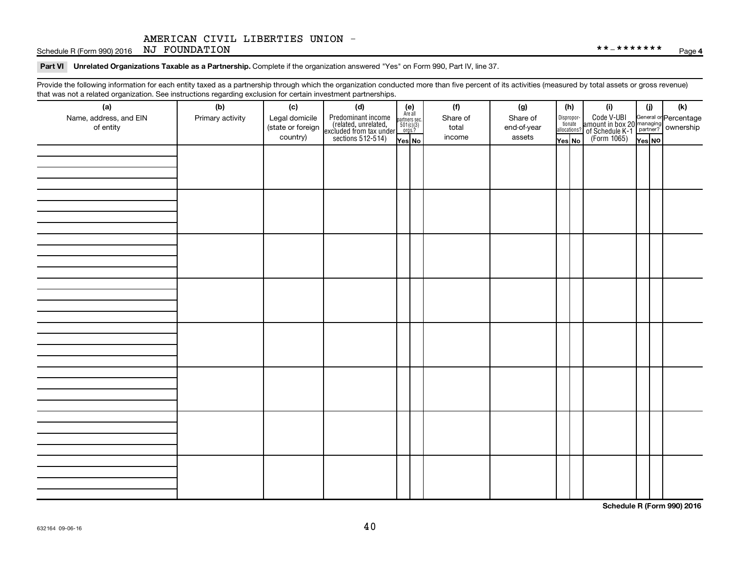Schedule R (Form 990) 2016 NJ FOUNDATION  $***$   $*$ 

Part VI Unrelated Organizations Taxable as a Partnership. Complete if the organization answered "Yes" on Form 990, Part IV, line 37.

Provide the following information for each entity taxed as a partnership through which the organization conducted more than five percent of its activities (measured by total assets or gross revenue) that was not a related organization. See instructions regarding exclusion for certain investment partnerships.

| that was not a related erganization. Occ includitions regarding exclusion for cortain investment partnerships.<br>(a) | (b)              | (c)               | (d)                                                                                        |                                                            | (f)      | (g)         |                                  | (h) | (i)                                                                                             | (i)    | (k) |
|-----------------------------------------------------------------------------------------------------------------------|------------------|-------------------|--------------------------------------------------------------------------------------------|------------------------------------------------------------|----------|-------------|----------------------------------|-----|-------------------------------------------------------------------------------------------------|--------|-----|
| Name, address, and EIN                                                                                                | Primary activity | Legal domicile    |                                                                                            | $(e)$<br>Are all<br>partners sec.<br>$501(c)(3)$<br>orgs.? | Share of | Share of    |                                  |     |                                                                                                 |        |     |
| of entity                                                                                                             |                  | (state or foreign | Predominant income<br>(related, unrelated,<br>excluded from tax under<br>sections 512-514) |                                                            | total    | end-of-year | Disproportionate<br>allocations? |     | Code V-UBI<br>amount in box 20 managing<br>of Schedule K-1<br>(Form 1065)<br>$\chi_{\rm es}$ No |        |     |
|                                                                                                                       |                  | country)          |                                                                                            | Yes No                                                     | income   | assets      | Yes No                           |     |                                                                                                 | Yes NO |     |
|                                                                                                                       |                  |                   |                                                                                            |                                                            |          |             |                                  |     |                                                                                                 |        |     |
|                                                                                                                       |                  |                   |                                                                                            |                                                            |          |             |                                  |     |                                                                                                 |        |     |
|                                                                                                                       |                  |                   |                                                                                            |                                                            |          |             |                                  |     |                                                                                                 |        |     |
|                                                                                                                       |                  |                   |                                                                                            |                                                            |          |             |                                  |     |                                                                                                 |        |     |
|                                                                                                                       |                  |                   |                                                                                            |                                                            |          |             |                                  |     |                                                                                                 |        |     |
|                                                                                                                       |                  |                   |                                                                                            |                                                            |          |             |                                  |     |                                                                                                 |        |     |
|                                                                                                                       |                  |                   |                                                                                            |                                                            |          |             |                                  |     |                                                                                                 |        |     |
|                                                                                                                       |                  |                   |                                                                                            |                                                            |          |             |                                  |     |                                                                                                 |        |     |
|                                                                                                                       |                  |                   |                                                                                            |                                                            |          |             |                                  |     |                                                                                                 |        |     |
|                                                                                                                       |                  |                   |                                                                                            |                                                            |          |             |                                  |     |                                                                                                 |        |     |
|                                                                                                                       |                  |                   |                                                                                            |                                                            |          |             |                                  |     |                                                                                                 |        |     |
|                                                                                                                       |                  |                   |                                                                                            |                                                            |          |             |                                  |     |                                                                                                 |        |     |
|                                                                                                                       |                  |                   |                                                                                            |                                                            |          |             |                                  |     |                                                                                                 |        |     |
|                                                                                                                       |                  |                   |                                                                                            |                                                            |          |             |                                  |     |                                                                                                 |        |     |
|                                                                                                                       |                  |                   |                                                                                            |                                                            |          |             |                                  |     |                                                                                                 |        |     |
|                                                                                                                       |                  |                   |                                                                                            |                                                            |          |             |                                  |     |                                                                                                 |        |     |
|                                                                                                                       |                  |                   |                                                                                            |                                                            |          |             |                                  |     |                                                                                                 |        |     |
|                                                                                                                       |                  |                   |                                                                                            |                                                            |          |             |                                  |     |                                                                                                 |        |     |
|                                                                                                                       |                  |                   |                                                                                            |                                                            |          |             |                                  |     |                                                                                                 |        |     |
|                                                                                                                       |                  |                   |                                                                                            |                                                            |          |             |                                  |     |                                                                                                 |        |     |
|                                                                                                                       |                  |                   |                                                                                            |                                                            |          |             |                                  |     |                                                                                                 |        |     |
|                                                                                                                       |                  |                   |                                                                                            |                                                            |          |             |                                  |     |                                                                                                 |        |     |
|                                                                                                                       |                  |                   |                                                                                            |                                                            |          |             |                                  |     |                                                                                                 |        |     |
|                                                                                                                       |                  |                   |                                                                                            |                                                            |          |             |                                  |     |                                                                                                 |        |     |
|                                                                                                                       |                  |                   |                                                                                            |                                                            |          |             |                                  |     |                                                                                                 |        |     |
|                                                                                                                       |                  |                   |                                                                                            |                                                            |          |             |                                  |     |                                                                                                 |        |     |
|                                                                                                                       |                  |                   |                                                                                            |                                                            |          |             |                                  |     |                                                                                                 |        |     |
|                                                                                                                       |                  |                   |                                                                                            |                                                            |          |             |                                  |     |                                                                                                 |        |     |
|                                                                                                                       |                  |                   |                                                                                            |                                                            |          |             |                                  |     |                                                                                                 |        |     |
|                                                                                                                       |                  |                   |                                                                                            |                                                            |          |             |                                  |     |                                                                                                 |        |     |
|                                                                                                                       |                  |                   |                                                                                            |                                                            |          |             |                                  |     |                                                                                                 |        |     |
|                                                                                                                       |                  |                   |                                                                                            |                                                            |          |             |                                  |     |                                                                                                 |        |     |

**Schedule R (Form 990) 2016**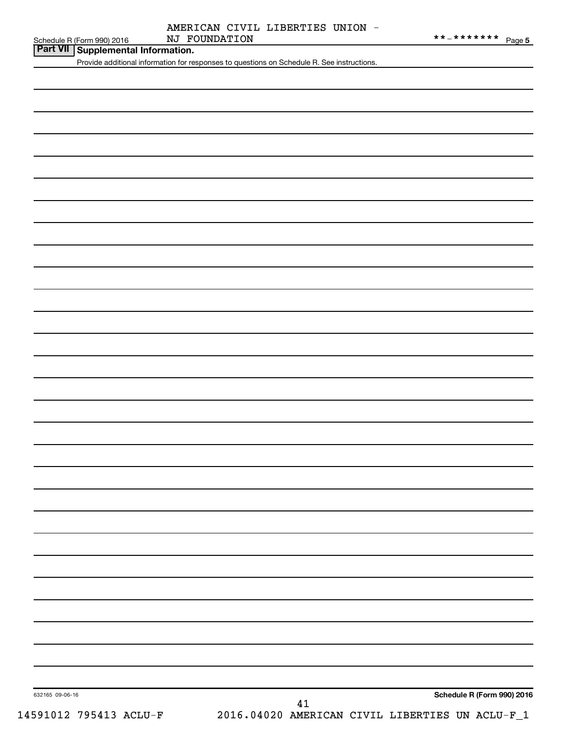| NJ FOUNDATION<br>**_*******<br>Schedule R (Form 990) 2016 | Page 5 |  |  |  |
|-----------------------------------------------------------|--------|--|--|--|
|-----------------------------------------------------------|--------|--|--|--|

# **Part VII Supplemental Information.**

Provide additional information for responses to questions on Schedule R. See instructions.

632165 09-06-16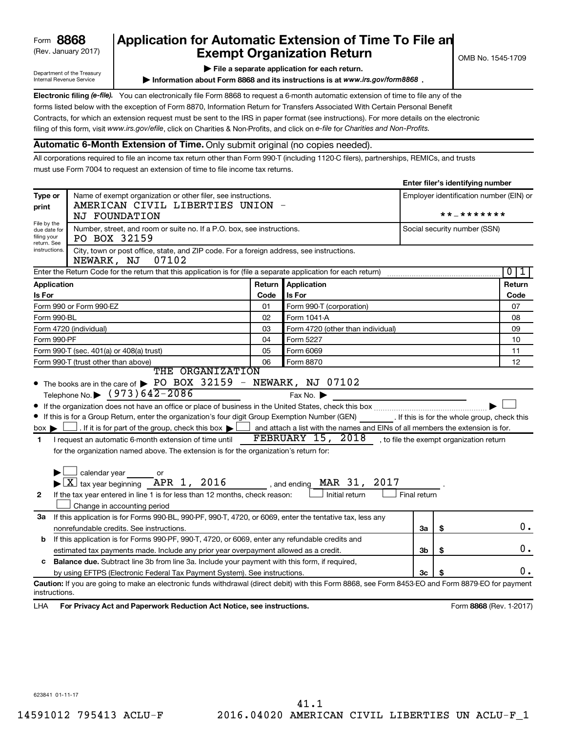Department of the Treasury Internal Revenue Service

# (Rev. January 2017) **Exempt Organization Return** and  $\overline{\text{C}}$  OMB No. 1545-1709 **Form 8868 Application for Automatic Extension of Time To File an**<br>**Exempt Organization Return**

**| File a separate application for each return.**

**Information about Form 8868 and its instructions is at www.irs.gov/form8868.** 

Electronic filing (e-file). You can electronically file Form 8868 to request a 6-month automatic extension of time to file any of the filing of this form, visit www.irs.gov/efile, click on Charities & Non-Profits, and click on e-file for Charities and Non-Profits. forms listed below with the exception of Form 8870, Information Return for Transfers Associated With Certain Personal Benefit Contracts, for which an extension request must be sent to the IRS in paper format (see instructions). For more details on the electronic

## **Automatic 6-Month Extension of Time.** Only submit original (no copies needed).

All corporations required to file an income tax return other than Form 990-T (including 1120-C filers), partnerships, REMICs, and trusts must use Form 7004 to request an extension of time to file income tax returns.

|                                                        |                                                                                                                                                    |        |                                                                                |                     | Enter mer 3 identifying number |                                         |  |  |
|--------------------------------------------------------|----------------------------------------------------------------------------------------------------------------------------------------------------|--------|--------------------------------------------------------------------------------|---------------------|--------------------------------|-----------------------------------------|--|--|
| Type or<br>print                                       | Name of exempt organization or other filer, see instructions.<br>AMERICAN CIVIL LIBERTIES UNION                                                    |        |                                                                                |                     |                                | Employer identification number (EIN) or |  |  |
| File by the                                            | NJ FOUNDATION                                                                                                                                      |        |                                                                                | * * _ * * * * * * * |                                |                                         |  |  |
| due date for<br>filing your<br>return. See             | Number, street, and room or suite no. If a P.O. box, see instructions.<br>PO BOX 32159                                                             |        |                                                                                |                     | Social security number (SSN)   |                                         |  |  |
| instructions.                                          | City, town or post office, state, and ZIP code. For a foreign address, see instructions.<br>07102<br>NEWARK, NJ                                    |        |                                                                                |                     |                                |                                         |  |  |
|                                                        | Enter the Return Code for the return that this application is for (file a separate application for each return)                                    |        |                                                                                |                     |                                | $\overline{0}$<br>ı                     |  |  |
| Application                                            |                                                                                                                                                    | Return | Application                                                                    |                     |                                | Return                                  |  |  |
| Is For                                                 |                                                                                                                                                    | Code   | Is For                                                                         |                     |                                | Code                                    |  |  |
|                                                        | Form 990 or Form 990-EZ                                                                                                                            | 01     | Form 990-T (corporation)                                                       |                     |                                | 07                                      |  |  |
| Form 990-BL                                            |                                                                                                                                                    | 02     | Form 1041 A                                                                    |                     |                                | 08                                      |  |  |
|                                                        | Form 4720 (individual)                                                                                                                             | 03     | Form 4720 (other than individual)                                              |                     |                                | 09                                      |  |  |
| Form 990-PF                                            |                                                                                                                                                    | 04     | Form 5227                                                                      |                     |                                | 10                                      |  |  |
|                                                        | Form 990-T (sec. 401(a) or 408(a) trust)                                                                                                           | 05     | Form 6069                                                                      |                     |                                | 11                                      |  |  |
| 06<br>Form 990-T (trust other than above)<br>Form 8870 |                                                                                                                                                    |        |                                                                                | 12                  |                                |                                         |  |  |
|                                                        | THE ORGANIZATION                                                                                                                                   |        |                                                                                |                     |                                |                                         |  |  |
|                                                        | • The books are in the care of > PO BOX 32159 - NEWARK, NJ 07102                                                                                   |        |                                                                                |                     |                                |                                         |  |  |
|                                                        | Telephone No. $\triangleright$ (973) 642-2086                                                                                                      |        | Fax No.                                                                        |                     |                                |                                         |  |  |
|                                                        |                                                                                                                                                    |        |                                                                                |                     |                                |                                         |  |  |
|                                                        | If this is for a Group Return, enter the organization's four digit Group Exemption Number (GEN) [16] If this is for the whole group, check this    |        |                                                                                |                     |                                |                                         |  |  |
| $box \blacktriangleright$                              | . If it is for part of the group, check this box $\blacktriangleright$                                                                             |        | and attach a list with the names and EINs of all members the extension is for. |                     |                                |                                         |  |  |
| $\blacksquare$                                         | I request an automatic 6-month extension of time until                                                                                             |        | FEBRUARY $15$ , $2018$ , to file the exempt organization return                |                     |                                |                                         |  |  |
|                                                        | for the organization named above. The extension is for the organization's return for:                                                              |        |                                                                                |                     |                                |                                         |  |  |
|                                                        |                                                                                                                                                    |        |                                                                                |                     |                                |                                         |  |  |
|                                                        | $\Box$ calendar year $\qquad \qquad$ or                                                                                                            |        |                                                                                |                     |                                |                                         |  |  |
|                                                        | $\blacktriangleright$ $\boxed{\text{X}}$ tax year beginning APR 1, 2016                                                                            |        | MAR 31, 2017<br>, and ending                                                   |                     |                                |                                         |  |  |
| $\mathbf{2}$                                           | If the tax year entered in line 1 is for less than 12 months, check reason:                                                                        |        | Initial return                                                                 | Final return        |                                |                                         |  |  |
|                                                        | Change in accounting period                                                                                                                        |        |                                                                                |                     |                                |                                         |  |  |
| 3a                                                     | If this application is for Forms 990-BL, 990-PF, 990-T, 4720, or 6069, enter the tentative tax, less any                                           |        |                                                                                |                     |                                |                                         |  |  |
|                                                        | nonrefundable credits. See instructions.                                                                                                           |        |                                                                                | За                  | \$                             | 0.                                      |  |  |
| b                                                      | If this application is for Forms 990-PF, 990-T, 4720, or 6069, enter any refundable credits and                                                    |        |                                                                                |                     |                                |                                         |  |  |
|                                                        | estimated tax payments made. Include any prior year overpayment allowed as a credit.                                                               |        |                                                                                | 3b                  | \$                             | 0.                                      |  |  |
| c                                                      | Balance due. Subtract line 3b from line 3a. Include your payment with this form, if required,                                                      |        |                                                                                |                     |                                |                                         |  |  |
|                                                        | by using EFTPS (Electronic Federal Tax Payment System). See instructions.                                                                          |        |                                                                                | 3c                  |                                | 0.                                      |  |  |
|                                                        | Caution: If you are going to make an electronic funds withdrawal (direct debit) with this Form 8868, see Form 8453-EO and Form 8879-EO for payment |        |                                                                                |                     |                                |                                         |  |  |
| instructions.                                          |                                                                                                                                                    |        |                                                                                |                     |                                |                                         |  |  |
| LHA                                                    | For Privacy Act and Paperwork Reduction Act Notice, see instructions.                                                                              |        |                                                                                |                     |                                | Form 8868 (Rev. 1-2017)                 |  |  |

**Enter filer's identifying number**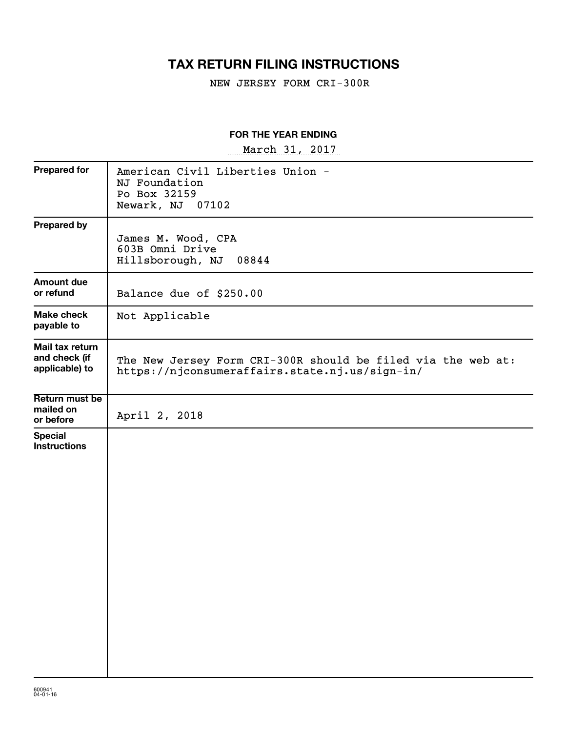# **TAX RETURN FILING INSTRUCTIONS**

NEW JERSEY FORM CRI-300R

## **FOR THE YEAR ENDING**

~~~~~~~~~~~~~~~~~ March 31, 2017

| <b>Prepared for</b>                                | American Civil Liberties Union -<br>NJ Foundation<br>Po Box 32159<br>Newark, NJ<br>07102                       |
|----------------------------------------------------|----------------------------------------------------------------------------------------------------------------|
| <b>Prepared by</b>                                 | James M. Wood, CPA<br>603B Omni Drive<br>Hillsborough, NJ<br>08844                                             |
| <b>Amount due</b><br>or refund                     | Balance due of \$250.00                                                                                        |
| Make check<br>payable to                           | Not Applicable                                                                                                 |
| Mail tax return<br>and check (if<br>applicable) to | The New Jersey Form CRI-300R should be filed via the web at:<br>https://njconsumeraffairs.state.nj.us/sign-in/ |
| Return must be<br>mailed on<br>or before           | April 2, 2018                                                                                                  |
| <b>Special</b><br><b>Instructions</b>              |                                                                                                                |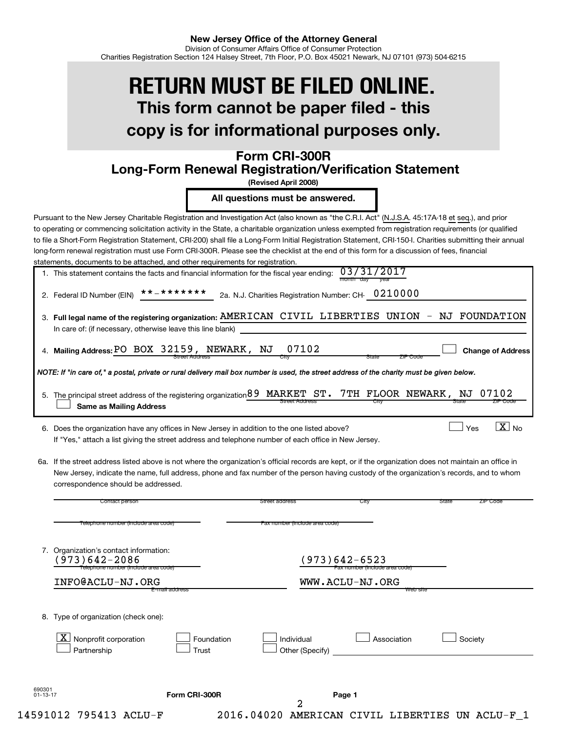# **This form cannot be paper filed - this copy is for informational purposes only. RETURN MUST BE FILED ONLINE.**

# **Form CRI-300R Long-Form Renewal Registration/Verification Statement**

**(Revised April 2008)**

**All questions must be answered.**

Pursuant to the New Jersey Charitable Registration and Investigation Act (also known as "the C.R.I. Act" (N.J.S.A. 45:17A-18 et seq.), and prior to operating or commencing solicitation activity in the State, a charitable organization unless exempted from registration requirements (or qualified to file a Short-Form Registration Statement, CRI-200) shall file a Long-Form Initial Registration Statement, CRI-150-I. Charities submitting their annual long-form renewal registration must use Form CRI-300R. Please see the checklist at the end of this form for a discussion of fees, financial statements, documents to be attached, and other requirements for registration.

| 1. This statement contains the facts and financial information for the fiscal year ending: $03/31/2017$ |                |  |
|---------------------------------------------------------------------------------------------------------|----------------|--|
|                                                                                                         | month day vear |  |

2. Federal ID Number (EIN) Federal ID Number (EIN)  $********$  2a. N.J. Charities Registration Number: CH-  $0210000$ 

| 3. Full legal name of the registering organization: AMERICAN CIVIL LIBERTIES UNION - NJ FOUNDATION |  |  |  |
|----------------------------------------------------------------------------------------------------|--|--|--|
| In care of: (if necessary, otherwise leave this line blank)                                        |  |  |  |
|                                                                                                    |  |  |  |

**Mailing Address: Change of Address**

 $\boxed{\text{X}}$  No

 $\Box$ 

 $|$  Yes

| 4. Mailing Address: PO BOX 32159, NEWARK, NJ 07102 |                |  |      |
|----------------------------------------------------|----------------|--|------|
|                                                    | Street Address |  | JITV |

*NOTE: If "in care of," a postal, private or rural delivery mail box number is used, the street address of the charity must be given below.*

| 5. The principal street address of the registering organization 89 MARKET ST. 7TH FLOOR NEWARK, NJ 07102 |                       |      |       |          |
|----------------------------------------------------------------------------------------------------------|-----------------------|------|-------|----------|
| Same as Mailing Address                                                                                  | <b>Street Address</b> | City | State | ZIP CODE |

6. Does the organization have any offices in New Jersey in addition to the one listed above? Note  $\Box$  Yes Note  $\Box$  Yes Yes Note 1 If "Yes," attach a list giving the street address and telephone number of each office in New Jersey.

6a. If the street address listed above is not where the organization's official records are kept, or if the organization does not maintain an office in New Jersey, indicate the name, full address, phone and fax number of the person having custody of the organization's records, and to whom correspondence should be addressed.

|                          | Contact person                                                                                     |                     | Street address                 | City                                            | State<br>ZIP Code |
|--------------------------|----------------------------------------------------------------------------------------------------|---------------------|--------------------------------|-------------------------------------------------|-------------------|
|                          | Telephone number (include area code)                                                               |                     | Fax number (include area code) |                                                 |                   |
|                          | 7. Organization's contact information:<br>$973)642 - 2086$<br>Telephone number (include area code) |                     |                                | (973)642-6523<br>Fax number (include area code) |                   |
|                          | INFO@ACLU-NJ.ORG                                                                                   |                     |                                | WWW.ACLU-NJ.ORG                                 |                   |
| 8.                       | Type of organization (check one):<br>$\mathbf{X}$<br>Nonprofit corporation<br>Partnership          | Foundation<br>Trust | Individual<br>Other (Specify)  | Association                                     | Society           |
| 690301<br>$01 - 13 - 17$ |                                                                                                    | Form CRI-300R       |                                | Page 1                                          |                   |
|                          |                                                                                                    |                     | 2                              |                                                 |                   |
|                          | 14591012 795413 ACLU-F                                                                             |                     | 2016.04020<br><b>AMERICAN</b>  | CIVIL LIBERTIES                                 | UN ACLU-F         |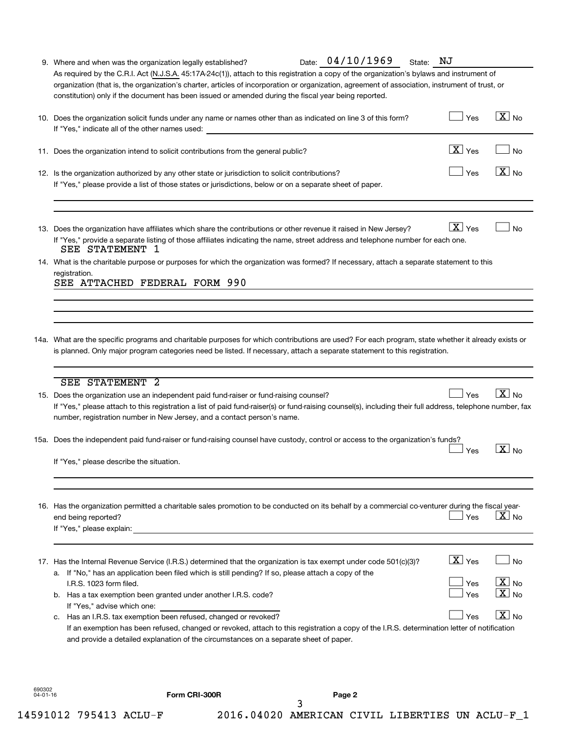|                          | 9. Where and when was the organization legally established?                                                                                                                                                                                                                                                                                                                                                                                                                                                                                                                                                                                                                                                                                                                                                                                                                | Date: 04/10/1969 | State: NJ                                   |                                                                          |
|--------------------------|----------------------------------------------------------------------------------------------------------------------------------------------------------------------------------------------------------------------------------------------------------------------------------------------------------------------------------------------------------------------------------------------------------------------------------------------------------------------------------------------------------------------------------------------------------------------------------------------------------------------------------------------------------------------------------------------------------------------------------------------------------------------------------------------------------------------------------------------------------------------------|------------------|---------------------------------------------|--------------------------------------------------------------------------|
|                          | As required by the C.R.I. Act (N.J.S.A. 45:17A-24c(1)), attach to this registration a copy of the organization's bylaws and instrument of<br>organization (that is, the organization's charter, articles of incorporation or organization, agreement of association, instrument of trust, or<br>constitution) only if the document has been issued or amended during the fiscal year being reported.                                                                                                                                                                                                                                                                                                                                                                                                                                                                       |                  |                                             |                                                                          |
|                          | 10. Does the organization solicit funds under any name or names other than as indicated on line 3 of this form?<br>If "Yes," indicate all of the other names used:                                                                                                                                                                                                                                                                                                                                                                                                                                                                                                                                                                                                                                                                                                         |                  | Yes                                         | $\boxed{\text{X}}$ No                                                    |
|                          | 11. Does the organization intend to solicit contributions from the general public?                                                                                                                                                                                                                                                                                                                                                                                                                                                                                                                                                                                                                                                                                                                                                                                         |                  | $\boxed{\text{X}}$ Yes                      | <b>No</b>                                                                |
|                          | 12. Is the organization authorized by any other state or jurisdiction to solicit contributions?<br>If "Yes," please provide a list of those states or jurisdictions, below or on a separate sheet of paper.                                                                                                                                                                                                                                                                                                                                                                                                                                                                                                                                                                                                                                                                |                  | Yes                                         | $\sqrt{X}$ No                                                            |
|                          | 13. Does the organization have affiliates which share the contributions or other revenue it raised in New Jersey?<br>If "Yes," provide a separate listing of those affiliates indicating the name, street address and telephone number for each one.<br>SEE STATEMENT 1                                                                                                                                                                                                                                                                                                                                                                                                                                                                                                                                                                                                    |                  | $X$ Yes                                     | <b>No</b>                                                                |
|                          | 14. What is the charitable purpose or purposes for which the organization was formed? If necessary, attach a separate statement to this<br>registration.<br>SEE ATTACHED FEDERAL FORM 990                                                                                                                                                                                                                                                                                                                                                                                                                                                                                                                                                                                                                                                                                  |                  |                                             |                                                                          |
|                          |                                                                                                                                                                                                                                                                                                                                                                                                                                                                                                                                                                                                                                                                                                                                                                                                                                                                            |                  |                                             |                                                                          |
|                          | 14a. What are the specific programs and charitable purposes for which contributions are used? For each program, state whether it already exists or<br>is planned. Only major program categories need be listed. If necessary, attach a separate statement to this registration.                                                                                                                                                                                                                                                                                                                                                                                                                                                                                                                                                                                            |                  |                                             |                                                                          |
|                          | <b>SEE STATEMENT 2</b><br>15. Does the organization use an independent paid fund-raiser or fund-raising counsel?<br>If "Yes," please attach to this registration a list of paid fund-raiser(s) or fund-raising counsel(s), including their full address, telephone number, fax<br>number, registration number in New Jersey, and a contact person's name.                                                                                                                                                                                                                                                                                                                                                                                                                                                                                                                  |                  | Yes                                         | $\overline{\mathbf{X}}$ No                                               |
|                          | 15a. Does the independent paid fund-raiser or fund-raising counsel have custody, control or access to the organization's funds?<br>If "Yes," please describe the situation.                                                                                                                                                                                                                                                                                                                                                                                                                                                                                                                                                                                                                                                                                                |                  | Yes                                         | $\boxed{\text{X}}$ No                                                    |
|                          | 16. Has the organization permitted a charitable sales promotion to be conducted on its behalf by a commercial co-venturer during the fiscal year-<br>end being reported?                                                                                                                                                                                                                                                                                                                                                                                                                                                                                                                                                                                                                                                                                                   |                  | Yes                                         | $X$ No                                                                   |
|                          | 17. Has the Internal Revenue Service (I.R.S.) determined that the organization is tax exempt under code 501(c)(3)?<br>a. If "No," has an application been filed which is still pending? If so, please attach a copy of the<br>I.R.S. 1023 form filed.<br>b. Has a tax exemption been granted under another I.R.S. code?<br>If "Yes," advise which one:<br>Sales The Sales Contract of The Sales Contract of The Sales Contract of The Sales Contract of The Sales Contract of The Sales Contract of The Sales Contract of The Sales Contract of The Sales C<br>Has an I.R.S. tax exemption been refused, changed or revoked?<br>C.<br>If an exemption has been refused, changed or revoked, attach to this registration a copy of the I.R.S. determination letter of notification<br>and provide a detailed explanation of the circumstances on a separate sheet of paper. |                  | $\boxed{\text{X}}$ Yes<br>Yes<br>Yes<br>Yes | <b>No</b><br>$\overline{X}$ No<br>$\overline{X}$ No<br>$\overline{X}$ No |
| 690302<br>$04 - 01 - 16$ | Form CRI-300R                                                                                                                                                                                                                                                                                                                                                                                                                                                                                                                                                                                                                                                                                                                                                                                                                                                              | Page 2           |                                             |                                                                          |

3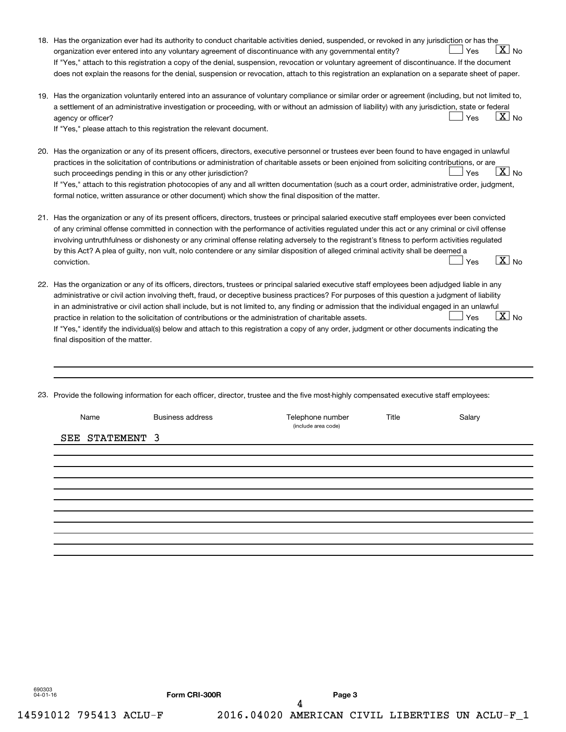|     | 18. Has the organization ever had its authority to conduct charitable activities denied, suspended, or revoked in any jurisdiction or has the<br>$ \underline{X} $ No<br>Yes<br>organization ever entered into any voluntary agreement of discontinuance with any governmental entity?<br>If "Yes," attach to this registration a copy of the denial, suspension, revocation or voluntary agreement of discontinuance. If the document                                                                                                                                                                                                                                                                                                                                         |
|-----|--------------------------------------------------------------------------------------------------------------------------------------------------------------------------------------------------------------------------------------------------------------------------------------------------------------------------------------------------------------------------------------------------------------------------------------------------------------------------------------------------------------------------------------------------------------------------------------------------------------------------------------------------------------------------------------------------------------------------------------------------------------------------------|
|     | does not explain the reasons for the denial, suspension or revocation, attach to this registration an explanation on a separate sheet of paper.                                                                                                                                                                                                                                                                                                                                                                                                                                                                                                                                                                                                                                |
|     | 19. Has the organization voluntarily entered into an assurance of voluntary compliance or similar order or agreement (including, but not limited to,<br>a settlement of an administrative investigation or proceeding, with or without an admission of liability) with any jurisdiction, state or federal<br>$ X _{\sf No}$<br>Yes<br>agency or officer?<br>If "Yes," please attach to this registration the relevant document.                                                                                                                                                                                                                                                                                                                                                |
|     | 20. Has the organization or any of its present officers, directors, executive personnel or trustees ever been found to have engaged in unlawful<br>practices in the solicitation of contributions or administration of charitable assets or been enjoined from soliciting contributions, or are<br>$\lfloor x \rfloor$ No<br>Yes<br>such proceedings pending in this or any other jurisdiction?<br>If "Yes," attach to this registration photocopies of any and all written documentation (such as a court order, administrative order, judgment,<br>formal notice, written assurance or other document) which show the final disposition of the matter.                                                                                                                       |
| 21. | Has the organization or any of its present officers, directors, trustees or principal salaried executive staff employees ever been convicted<br>of any criminal offense committed in connection with the performance of activities regulated under this act or any criminal or civil offense<br>involving untruthfulness or dishonesty or any criminal offense relating adversely to the registrant's fitness to perform activities regulated<br>by this Act? A plea of guilty, non vult, nolo contendere or any similar disposition of alleged criminal activity shall be deemed a<br>$\boxed{\text{X}}$ No<br>Yes<br>conviction.                                                                                                                                             |
|     | 22. Has the organization or any of its officers, directors, trustees or principal salaried executive staff employees been adjudged liable in any<br>administrative or civil action involving theft, fraud, or deceptive business practices? For purposes of this question a judgment of liability<br>in an administrative or civil action shall include, but is not limited to, any finding or admission that the individual engaged in an unlawful<br>$\boxed{\text{X}}$ No<br>Yes<br>practice in relation to the solicitation of contributions or the administration of charitable assets.<br>If "Yes," identify the individual(s) below and attach to this registration a copy of any order, judgment or other documents indicating the<br>final disposition of the matter. |

23. Provide the following information for each officer, director, trustee and the five most-highly compensated executive staff employees:

| Name            | <b>Business address</b> | Telephone number<br>(include area code) | Title | Salary |
|-----------------|-------------------------|-----------------------------------------|-------|--------|
| SEE STATEMENT 3 |                         |                                         |       |        |
|                 |                         |                                         |       |        |
|                 |                         |                                         |       |        |
|                 |                         |                                         |       |        |
|                 |                         |                                         |       |        |
|                 |                         |                                         |       |        |
|                 |                         |                                         |       |        |
|                 |                         |                                         |       |        |
|                 |                         |                                         |       |        |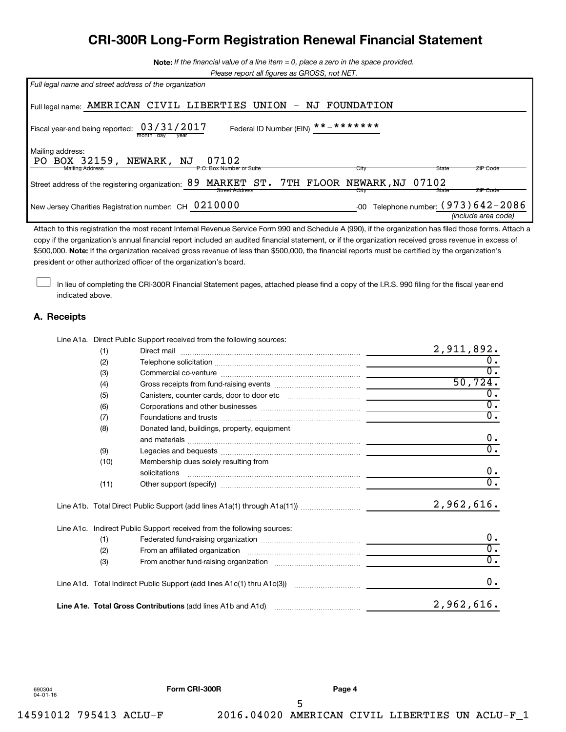# **CRI-300R Long-Form Registration Renewal Financial Statement**

**Note:**  *If the financial value of a line item = 0, place a zero in the space provided.*

|  | Please report all figures as GROSS, not NET. |
|--|----------------------------------------------|
|  |                                              |

| Full legal name and street address of the organization                                                                                          |
|-------------------------------------------------------------------------------------------------------------------------------------------------|
| Full legal name: AMERICAN CIVIL LIBERTIES UNION - NJ FOUNDATION                                                                                 |
| Federal ID Number (EIN) $***$ * * * * * * *<br>Fiscal year-end being reported: $03/31/2017$                                                     |
| Mailing address:<br>PO BOX 32159, NEWARK, NJ<br>07102<br><b>Mailing Address</b><br>State<br><b>ZIP Code</b><br>P.O. Box Number or Suite<br>City |
| MARKET ST. 7TH FLOOR NEWARK, NJ 07102<br>89<br>Street address of the registering organization:<br>ZIP Code<br>State<br>Street Address<br>City   |
| Telephone number: (973) 642-2086<br>New Jersey Charities Registration number: CH 0210000<br>-00<br>(include area code)                          |

\$500,000. Note: If the organization received gross revenue of less than \$500,000, the financial reports must be certified by the organization's Attach to this registration the most recent Internal Revenue Service Form 990 and Schedule A (990), if the organization has filed those forms. Attach a copy if the organization's annual financial report included an audited financial statement, or if the organization received gross revenue in excess of president or other authorized officer of the organization's board.

In lieu of completing the CRI-300R Financial Statement pages, attached please find a copy of the I.R.S. 990 filing for the fiscal year-end indicated above.

#### **A. Receipts**

 $\Box$ 

Line A1a. Direct Public Support received from the following sources:

| (1)  |                                                                                   | 2,911,892.       |
|------|-----------------------------------------------------------------------------------|------------------|
| (2)  |                                                                                   | $\overline{0}$ . |
| (3)  |                                                                                   | $\overline{0}$ . |
| (4)  |                                                                                   | 50, 724.         |
| (5)  |                                                                                   | $0$ .            |
| (6)  |                                                                                   | $\overline{0}$ . |
| (7)  |                                                                                   | $\overline{0}$ . |
| (8)  | Donated land, buildings, property, equipment                                      | 0.               |
| (9)  |                                                                                   | $\overline{0}$ . |
| (10) | Membership dues solely resulting from<br>solicitations                            | $0$ .            |
| (11) |                                                                                   | $\overline{0}$ . |
|      |                                                                                   | 2,962,616.       |
|      | Line A1c. Indirect Public Support received from the following sources:            |                  |
| (1)  |                                                                                   | 0.               |
| (2)  |                                                                                   | $\overline{0}$ . |
| (3)  |                                                                                   | $\overline{0}$ . |
|      | Line A1d. Total Indirect Public Support (add lines A1c(1) thru A1c(3)) ………………………… | 0.               |
|      | Line A1e. Total Gross Contributions (add lines A1b and A1d)                       | 2,962,616.       |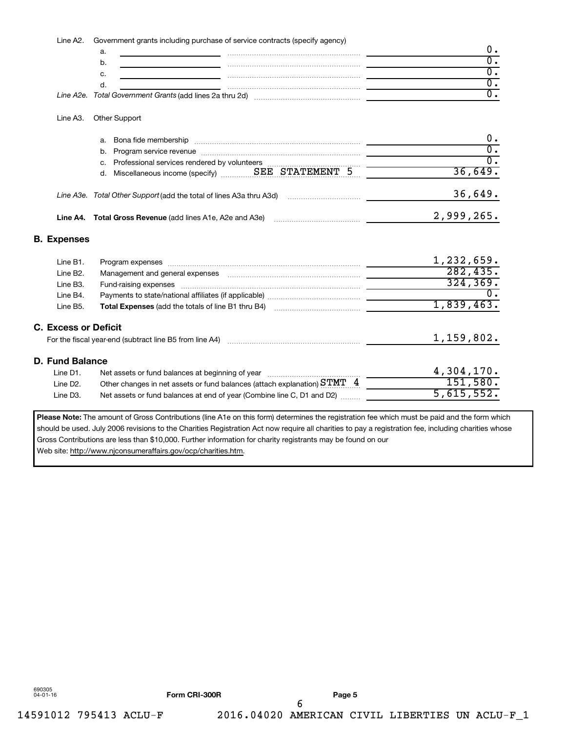Line A2. Government grants including purchase of service contracts (specify agency)

| u. |                                                          |  |
|----|----------------------------------------------------------|--|
| ້  |                                                          |  |
|    |                                                          |  |
|    |                                                          |  |
|    | Line A2e. Total Government Grants (add lines 2a thru 2d) |  |

#### Line A3. Other Support

|  | a. Bona fide membership                                             |  |            |
|--|---------------------------------------------------------------------|--|------------|
|  |                                                                     |  |            |
|  | c. Professional services rendered by volunteers                     |  |            |
|  |                                                                     |  | 36,649.    |
|  | Line A3e. Total Other Support (add the total of lines A3a thru A3d) |  | 36,649.    |
|  | Line A4. Total Gross Revenue (add lines A1e, A2e and A3e)           |  | 2,999,265. |

#### **B. Expenses**

| Line B1.                    | Program expenses [[11] material contracts are responsed to the material contracts and the contracts of the contracts of the contracts of the contracts of the contracts of the contracts of the contracts of the contracts of | 1,232,659. |
|-----------------------------|-------------------------------------------------------------------------------------------------------------------------------------------------------------------------------------------------------------------------------|------------|
| Line B2.                    |                                                                                                                                                                                                                               | 282, 435.  |
| Line B3.                    |                                                                                                                                                                                                                               | 324, 369.  |
| Line B4.                    |                                                                                                                                                                                                                               |            |
| Line B5.                    | <b>Total Expenses</b> (add the totals of line B1 thru B4)                                                                                                                                                                     | 1,839,463. |
| <b>C. Excess or Deficit</b> | For the fiscal year-end (subtract line B5 from line A4)                                                                                                                                                                       | 1,159,802. |
| D. Fund Balance             |                                                                                                                                                                                                                               |            |
| Line D1.                    |                                                                                                                                                                                                                               | 4,304,170. |
| Line D <sub>2</sub> .       | Other changes in net assets or fund balances (attach explanation) $S\texttt{TMT} \quad 4$                                                                                                                                     | 151,580.   |
| Line D3.                    | Net assets or fund balances at end of year (Combine line C, D1 and D2)                                                                                                                                                        | 5,615,552. |
|                             |                                                                                                                                                                                                                               |            |

Please Note: The amount of Gross Contributions (line A1e on this form) determines the registration fee which must be paid and the form which should be used. July 2006 revisions to the Charities Registration Act now require all charities to pay a registration fee, including charities whose Gross Contributions are less than \$10,000. Further information for charity registrants may be found on our Web site: http://www.njconsumeraffairs.gov/ocp/charities.htm.

690305 04-01-16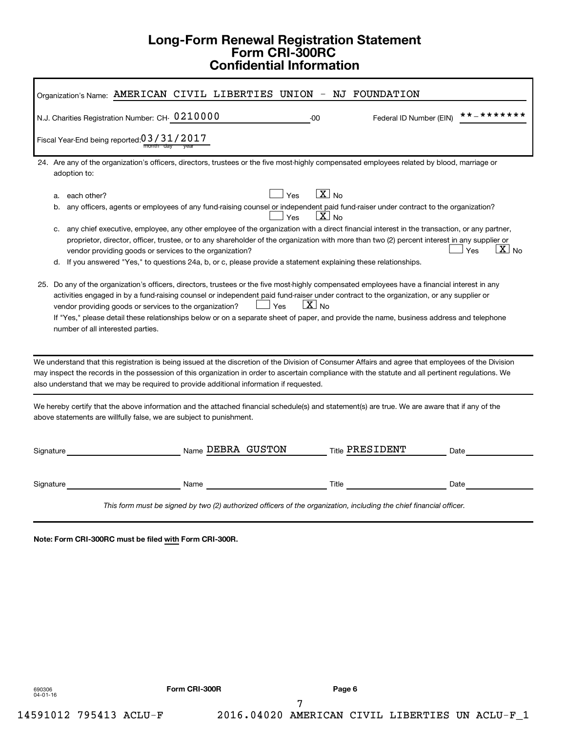# **Long-Form Renewal Registration Statement Form CRI-300RC Confidential Information**

| Organization's Name: AMERICAN CIVIL LIBERTIES UNION - NJ FOUNDATION                                                                                                                                                                                                                                                                                                                                                                                                                                                                                                                                                                                                      |  |  |  |
|--------------------------------------------------------------------------------------------------------------------------------------------------------------------------------------------------------------------------------------------------------------------------------------------------------------------------------------------------------------------------------------------------------------------------------------------------------------------------------------------------------------------------------------------------------------------------------------------------------------------------------------------------------------------------|--|--|--|
| **_*******<br>N.J. Charities Registration Number: CH- 0210000<br>$-00$<br>Federal ID Number (EIN)                                                                                                                                                                                                                                                                                                                                                                                                                                                                                                                                                                        |  |  |  |
| Fiscal Year-End being reported: 03/31/2017                                                                                                                                                                                                                                                                                                                                                                                                                                                                                                                                                                                                                               |  |  |  |
| 24. Are any of the organization's officers, directors, trustees or the five most-highly compensated employees related by blood, marriage or<br>adoption to:                                                                                                                                                                                                                                                                                                                                                                                                                                                                                                              |  |  |  |
| $X_{\text{No}}$<br>Yes<br>each other?<br>a.<br>any officers, agents or employees of any fund-raising counsel or independent paid fund-raiser under contract to the organization?<br>b.<br>$\lfloor x \rfloor$ No<br>Yes<br>any chief executive, employee, any other employee of the organization with a direct financial interest in the transaction, or any partner,<br>C.<br>proprietor, director, officer, trustee, or to any shareholder of the organization with more than two (2) percent interest in any supplier or<br>$X$ No<br>Yes<br>vendor providing goods or services to the organization?                                                                  |  |  |  |
| d. If you answered "Yes," to questions 24a, b, or c, please provide a statement explaining these relationships.<br>25. Do any of the organization's officers, directors, trustees or the five most-highly compensated employees have a financial interest in any<br>activities engaged in by a fund-raising counsel or independent paid fund-raiser under contract to the organization, or any supplier or<br>$X_{N0}$<br>Yes<br>vendor providing goods or services to the organization?<br>If "Yes," please detail these relationships below or on a separate sheet of paper, and provide the name, business address and telephone<br>number of all interested parties. |  |  |  |
| We understand that this registration is being issued at the discretion of the Division of Consumer Affairs and agree that employees of the Division<br>may inspect the records in the possession of this organization in order to ascertain compliance with the statute and all pertinent regulations. We<br>also understand that we may be required to provide additional information if requested.                                                                                                                                                                                                                                                                     |  |  |  |
| We hereby certify that the above information and the attached financial schedule(s) and statement(s) are true. We are aware that if any of the<br>above statements are willfully false, we are subject to punishment.                                                                                                                                                                                                                                                                                                                                                                                                                                                    |  |  |  |
| Name DEBRA GUSTON<br>Title PRESIDENT<br>Signature<br>Date                                                                                                                                                                                                                                                                                                                                                                                                                                                                                                                                                                                                                |  |  |  |
| Signature<br>Title<br>Date<br>Name                                                                                                                                                                                                                                                                                                                                                                                                                                                                                                                                                                                                                                       |  |  |  |
| This form must be signed by two (2) authorized officers of the organization, including the chief financial officer.                                                                                                                                                                                                                                                                                                                                                                                                                                                                                                                                                      |  |  |  |

**Note: Form CRI-300RC must be filed with Form CRI-300R.**

690306 04-01-16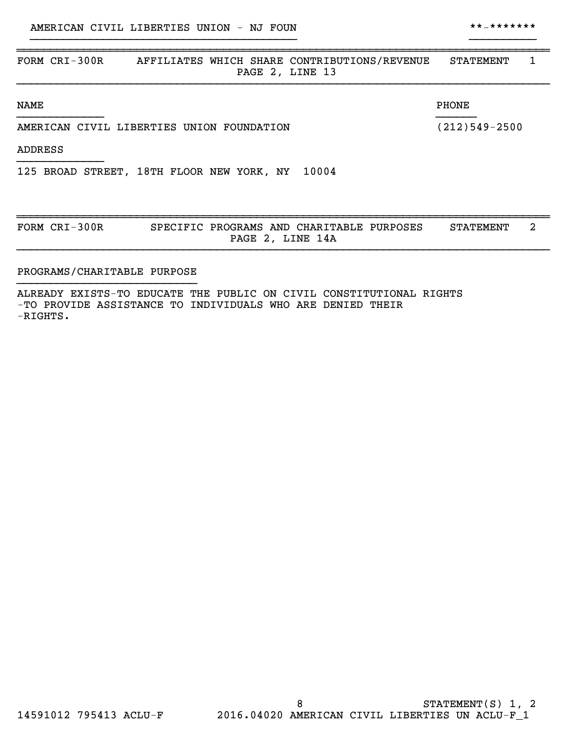| FORM CRI-300R<br>AFFILIATES WHICH SHARE CONTRIBUTIONS/REVENUE<br>PAGE 2, LINE 13 | STATEMENT         | 1 |
|----------------------------------------------------------------------------------|-------------------|---|
| <b>NAME</b>                                                                      | <b>PHONE</b>      |   |
| AMERICAN CIVIL LIBERTIES UNION FOUNDATION                                        | $(212)549 - 2500$ |   |
| <b>ADDRESS</b>                                                                   |                   |   |
| 10004<br>125 BROAD STREET, 18TH FLOOR NEW YORK, NY                               |                   |   |
| FORM CRI-300R<br>SPECIFIC PROGRAMS AND CHARITABLE PURPOSES<br>PAGE 2, LINE 14A   | <b>STATEMENT</b>  | 2 |

}}}}}}}}}}}}}}}}}}}}}}}}}}}}}}}}}}}}}}}} }}}}}}}}}}

#### PROGRAMS/CHARITABLE PURPOSE }}}}}}}}}}}}}}}}}}}}}}}}}}}

ALREADY EXISTS-TO EDUCATE THE PUBLIC ON CIVIL CONSTITUTIONAL RIGHTS -TO PROVIDE ASSISTANCE TO INDIVIDUALS WHO ARE DENIED THEIR -RIGHTS.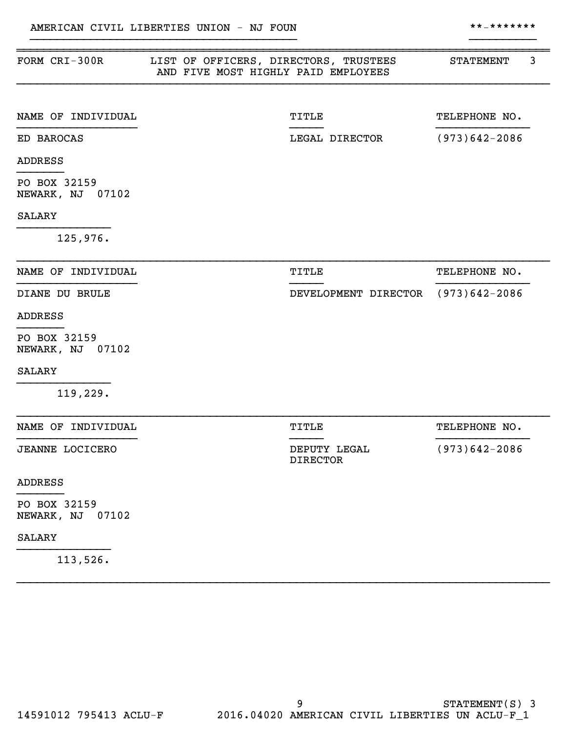| FORM CRI-300R                       | LIST OF OFFICERS, DIRECTORS, TRUSTEES<br>AND FIVE MOST HIGHLY PAID EMPLOYEES |                                    | <b>STATEMENT</b>  | 3 |
|-------------------------------------|------------------------------------------------------------------------------|------------------------------------|-------------------|---|
| NAME OF INDIVIDUAL                  |                                                                              | TITLE                              | TELEPHONE NO.     |   |
| ED BAROCAS                          |                                                                              | LEGAL DIRECTOR                     | $(973)642 - 2086$ |   |
| <b>ADDRESS</b>                      |                                                                              |                                    |                   |   |
| PO BOX 32159<br>NEWARK, NJ 07102    |                                                                              |                                    |                   |   |
| <b>SALARY</b>                       |                                                                              |                                    |                   |   |
| 125,976.                            |                                                                              |                                    |                   |   |
| NAME OF INDIVIDUAL                  |                                                                              | TITLE                              | TELEPHONE NO.     |   |
| DIANE DU BRULE                      |                                                                              | DEVELOPMENT DIRECTOR (973)642-2086 |                   |   |
| <b>ADDRESS</b>                      |                                                                              |                                    |                   |   |
| PO BOX 32159<br>NEWARK, NJ 07102    |                                                                              |                                    |                   |   |
| <b>SALARY</b>                       |                                                                              |                                    |                   |   |
| 119,229.                            |                                                                              |                                    |                   |   |
| NAME OF INDIVIDUAL                  |                                                                              | TITLE                              | TELEPHONE NO.     |   |
| <b>JEANNE LOCICERO</b>              |                                                                              | DEPUTY LEGAL<br><b>DIRECTOR</b>    | $(973)642 - 2086$ |   |
| <b>ADDRESS</b>                      |                                                                              |                                    |                   |   |
| PO BOX 32159<br>NEWARK, NJ<br>07102 |                                                                              |                                    |                   |   |
| <b>SALARY</b>                       |                                                                              |                                    |                   |   |
| 113,526.                            |                                                                              |                                    |                   |   |

}}}}}}}}}}}}}}}}}}}}}}}}}}}}}}}}}}}}}}}} }}}}}}}}}}

}}}}}}}}}}}}}}}}}}}}}}}}}}}}}}}}}}}}}}}}}}}}}}}}}}}}}}}}}}}}}}}}}}}}}}}}}}}}}}}}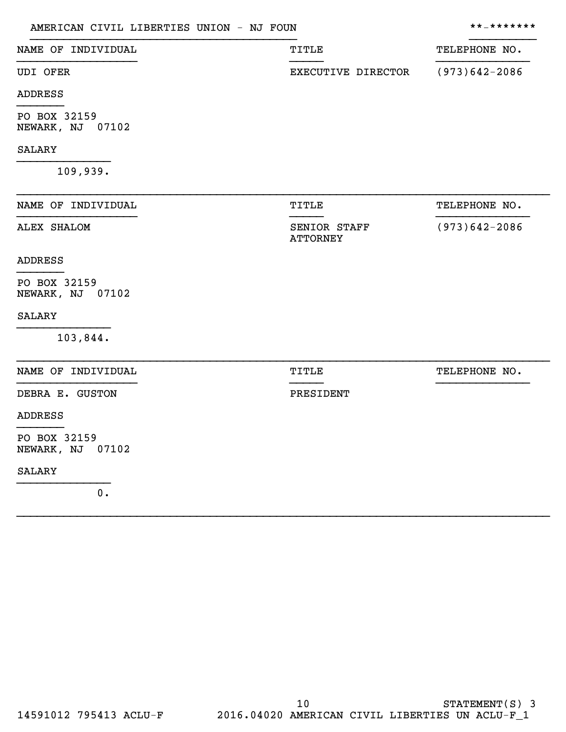| AMERICAN CIVIL LIBERTIES UNION - NJ FOUN | **_*******                      |                   |
|------------------------------------------|---------------------------------|-------------------|
| NAME OF INDIVIDUAL                       | TITLE                           | TELEPHONE NO.     |
| <b>UDI OFER</b>                          | EXECUTIVE DIRECTOR              | $(973)642 - 2086$ |
| <b>ADDRESS</b>                           |                                 |                   |
| PO BOX 32159<br>NEWARK, NJ 07102         |                                 |                   |
| <b>SALARY</b>                            |                                 |                   |
| 109,939.                                 |                                 |                   |
| NAME OF INDIVIDUAL                       | TITLE                           | TELEPHONE NO.     |
| <b>ALEX SHALOM</b>                       | SENIOR STAFF<br><b>ATTORNEY</b> | $(973)642 - 2086$ |
| <b>ADDRESS</b>                           |                                 |                   |
| PO BOX 32159<br>NEWARK, NJ 07102         |                                 |                   |
| <b>SALARY</b>                            |                                 |                   |
| 103,844.                                 |                                 |                   |
| NAME OF INDIVIDUAL                       | TITLE                           | TELEPHONE NO.     |
| DEBRA E. GUSTON                          | PRESIDENT                       |                   |
| <b>ADDRESS</b>                           |                                 |                   |
| PO BOX 32159<br>NEWARK, NJ 07102         |                                 |                   |
| <b>SALARY</b>                            |                                 |                   |
| 0.                                       |                                 |                   |

}}}}}}}}}}}}}}}}}}}}}}}}}}}}}}}}}}}}}}}}}}}}}}}}}}}}}}}}}}}}}}}}}}}}}}}}}}}}}}}}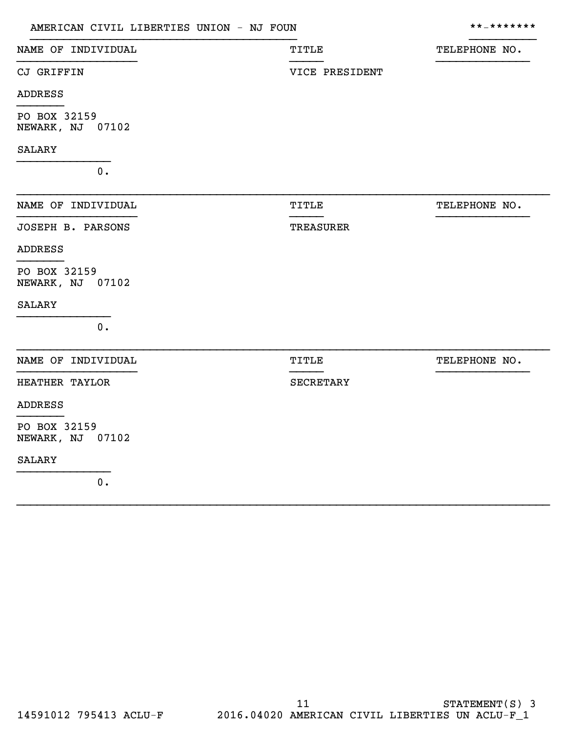| AMERICAN CIVIL LIBERTIES UNION - NJ FOUN | **_*******       |               |
|------------------------------------------|------------------|---------------|
| NAME OF INDIVIDUAL                       | TITLE            | TELEPHONE NO. |
| CJ GRIFFIN                               | VICE PRESIDENT   |               |
| ADDRESS                                  |                  |               |
| PO BOX 32159<br>NEWARK, NJ 07102         |                  |               |
| <b>SALARY</b>                            |                  |               |
| $0$ .                                    |                  |               |
| NAME OF INDIVIDUAL                       | <b>TITLE</b>     | TELEPHONE NO. |
| JOSEPH B. PARSONS                        | <b>TREASURER</b> |               |
| <b>ADDRESS</b>                           |                  |               |
| PO BOX 32159<br>NEWARK, NJ 07102         |                  |               |
| <b>SALARY</b>                            |                  |               |
| 0.                                       |                  |               |
| NAME OF INDIVIDUAL                       | TITLE            | TELEPHONE NO. |
| HEATHER TAYLOR                           | <b>SECRETARY</b> |               |
| <b>ADDRESS</b>                           |                  |               |
| PO BOX 32159<br>NEWARK, NJ 07102         |                  |               |
| <b>SALARY</b>                            |                  |               |
| $0$ .                                    |                  |               |

}}}}}}}}}}}}}}}}}}}}}}}}}}}}}}}}}}}}}}}}}}}}}}}}}}}}}}}}}}}}}}}}}}}}}}}}}}}}}}}}